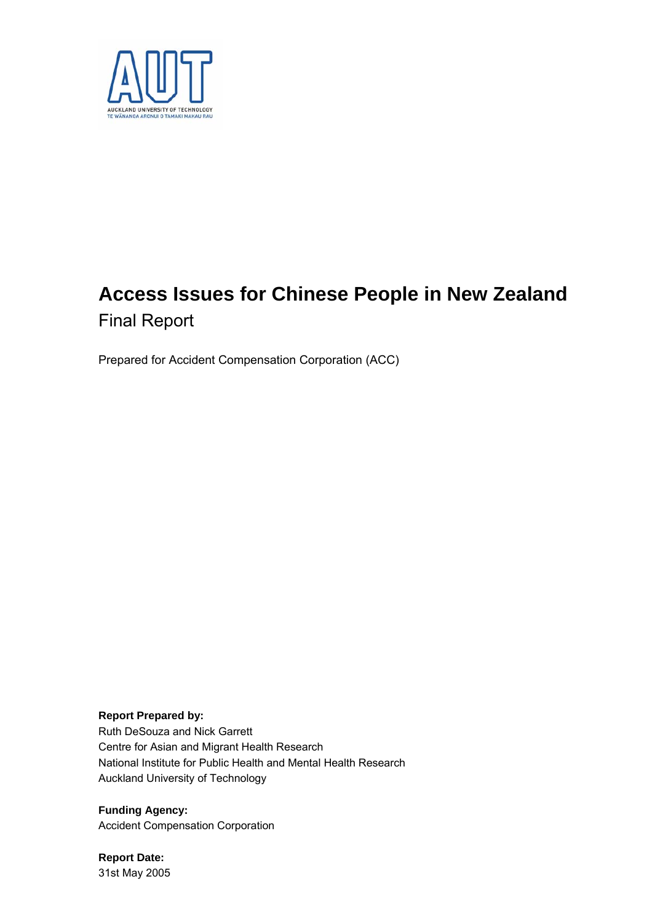

# **Access Issues for Chinese People in New Zealand**  Final Report

Prepared for Accident Compensation Corporation (ACC)

**Report Prepared by:**  Ruth DeSouza and Nick Garrett Centre for Asian and Migrant Health Research National Institute for Public Health and Mental Health Research Auckland University of Technology

**Funding Agency:**  Accident Compensation Corporation

**Report Date:**  31st May 2005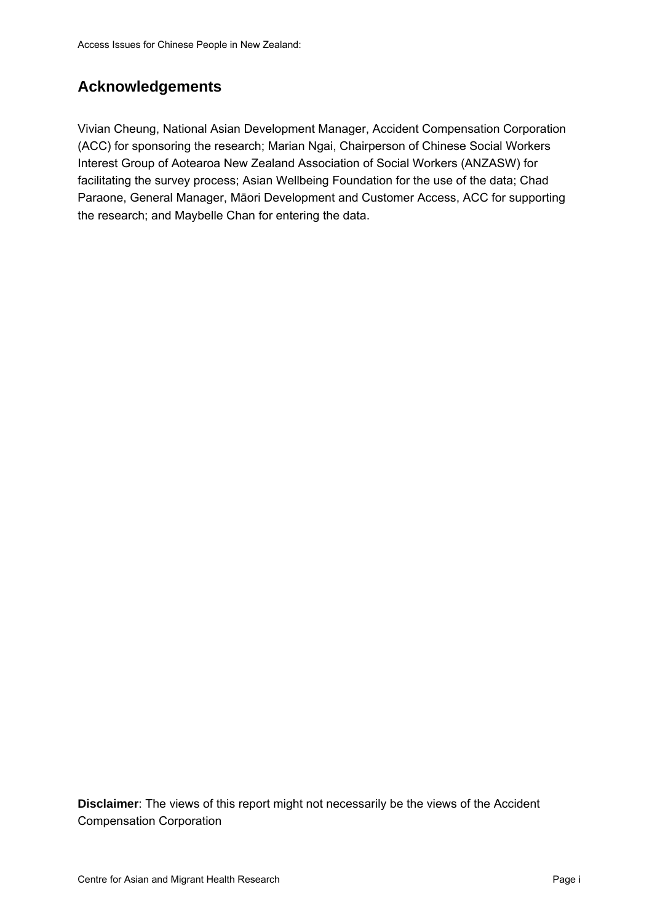# **Acknowledgements**

Vivian Cheung, National Asian Development Manager, Accident Compensation Corporation (ACC) for sponsoring the research; Marian Ngai, Chairperson of Chinese Social Workers Interest Group of Aotearoa New Zealand Association of Social Workers (ANZASW) for facilitating the survey process; Asian Wellbeing Foundation for the use of the data; Chad Paraone, General Manager, Māori Development and Customer Access, ACC for supporting the research; and Maybelle Chan for entering the data.

**Disclaimer**: The views of this report might not necessarily be the views of the Accident Compensation Corporation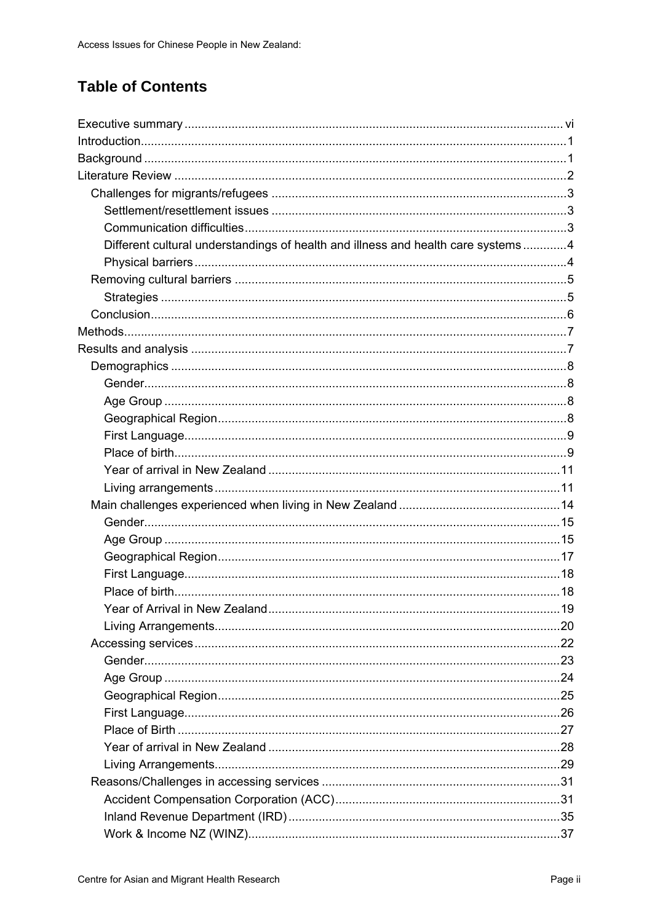# **Table of Contents**

| Different cultural understandings of health and illness and health care systems4 |  |
|----------------------------------------------------------------------------------|--|
|                                                                                  |  |
|                                                                                  |  |
|                                                                                  |  |
|                                                                                  |  |
|                                                                                  |  |
|                                                                                  |  |
|                                                                                  |  |
|                                                                                  |  |
|                                                                                  |  |
|                                                                                  |  |
|                                                                                  |  |
|                                                                                  |  |
|                                                                                  |  |
|                                                                                  |  |
|                                                                                  |  |
|                                                                                  |  |
|                                                                                  |  |
|                                                                                  |  |
|                                                                                  |  |
|                                                                                  |  |
|                                                                                  |  |
|                                                                                  |  |
|                                                                                  |  |
|                                                                                  |  |
|                                                                                  |  |
|                                                                                  |  |
|                                                                                  |  |
|                                                                                  |  |
|                                                                                  |  |
|                                                                                  |  |
|                                                                                  |  |
|                                                                                  |  |
|                                                                                  |  |
|                                                                                  |  |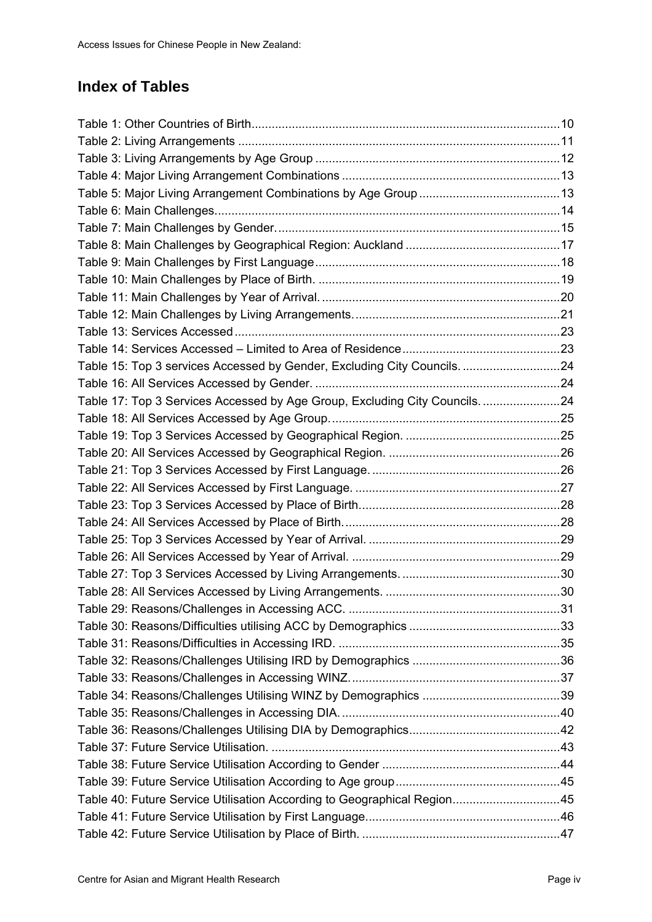# **Index of Tables**

| Table 15: Top 3 services Accessed by Gender, Excluding City Councils. 24    |  |
|-----------------------------------------------------------------------------|--|
|                                                                             |  |
| Table 17: Top 3 Services Accessed by Age Group, Excluding City Councils. 24 |  |
|                                                                             |  |
|                                                                             |  |
|                                                                             |  |
|                                                                             |  |
|                                                                             |  |
|                                                                             |  |
|                                                                             |  |
|                                                                             |  |
|                                                                             |  |
|                                                                             |  |
|                                                                             |  |
|                                                                             |  |
|                                                                             |  |
|                                                                             |  |
|                                                                             |  |
|                                                                             |  |
|                                                                             |  |
|                                                                             |  |
|                                                                             |  |
|                                                                             |  |
|                                                                             |  |
|                                                                             |  |
| Table 40: Future Service Utilisation According to Geographical Region45     |  |
|                                                                             |  |
|                                                                             |  |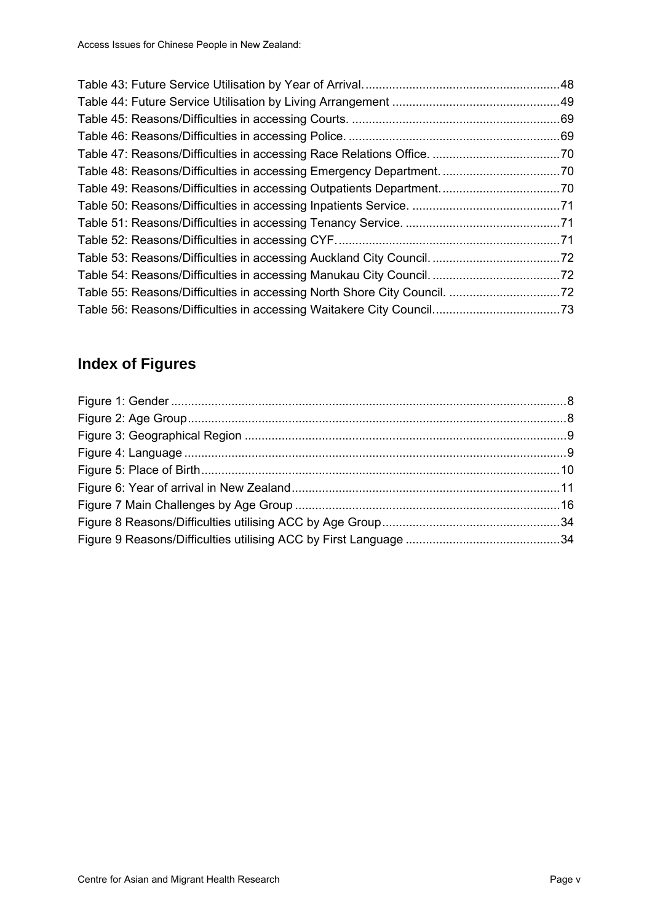# **Index of Figures**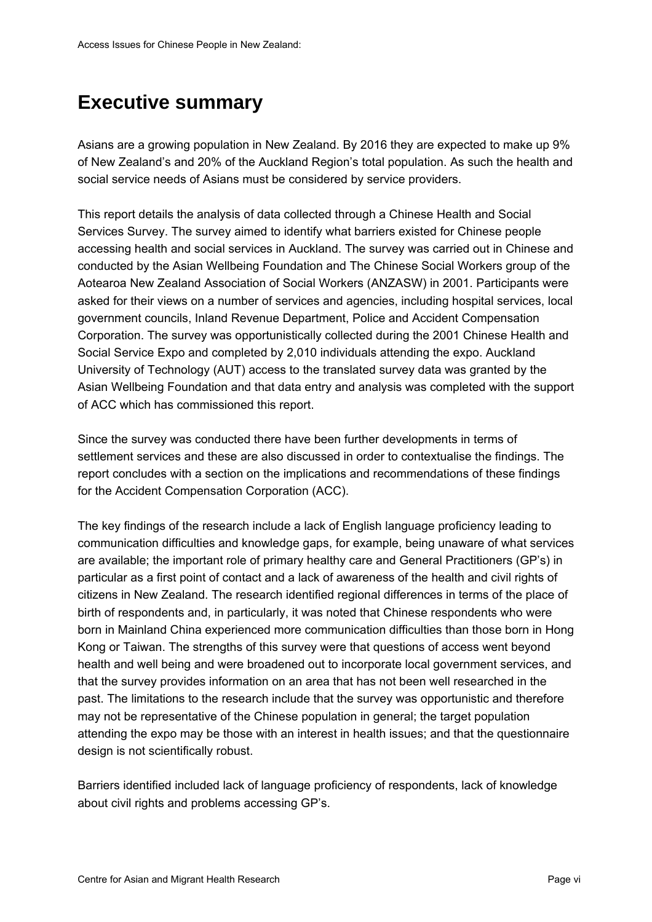# <span id="page-6-0"></span>**Executive summary**

Asians are a growing population in New Zealand. By 2016 they are expected to make up 9% of New Zealand's and 20% of the Auckland Region's total population. As such the health and social service needs of Asians must be considered by service providers.

This report details the analysis of data collected through a Chinese Health and Social Services Survey. The survey aimed to identify what barriers existed for Chinese people accessing health and social services in Auckland. The survey was carried out in Chinese and conducted by the Asian Wellbeing Foundation and The Chinese Social Workers group of the Aotearoa New Zealand Association of Social Workers (ANZASW) in 2001. Participants were asked for their views on a number of services and agencies, including hospital services, local government councils, Inland Revenue Department, Police and Accident Compensation Corporation. The survey was opportunistically collected during the 2001 Chinese Health and Social Service Expo and completed by 2,010 individuals attending the expo. Auckland University of Technology (AUT) access to the translated survey data was granted by the Asian Wellbeing Foundation and that data entry and analysis was completed with the support of ACC which has commissioned this report.

Since the survey was conducted there have been further developments in terms of settlement services and these are also discussed in order to contextualise the findings. The report concludes with a section on the implications and recommendations of these findings for the Accident Compensation Corporation (ACC).

The key findings of the research include a lack of English language proficiency leading to communication difficulties and knowledge gaps, for example, being unaware of what services are available; the important role of primary healthy care and General Practitioners (GP's) in particular as a first point of contact and a lack of awareness of the health and civil rights of citizens in New Zealand. The research identified regional differences in terms of the place of birth of respondents and, in particularly, it was noted that Chinese respondents who were born in Mainland China experienced more communication difficulties than those born in Hong Kong or Taiwan. The strengths of this survey were that questions of access went beyond health and well being and were broadened out to incorporate local government services, and that the survey provides information on an area that has not been well researched in the past. The limitations to the research include that the survey was opportunistic and therefore may not be representative of the Chinese population in general; the target population attending the expo may be those with an interest in health issues; and that the questionnaire design is not scientifically robust.

Barriers identified included lack of language proficiency of respondents, lack of knowledge about civil rights and problems accessing GP's.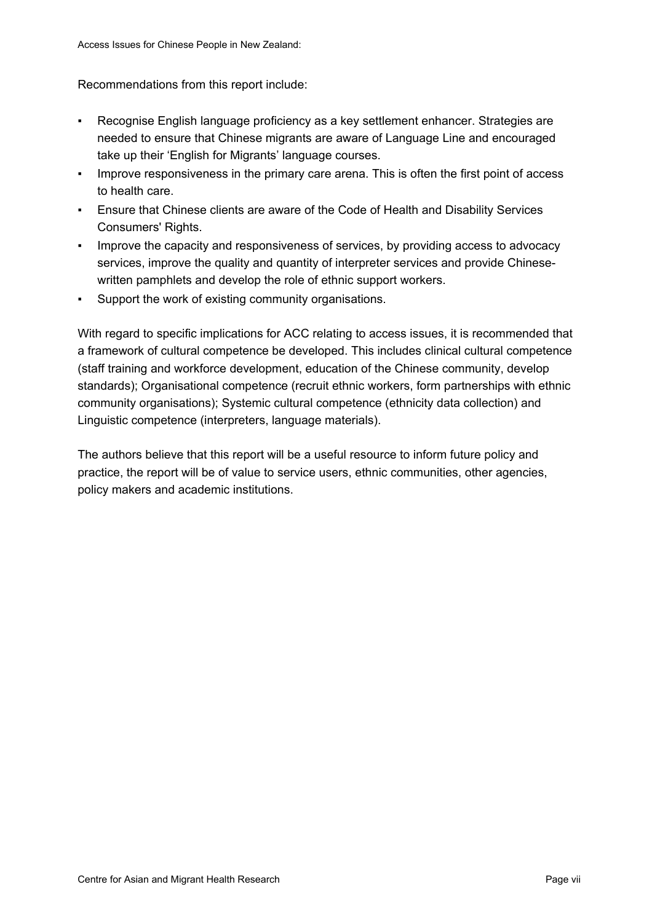Recommendations from this report include:

- Recognise English language proficiency as a key settlement enhancer. Strategies are needed to ensure that Chinese migrants are aware of Language Line and encouraged take up their 'English for Migrants' language courses.
- **•** Improve responsiveness in the primary care arena. This is often the first point of access to health care.
- Ensure that Chinese clients are aware of the Code of Health and Disability Services Consumers' Rights.
- Improve the capacity and responsiveness of services, by providing access to advocacy services, improve the quality and quantity of interpreter services and provide Chinesewritten pamphlets and develop the role of ethnic support workers.
- Support the work of existing community organisations.

With regard to specific implications for ACC relating to access issues, it is recommended that a framework of cultural competence be developed. This includes clinical cultural competence (staff training and workforce development, education of the Chinese community, develop standards); Organisational competence (recruit ethnic workers, form partnerships with ethnic community organisations); Systemic cultural competence (ethnicity data collection) and Linguistic competence (interpreters, language materials).

The authors believe that this report will be a useful resource to inform future policy and practice, the report will be of value to service users, ethnic communities, other agencies, policy makers and academic institutions.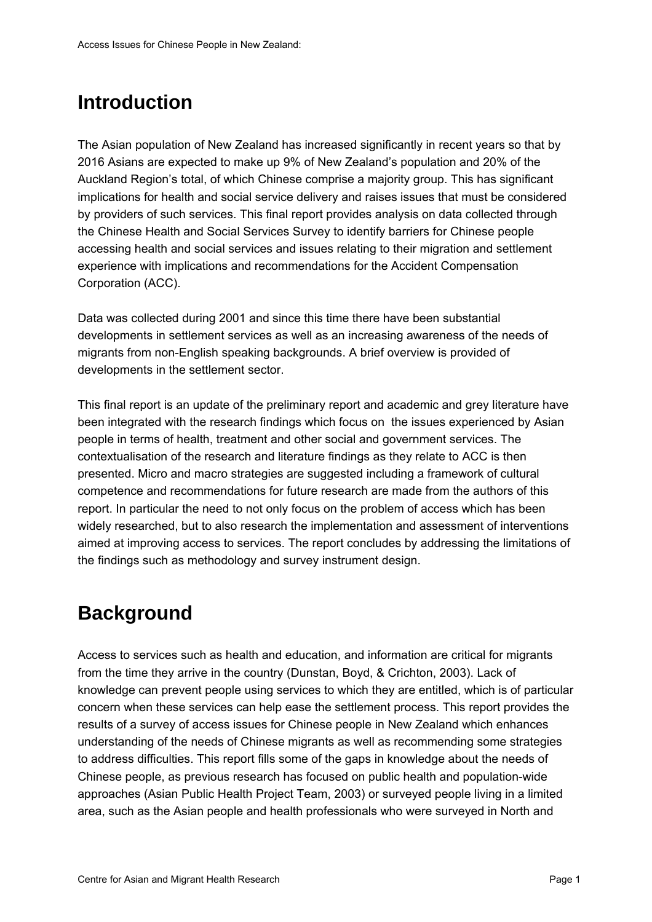# <span id="page-8-0"></span>**Introduction**

The Asian population of New Zealand has increased significantly in recent years so that by 2016 Asians are expected to make up 9% of New Zealand's population and 20% of the Auckland Region's total, of which Chinese comprise a majority group. This has significant implications for health and social service delivery and raises issues that must be considered by providers of such services. This final report provides analysis on data collected through the Chinese Health and Social Services Survey to identify barriers for Chinese people accessing health and social services and issues relating to their migration and settlement experience with implications and recommendations for the Accident Compensation Corporation (ACC).

Data was collected during 2001 and since this time there have been substantial developments in settlement services as well as an increasing awareness of the needs of migrants from non-English speaking backgrounds. A brief overview is provided of developments in the settlement sector.

This final report is an update of the preliminary report and academic and grey literature have been integrated with the research findings which focus on the issues experienced by Asian people in terms of health, treatment and other social and government services. The contextualisation of the research and literature findings as they relate to ACC is then presented. Micro and macro strategies are suggested including a framework of cultural competence and recommendations for future research are made from the authors of this report. In particular the need to not only focus on the problem of access which has been widely researched, but to also research the implementation and assessment of interventions aimed at improving access to services. The report concludes by addressing the limitations of the findings such as methodology and survey instrument design.

# **Background**

Access to services such as health and education, and information are critical for migrants from the time they arrive in the country (Dunstan, Boyd, & Crichton, 2003). Lack of knowledge can prevent people using services to which they are entitled, which is of particular concern when these services can help ease the settlement process. This report provides the results of a survey of access issues for Chinese people in New Zealand which enhances understanding of the needs of Chinese migrants as well as recommending some strategies to address difficulties. This report fills some of the gaps in knowledge about the needs of Chinese people, as previous research has focused on public health and population-wide approaches (Asian Public Health Project Team, 2003) or surveyed people living in a limited area, such as the Asian people and health professionals who were surveyed in North and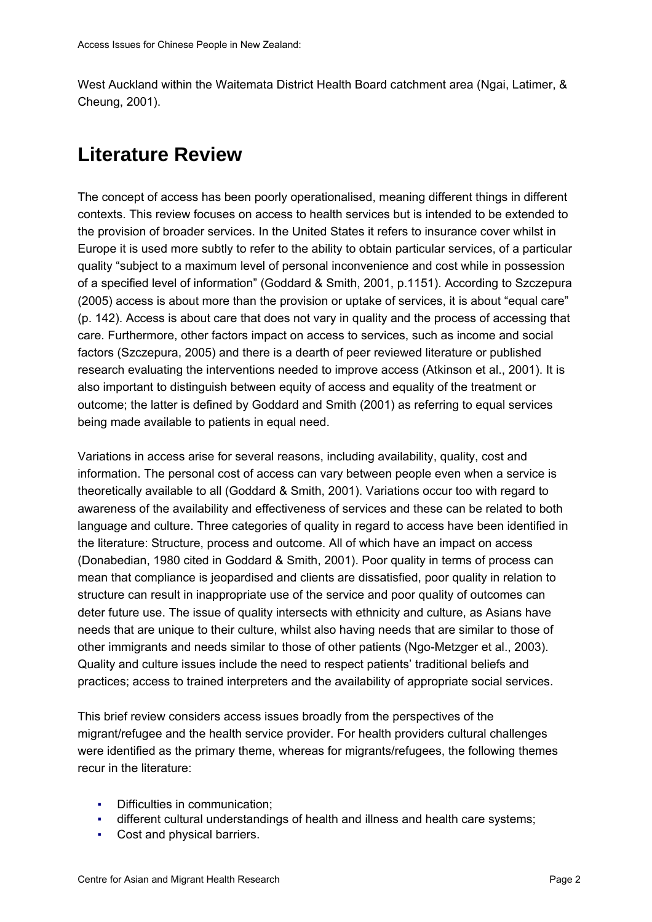<span id="page-9-0"></span>West Auckland within the Waitemata District Health Board catchment area (Ngai, Latimer, & Cheung, 2001).

# **Literature Review**

The concept of access has been poorly operationalised, meaning different things in different contexts. This review focuses on access to health services but is intended to be extended to the provision of broader services. In the United States it refers to insurance cover whilst in Europe it is used more subtly to refer to the ability to obtain particular services, of a particular quality "subject to a maximum level of personal inconvenience and cost while in possession of a specified level of information" (Goddard & Smith, 2001, p.1151). According to Szczepura (2005) access is about more than the provision or uptake of services, it is about "equal care" (p. 142). Access is about care that does not vary in quality and the process of accessing that care. Furthermore, other factors impact on access to services, such as income and social factors (Szczepura, 2005) and there is a dearth of peer reviewed literature or published research evaluating the interventions needed to improve access (Atkinson et al., 2001). It is also important to distinguish between equity of access and equality of the treatment or outcome; the latter is defined by Goddard and Smith (2001) as referring to equal services being made available to patients in equal need.

Variations in access arise for several reasons, including availability, quality, cost and information. The personal cost of access can vary between people even when a service is theoretically available to all (Goddard & Smith, 2001). Variations occur too with regard to awareness of the availability and effectiveness of services and these can be related to both language and culture. Three categories of quality in regard to access have been identified in the literature: Structure, process and outcome. All of which have an impact on access (Donabedian, 1980 cited in Goddard & Smith, 2001). Poor quality in terms of process can mean that compliance is jeopardised and clients are dissatisfied, poor quality in relation to structure can result in inappropriate use of the service and poor quality of outcomes can deter future use. The issue of quality intersects with ethnicity and culture, as Asians have needs that are unique to their culture, whilst also having needs that are similar to those of other immigrants and needs similar to those of other patients (Ngo-Metzger et al., 2003). Quality and culture issues include the need to respect patients' traditional beliefs and practices; access to trained interpreters and the availability of appropriate social services.

This brief review considers access issues broadly from the perspectives of the migrant/refugee and the health service provider. For health providers cultural challenges were identified as the primary theme, whereas for migrants/refugees, the following themes recur in the literature:

- Difficulties in communication;
- different cultural understandings of health and illness and health care systems;
- Cost and physical barriers.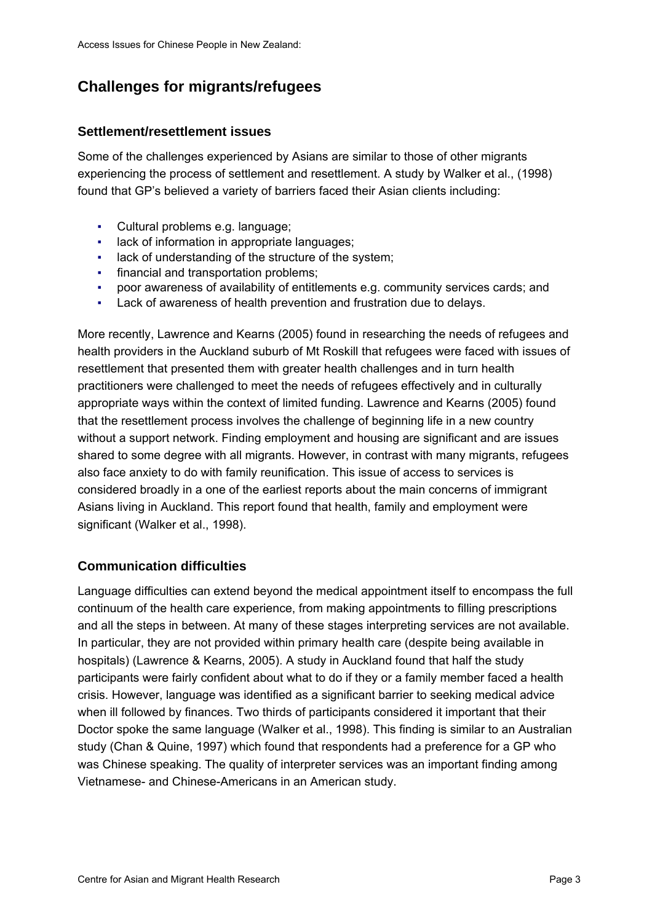# <span id="page-10-0"></span>**Challenges for migrants/refugees**

#### **Settlement/resettlement issues**

Some of the challenges experienced by Asians are similar to those of other migrants experiencing the process of settlement and resettlement. A study by Walker et al., (1998) found that GP's believed a variety of barriers faced their Asian clients including:

- Cultural problems e.g. language;
- lack of information in appropriate languages;
- lack of understanding of the structure of the system;
- **•** financial and transportation problems;
- poor awareness of availability of entitlements e.g. community services cards; and
- Lack of awareness of health prevention and frustration due to delays.

More recently, Lawrence and Kearns (2005) found in researching the needs of refugees and health providers in the Auckland suburb of Mt Roskill that refugees were faced with issues of resettlement that presented them with greater health challenges and in turn health practitioners were challenged to meet the needs of refugees effectively and in culturally appropriate ways within the context of limited funding. Lawrence and Kearns (2005) found that the resettlement process involves the challenge of beginning life in a new country without a support network. Finding employment and housing are significant and are issues shared to some degree with all migrants. However, in contrast with many migrants, refugees also face anxiety to do with family reunification. This issue of access to services is considered broadly in a one of the earliest reports about the main concerns of immigrant Asians living in Auckland. This report found that health, family and employment were significant (Walker et al., 1998).

#### **Communication difficulties**

Language difficulties can extend beyond the medical appointment itself to encompass the full continuum of the health care experience, from making appointments to filling prescriptions and all the steps in between. At many of these stages interpreting services are not available. In particular, they are not provided within primary health care (despite being available in hospitals) (Lawrence & Kearns, 2005). A study in Auckland found that half the study participants were fairly confident about what to do if they or a family member faced a health crisis. However, language was identified as a significant barrier to seeking medical advice when ill followed by finances. Two thirds of participants considered it important that their Doctor spoke the same language (Walker et al., 1998). This finding is similar to an Australian study (Chan & Quine, 1997) which found that respondents had a preference for a GP who was Chinese speaking. The quality of interpreter services was an important finding among Vietnamese- and Chinese-Americans in an American study.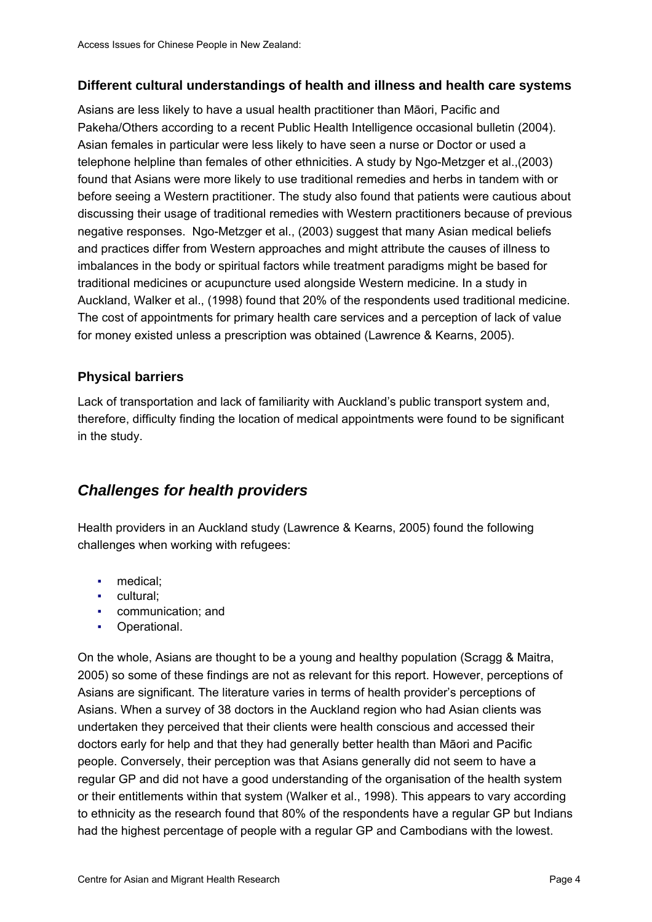#### <span id="page-11-0"></span>**Different cultural understandings of health and illness and health care systems**

Asians are less likely to have a usual health practitioner than Māori, Pacific and Pakeha/Others according to a recent Public Health Intelligence occasional bulletin (2004). Asian females in particular were less likely to have seen a nurse or Doctor or used a telephone helpline than females of other ethnicities. A study by Ngo-Metzger et al.,(2003) found that Asians were more likely to use traditional remedies and herbs in tandem with or before seeing a Western practitioner. The study also found that patients were cautious about discussing their usage of traditional remedies with Western practitioners because of previous negative responses. Ngo-Metzger et al., (2003) suggest that many Asian medical beliefs and practices differ from Western approaches and might attribute the causes of illness to imbalances in the body or spiritual factors while treatment paradigms might be based for traditional medicines or acupuncture used alongside Western medicine. In a study in Auckland, Walker et al., (1998) found that 20% of the respondents used traditional medicine. The cost of appointments for primary health care services and a perception of lack of value for money existed unless a prescription was obtained (Lawrence & Kearns, 2005).

#### **Physical barriers**

Lack of transportation and lack of familiarity with Auckland's public transport system and, therefore, difficulty finding the location of medical appointments were found to be significant in the study.

## *Challenges for health providers*

Health providers in an Auckland study (Lawrence & Kearns, 2005) found the following challenges when working with refugees:

- medical;
- cultural;
- communication; and
- Operational.

On the whole, Asians are thought to be a young and healthy population (Scragg & Maitra, 2005) so some of these findings are not as relevant for this report. However, perceptions of Asians are significant. The literature varies in terms of health provider's perceptions of Asians. When a survey of 38 doctors in the Auckland region who had Asian clients was undertaken they perceived that their clients were health conscious and accessed their doctors early for help and that they had generally better health than Māori and Pacific people. Conversely, their perception was that Asians generally did not seem to have a regular GP and did not have a good understanding of the organisation of the health system or their entitlements within that system (Walker et al., 1998). This appears to vary according to ethnicity as the research found that 80% of the respondents have a regular GP but Indians had the highest percentage of people with a regular GP and Cambodians with the lowest.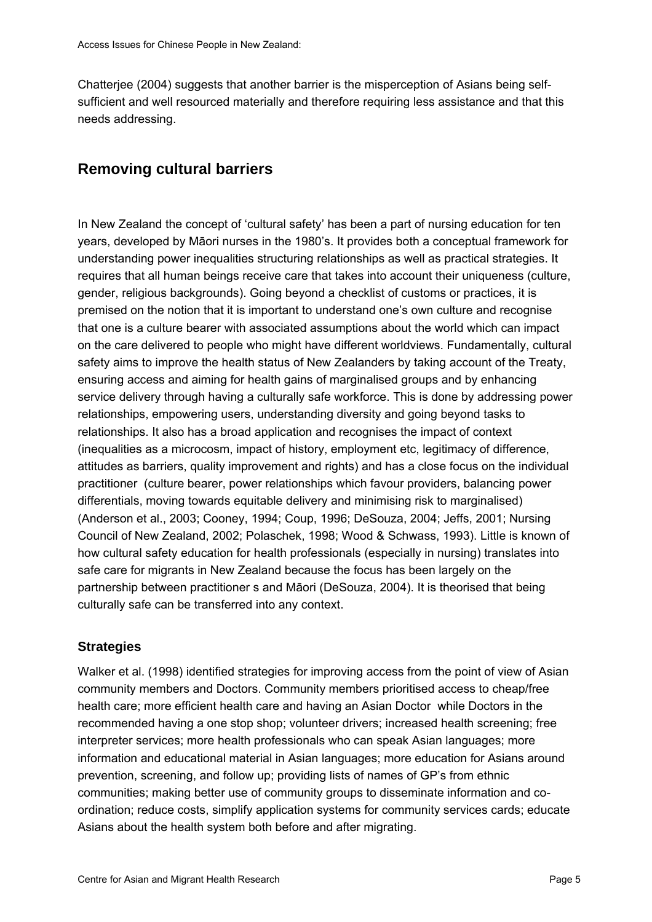<span id="page-12-0"></span>Chatterjee (2004) suggests that another barrier is the misperception of Asians being selfsufficient and well resourced materially and therefore requiring less assistance and that this needs addressing.

## **Removing cultural barriers**

In New Zealand the concept of 'cultural safety' has been a part of nursing education for ten years, developed by Māori nurses in the 1980's. It provides both a conceptual framework for understanding power inequalities structuring relationships as well as practical strategies. It requires that all human beings receive care that takes into account their uniqueness (culture, gender, religious backgrounds). Going beyond a checklist of customs or practices, it is premised on the notion that it is important to understand one's own culture and recognise that one is a culture bearer with associated assumptions about the world which can impact on the care delivered to people who might have different worldviews. Fundamentally, cultural safety aims to improve the health status of New Zealanders by taking account of the Treaty, ensuring access and aiming for health gains of marginalised groups and by enhancing service delivery through having a culturally safe workforce. This is done by addressing power relationships, empowering users, understanding diversity and going beyond tasks to relationships. It also has a broad application and recognises the impact of context (inequalities as a microcosm, impact of history, employment etc, legitimacy of difference, attitudes as barriers, quality improvement and rights) and has a close focus on the individual practitioner (culture bearer, power relationships which favour providers, balancing power differentials, moving towards equitable delivery and minimising risk to marginalised) (Anderson et al., 2003; Cooney, 1994; Coup, 1996; DeSouza, 2004; Jeffs, 2001; Nursing Council of New Zealand, 2002; Polaschek, 1998; Wood & Schwass, 1993). Little is known of how cultural safety education for health professionals (especially in nursing) translates into safe care for migrants in New Zealand because the focus has been largely on the partnership between practitioner s and Māori (DeSouza, 2004). It is theorised that being culturally safe can be transferred into any context.

#### **Strategies**

Walker et al. (1998) identified strategies for improving access from the point of view of Asian community members and Doctors. Community members prioritised access to cheap/free health care; more efficient health care and having an Asian Doctor while Doctors in the recommended having a one stop shop; volunteer drivers; increased health screening; free interpreter services; more health professionals who can speak Asian languages; more information and educational material in Asian languages; more education for Asians around prevention, screening, and follow up; providing lists of names of GP's from ethnic communities; making better use of community groups to disseminate information and coordination; reduce costs, simplify application systems for community services cards; educate Asians about the health system both before and after migrating.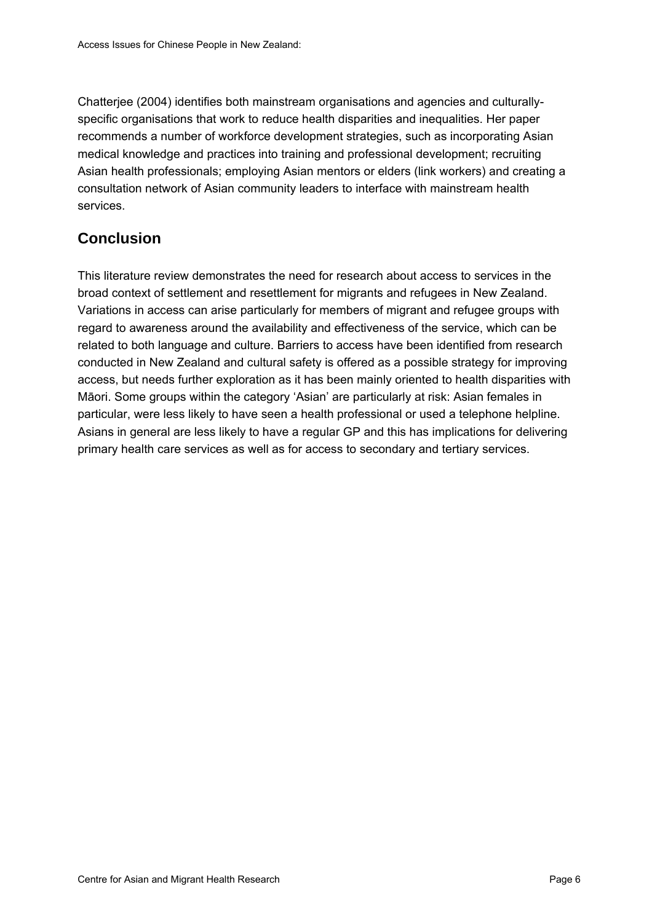<span id="page-13-0"></span>Chatterjee (2004) identifies both mainstream organisations and agencies and culturallyspecific organisations that work to reduce health disparities and inequalities. Her paper recommends a number of workforce development strategies, such as incorporating Asian medical knowledge and practices into training and professional development; recruiting Asian health professionals; employing Asian mentors or elders (link workers) and creating a consultation network of Asian community leaders to interface with mainstream health services.

# **Conclusion**

This literature review demonstrates the need for research about access to services in the broad context of settlement and resettlement for migrants and refugees in New Zealand. Variations in access can arise particularly for members of migrant and refugee groups with regard to awareness around the availability and effectiveness of the service, which can be related to both language and culture. Barriers to access have been identified from research conducted in New Zealand and cultural safety is offered as a possible strategy for improving access, but needs further exploration as it has been mainly oriented to health disparities with Māori. Some groups within the category 'Asian' are particularly at risk: Asian females in particular, were less likely to have seen a health professional or used a telephone helpline. Asians in general are less likely to have a regular GP and this has implications for delivering primary health care services as well as for access to secondary and tertiary services.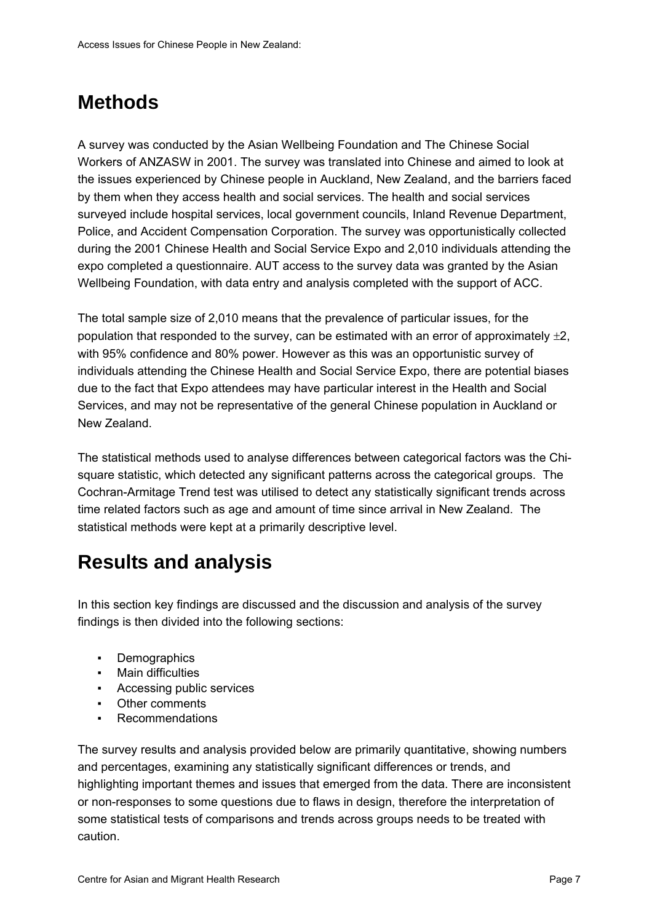# <span id="page-14-0"></span>**Methods**

A survey was conducted by the Asian Wellbeing Foundation and The Chinese Social Workers of ANZASW in 2001. The survey was translated into Chinese and aimed to look at the issues experienced by Chinese people in Auckland, New Zealand, and the barriers faced by them when they access health and social services. The health and social services surveyed include hospital services, local government councils, Inland Revenue Department, Police, and Accident Compensation Corporation. The survey was opportunistically collected during the 2001 Chinese Health and Social Service Expo and 2,010 individuals attending the expo completed a questionnaire. AUT access to the survey data was granted by the Asian Wellbeing Foundation, with data entry and analysis completed with the support of ACC.

The total sample size of 2,010 means that the prevalence of particular issues, for the population that responded to the survey, can be estimated with an error of approximately  $\pm 2$ , with 95% confidence and 80% power. However as this was an opportunistic survey of individuals attending the Chinese Health and Social Service Expo, there are potential biases due to the fact that Expo attendees may have particular interest in the Health and Social Services, and may not be representative of the general Chinese population in Auckland or New Zealand.

The statistical methods used to analyse differences between categorical factors was the Chisquare statistic, which detected any significant patterns across the categorical groups. The Cochran-Armitage Trend test was utilised to detect any statistically significant trends across time related factors such as age and amount of time since arrival in New Zealand. The statistical methods were kept at a primarily descriptive level.

# **Results and analysis**

In this section key findings are discussed and the discussion and analysis of the survey findings is then divided into the following sections:

- Demographics
- Main difficulties
- Accessing public services
- Other comments
- Recommendations

The survey results and analysis provided below are primarily quantitative, showing numbers and percentages, examining any statistically significant differences or trends, and highlighting important themes and issues that emerged from the data. There are inconsistent or non-responses to some questions due to flaws in design, therefore the interpretation of some statistical tests of comparisons and trends across groups needs to be treated with caution.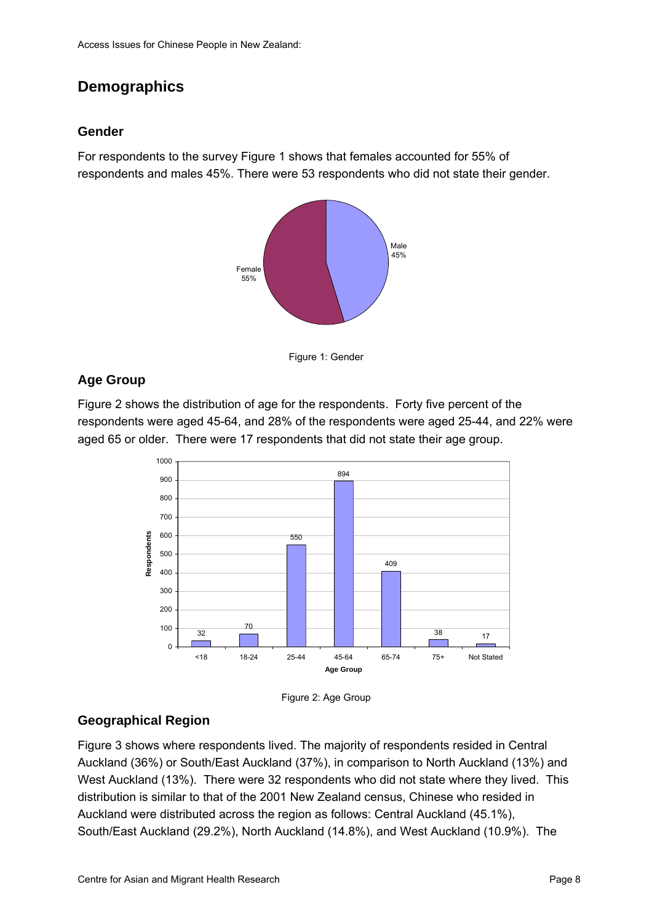# <span id="page-15-0"></span>**Demographics**

#### **Gender**

For respondents to the survey [Figure 1](#page-15-0) shows that females accounted for 55% of respondents and males 45%. There were 53 respondents who did not state their gender.





## **Age Group**

[Figure 2](#page-15-0) shows the distribution of age for the respondents. Forty five percent of the respondents were aged 45-64, and 28% of the respondents were aged 25-44, and 22% were aged 65 or older. There were 17 respondents that did not state their age group.





## **Geographical Region**

[Figure 3](#page-16-0) shows where respondents lived. The majority of respondents resided in Central Auckland (36%) or South/East Auckland (37%), in comparison to North Auckland (13%) and West Auckland (13%). There were 32 respondents who did not state where they lived. This distribution is similar to that of the 2001 New Zealand census, Chinese who resided in Auckland were distributed across the region as follows: Central Auckland (45.1%), South/East Auckland (29.2%), North Auckland (14.8%), and West Auckland (10.9%). The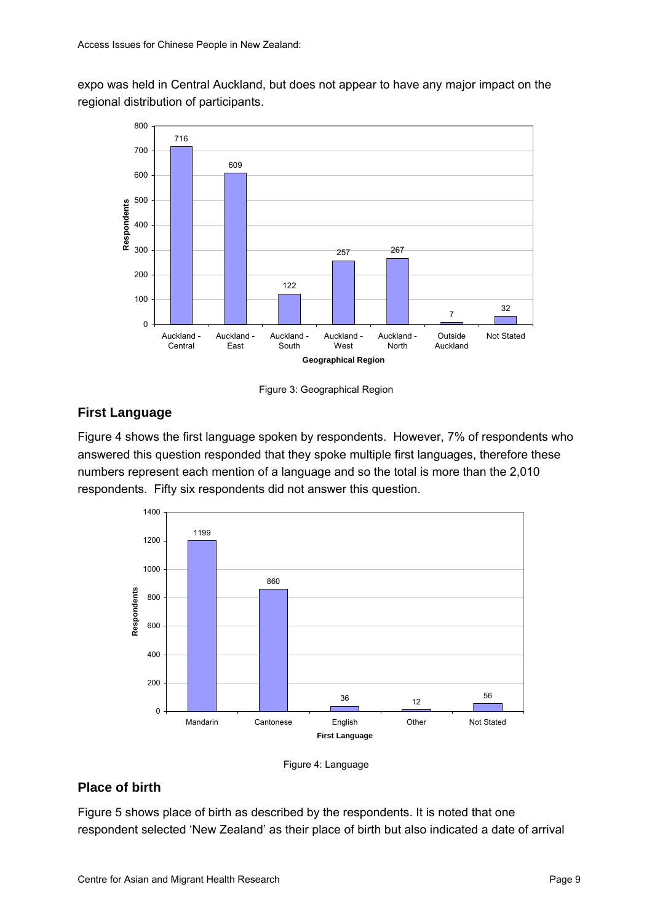<span id="page-16-0"></span>expo was held in Central Auckland, but does not appear to have any major impact on the regional distribution of participants.



Figure 3: Geographical Region

## **First Language**

[Figure 4](#page-16-0) shows the first language spoken by respondents. However, 7% of respondents who answered this question responded that they spoke multiple first languages, therefore these numbers represent each mention of a language and so the total is more than the 2,010 respondents. Fifty six respondents did not answer this question.





#### **Place of birth**

[Figure 5](#page-17-0) shows place of birth as described by the respondents. It is noted that one respondent selected 'New Zealand' as their place of birth but also indicated a date of arrival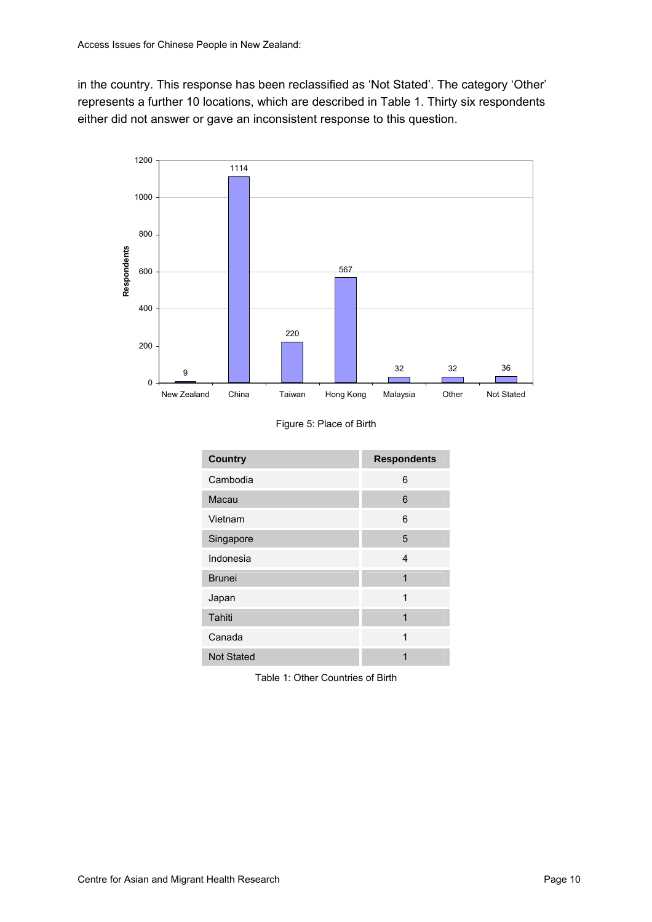<span id="page-17-0"></span>in the country. This response has been reclassified as 'Not Stated'. The category 'Other' represents a further 10 locations, which are described in [Table 1.](#page-17-0) Thirty six respondents either did not answer or gave an inconsistent response to this question.



Figure 5: Place of Birth

| <b>Country</b>    | <b>Respondents</b> |
|-------------------|--------------------|
| Cambodia          | 6                  |
| Macau             | 6                  |
| Vietnam           | 6                  |
| Singapore         | 5                  |
| Indonesia         | 4                  |
| <b>Brunei</b>     | 1                  |
| Japan             | 1                  |
| Tahiti            | 1                  |
| Canada            | 1                  |
| <b>Not Stated</b> | 1                  |

Table 1: Other Countries of Birth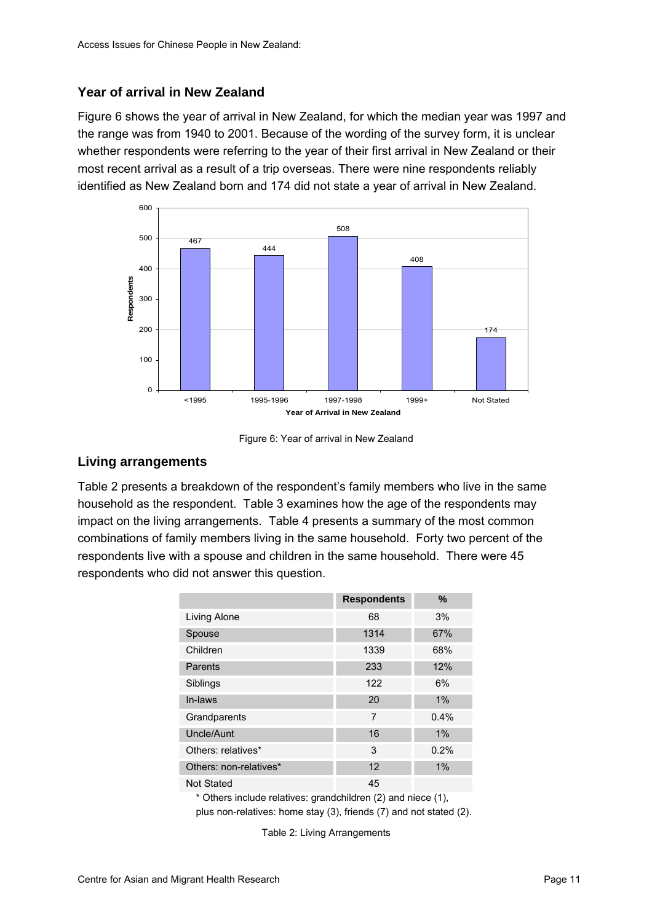#### <span id="page-18-0"></span>**Year of arrival in New Zealand**

[Figure 6](#page-18-0) shows the year of arrival in New Zealand, for which the median year was 1997 and the range was from 1940 to 2001. Because of the wording of the survey form, it is unclear whether respondents were referring to the year of their first arrival in New Zealand or their most recent arrival as a result of a trip overseas. There were nine respondents reliably identified as New Zealand born and 174 did not state a year of arrival in New Zealand.



Figure 6: Year of arrival in New Zealand

#### **Living arrangements**

[Table 2](#page-18-0) presents a breakdown of the respondent's family members who live in the same household as the respondent. [Table 3](#page-19-0) examines how the age of the respondents may impact on the living arrangements. [Table 4](#page-20-0) presents a summary of the most common combinations of family members living in the same household. Forty two percent of the respondents live with a spouse and children in the same household. There were 45 respondents who did not answer this question.

| 68<br>1314<br>1339 | 3%<br>67%<br>68% |
|--------------------|------------------|
|                    |                  |
|                    |                  |
|                    |                  |
| 233                | 12%              |
| 122                | 6%               |
| 20                 | 1%               |
| $\overline{7}$     | 0.4%             |
| 16                 | 1%               |
| 3                  | 0.2%             |
| 12                 | 1%               |
| 45                 |                  |
|                    |                  |

Others include relatives: grandchildren (2) and niece (1), plus non-relatives: home stay (3), friends (7) and not stated (2).

Table 2: Living Arrangements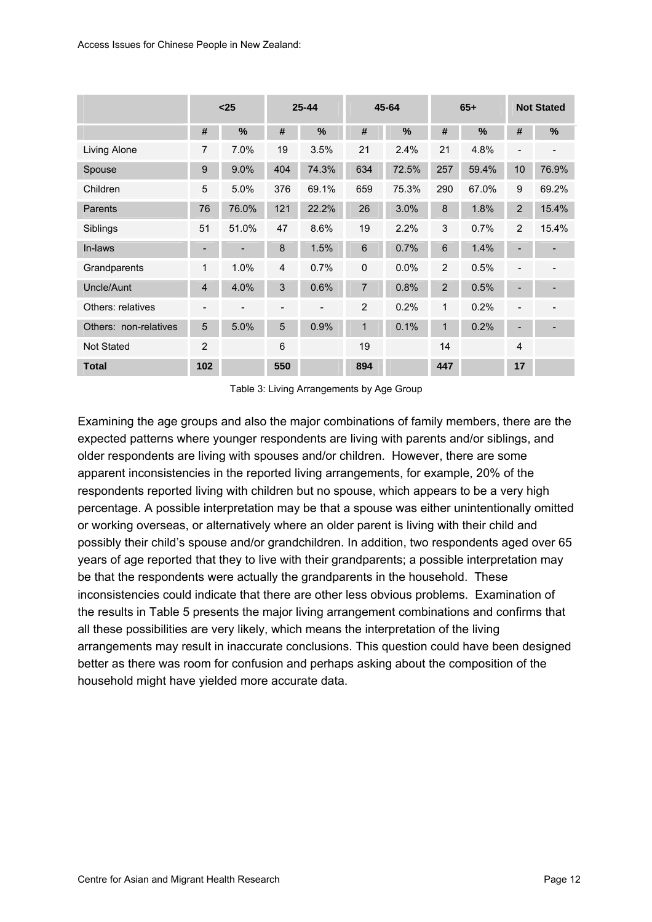<span id="page-19-0"></span>

|                       |                              | $25$                     |                | $25 - 44$     |                | 45-64 |                | $65+$         |                | <b>Not Stated</b>        |
|-----------------------|------------------------------|--------------------------|----------------|---------------|----------------|-------|----------------|---------------|----------------|--------------------------|
|                       | #                            | $\%$                     | #              | $\frac{0}{0}$ | #              | %     | #              | $\frac{9}{6}$ | #              | %                        |
| Living Alone          | 7                            | 7.0%                     | 19             | 3.5%          | 21             | 2.4%  | 21             | 4.8%          |                |                          |
| Spouse                | 9                            | 9.0%                     | 404            | 74.3%         | 634            | 72.5% | 257            | 59.4%         | 10             | 76.9%                    |
| Children              | 5                            | 5.0%                     | 376            | 69.1%         | 659            | 75.3% | 290            | 67.0%         | 9              | 69.2%                    |
| Parents               | 76                           | 76.0%                    | 121            | 22.2%         | 26             | 3.0%  | 8              | 1.8%          | $\overline{2}$ | 15.4%                    |
| Siblings              | 51                           | 51.0%                    | 47             | 8.6%          | 19             | 2.2%  | 3              | 0.7%          | 2              | 15.4%                    |
| In-laws               |                              |                          | 8              | 1.5%          | 6              | 0.7%  | 6              | 1.4%          |                |                          |
| Grandparents          | 1                            | 1.0%                     | $\overline{4}$ | 0.7%          | $\mathbf 0$    | 0.0%  | 2              | 0.5%          | ٠              | $\overline{\phantom{0}}$ |
| Uncle/Aunt            | $\overline{\mathbf{4}}$      | 4.0%                     | 3              | 0.6%          | $\overline{7}$ | 0.8%  | $\overline{2}$ | 0.5%          |                |                          |
| Others: relatives     | $\qquad \qquad \blacksquare$ | $\overline{\phantom{0}}$ |                |               | 2              | 0.2%  | 1              | 0.2%          |                |                          |
| Others: non-relatives | 5                            | 5.0%                     | 5              | 0.9%          | $\mathbf{1}$   | 0.1%  | $\mathbf{1}$   | 0.2%          |                | -                        |
| Not Stated            | $\overline{2}$               |                          | 6              |               | 19             |       | 14             |               | $\overline{4}$ |                          |
| <b>Total</b>          | 102                          |                          | 550            |               | 894            |       | 447            |               | 17             |                          |

Table 3: Living Arrangements by Age Group

Examining the age groups and also the major combinations of family members, there are the expected patterns where younger respondents are living with parents and/or siblings, and older respondents are living with spouses and/or children. However, there are some apparent inconsistencies in the reported living arrangements, for example, 20% of the respondents reported living with children but no spouse, which appears to be a very high percentage. A possible interpretation may be that a spouse was either unintentionally omitted or working overseas, or alternatively where an older parent is living with their child and possibly their child's spouse and/or grandchildren. In addition, two respondents aged over 65 years of age reported that they to live with their grandparents; a possible interpretation may be that the respondents were actually the grandparents in the household. These inconsistencies could indicate that there are other less obvious problems. Examination of the results in [Table 5](#page-20-0) presents the major living arrangement combinations and confirms that all these possibilities are very likely, which means the interpretation of the living arrangements may result in inaccurate conclusions. This question could have been designed better as there was room for confusion and perhaps asking about the composition of the household might have yielded more accurate data.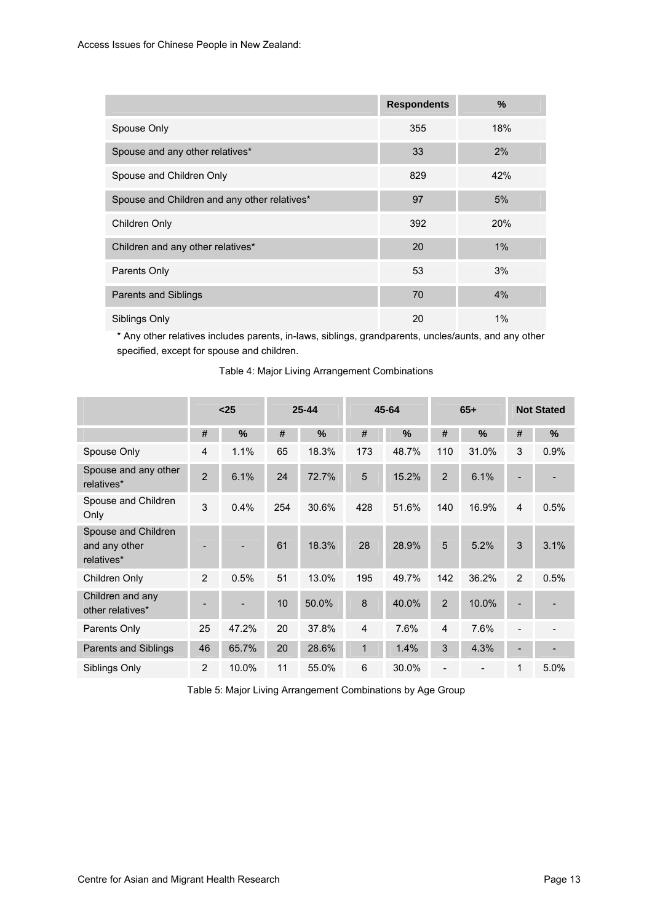<span id="page-20-0"></span>

|                                              | <b>Respondents</b> | $\%$       |
|----------------------------------------------|--------------------|------------|
| Spouse Only                                  | 355                | 18%        |
| Spouse and any other relatives*              | 33                 | 2%         |
| Spouse and Children Only                     | 829                | 42%        |
| Spouse and Children and any other relatives* | 97                 | 5%         |
| Children Only                                | 392                | <b>20%</b> |
| Children and any other relatives*            | 20                 | 1%         |
| Parents Only                                 | 53                 | 3%         |
| <b>Parents and Siblings</b>                  | 70                 | 4%         |
| Siblings Only                                | 20                 | $1\%$      |

\* Any other relatives includes parents, in-laws, siblings, grandparents, uncles/aunts, and any other specified, except for spouse and children.

|                                                    |                | $25$  | $25 - 44$ |       |                |       | 45-64          |               |                          |      | $65+$ |  |  |  | <b>Not Stated</b> |  |
|----------------------------------------------------|----------------|-------|-----------|-------|----------------|-------|----------------|---------------|--------------------------|------|-------|--|--|--|-------------------|--|
|                                                    | #              | $\%$  | #         | %     | #              | %     | #              | $\frac{0}{0}$ | #                        | %    |       |  |  |  |                   |  |
| Spouse Only                                        | 4              | 1.1%  | 65        | 18.3% | 173            | 48.7% | 110            | 31.0%         | 3                        | 0.9% |       |  |  |  |                   |  |
| Spouse and any other<br>relatives*                 | $\overline{2}$ | 6.1%  | 24        | 72.7% | 5              | 15.2% | $\overline{2}$ | 6.1%          |                          |      |       |  |  |  |                   |  |
| Spouse and Children<br>Only                        | 3              | 0.4%  | 254       | 30.6% | 428            | 51.6% | 140            | 16.9%         | 4                        | 0.5% |       |  |  |  |                   |  |
| Spouse and Children<br>and any other<br>relatives* |                |       | 61        | 18.3% | 28             | 28.9% | 5              | 5.2%          | 3                        | 3.1% |       |  |  |  |                   |  |
| Children Only                                      | 2              | 0.5%  | 51        | 13.0% | 195            | 49.7% | 142            | 36.2%         | 2                        | 0.5% |       |  |  |  |                   |  |
| Children and any<br>other relatives*               |                |       | 10        | 50.0% | 8              | 40.0% | $\overline{2}$ | 10.0%         |                          |      |       |  |  |  |                   |  |
| Parents Only                                       | 25             | 47.2% | 20        | 37.8% | $\overline{4}$ | 7.6%  | $\overline{4}$ | 7.6%          |                          |      |       |  |  |  |                   |  |
| Parents and Siblings                               | 46             | 65.7% | 20        | 28.6% | $\mathbf{1}$   | 1.4%  | 3              | 4.3%          | $\overline{\phantom{0}}$ |      |       |  |  |  |                   |  |
| Siblings Only                                      | $\overline{2}$ | 10.0% | 11        | 55.0% | 6              | 30.0% |                |               | 1                        | 5.0% |       |  |  |  |                   |  |

Table 4: Major Living Arrangement Combinations

Table 5: Major Living Arrangement Combinations by Age Group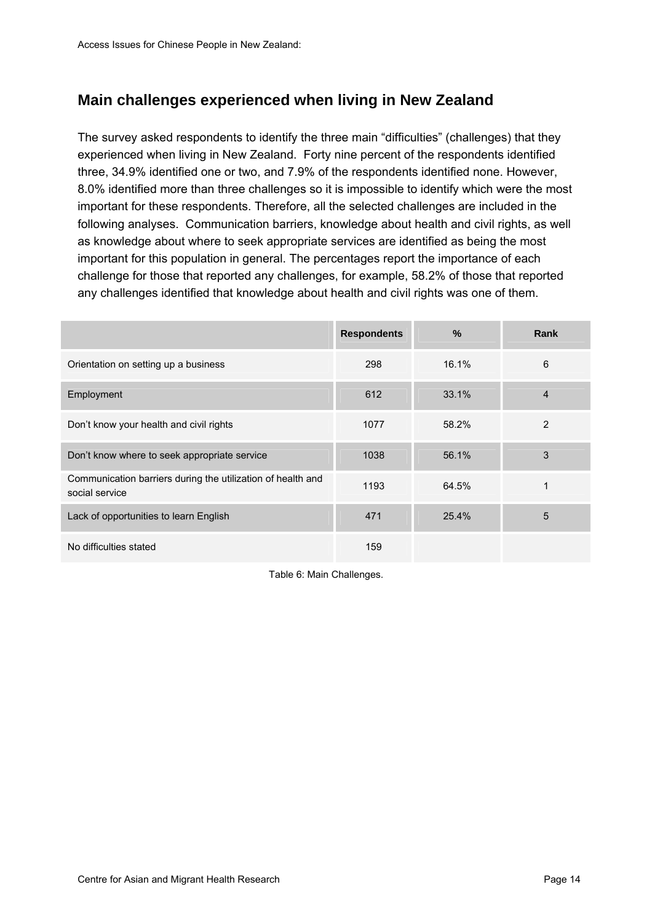# <span id="page-21-0"></span>**Main challenges experienced when living in New Zealand**

The survey asked respondents to identify the three main "difficulties" (challenges) that they experienced when living in New Zealand. Forty nine percent of the respondents identified three, 34.9% identified one or two, and 7.9% of the respondents identified none. However, 8.0% identified more than three challenges so it is impossible to identify which were the most important for these respondents. Therefore, all the selected challenges are included in the following analyses. Communication barriers, knowledge about health and civil rights, as well as knowledge about where to seek appropriate services are identified as being the most important for this population in general. The percentages report the importance of each challenge for those that reported any challenges, for example, 58.2% of those that reported any challenges identified that knowledge about health and civil rights was one of them.

|                                                                               | <b>Respondents</b> | %     | <b>Rank</b>    |
|-------------------------------------------------------------------------------|--------------------|-------|----------------|
| Orientation on setting up a business                                          | 298                | 16.1% | 6              |
| Employment                                                                    | 612                | 33.1% | $\overline{4}$ |
| Don't know your health and civil rights                                       | 1077               | 58.2% | 2              |
| Don't know where to seek appropriate service                                  | 1038               | 56.1% | 3              |
| Communication barriers during the utilization of health and<br>social service | 1193               | 64.5% | 1              |
| Lack of opportunities to learn English                                        | 471                | 25.4% | 5              |
| No difficulties stated                                                        | 159                |       |                |

Table 6: Main Challenges.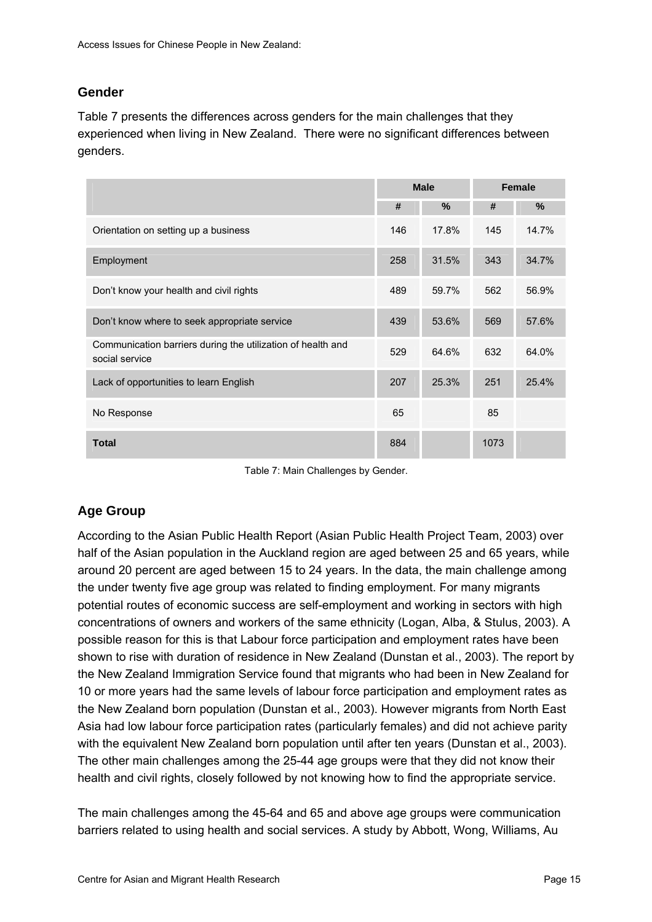### <span id="page-22-0"></span>**Gender**

[Table 7](#page-22-0) presents the differences across genders for the main challenges that they experienced when living in New Zealand. There were no significant differences between genders.

|                                                                               |     | <b>Male</b> | <b>Female</b> |       |  |
|-------------------------------------------------------------------------------|-----|-------------|---------------|-------|--|
|                                                                               | #   | $\%$        | #             | %     |  |
| Orientation on setting up a business                                          | 146 | 17.8%       | 145           | 14.7% |  |
| Employment                                                                    | 258 | 31.5%       | 343           | 34.7% |  |
| Don't know your health and civil rights                                       | 489 | 59.7%       | 562           | 56.9% |  |
| Don't know where to seek appropriate service                                  | 439 | 53.6%       | 569           | 57.6% |  |
| Communication barriers during the utilization of health and<br>social service | 529 | 64.6%       | 632           | 64.0% |  |
| Lack of opportunities to learn English                                        | 207 | 25.3%       | 251           | 25.4% |  |
| No Response                                                                   | 65  |             | 85            |       |  |
| <b>Total</b>                                                                  | 884 |             | 1073          |       |  |

Table 7: Main Challenges by Gender.

## **Age Group**

According to the Asian Public Health Report (Asian Public Health Project Team, 2003) over half of the Asian population in the Auckland region are aged between 25 and 65 years, while around 20 percent are aged between 15 to 24 years. In the data, the main challenge among the under twenty five age group was related to finding employment. For many migrants potential routes of economic success are self-employment and working in sectors with high concentrations of owners and workers of the same ethnicity (Logan, Alba, & Stulus, 2003). A possible reason for this is that Labour force participation and employment rates have been shown to rise with duration of residence in New Zealand (Dunstan et al., 2003). The report by the New Zealand Immigration Service found that migrants who had been in New Zealand for 10 or more years had the same levels of labour force participation and employment rates as the New Zealand born population (Dunstan et al., 2003). However migrants from North East Asia had low labour force participation rates (particularly females) and did not achieve parity with the equivalent New Zealand born population until after ten years (Dunstan et al., 2003). The other main challenges among the 25-44 age groups were that they did not know their health and civil rights, closely followed by not knowing how to find the appropriate service.

The main challenges among the 45-64 and 65 and above age groups were communication barriers related to using health and social services. A study by Abbott, Wong, Williams, Au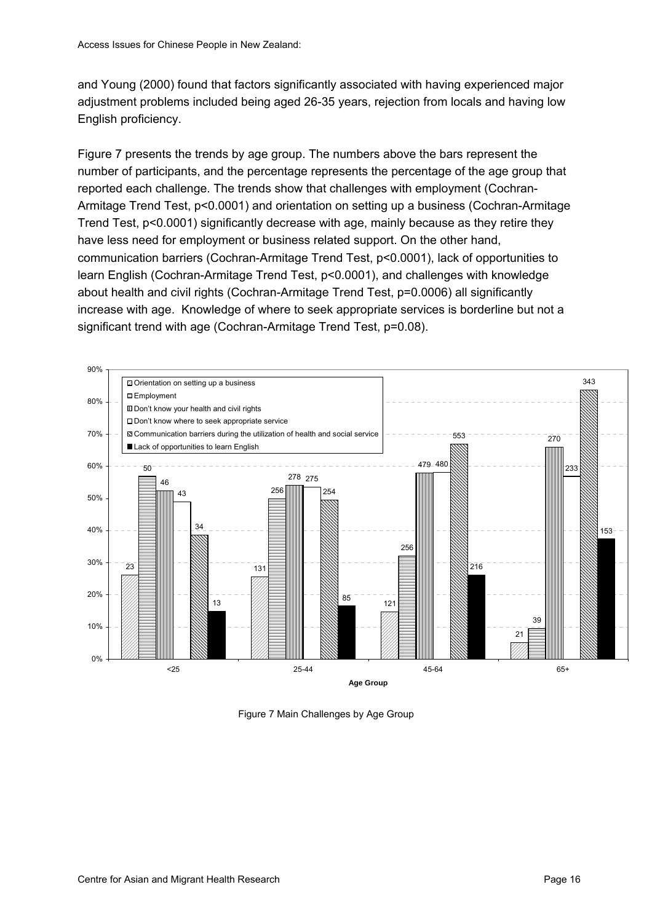<span id="page-23-0"></span>and Young (2000) found that factors significantly associated with having experienced major adjustment problems included being aged 26-35 years, rejection from locals and having low English proficiency.

[Figure 7](#page-23-0) presents the trends by age group. The numbers above the bars represent the number of participants, and the percentage represents the percentage of the age group that reported each challenge. The trends show that challenges with employment (Cochran-Armitage Trend Test, p<0.0001) and orientation on setting up a business (Cochran-Armitage Trend Test, p<0.0001) significantly decrease with age, mainly because as they retire they have less need for employment or business related support. On the other hand, communication barriers (Cochran-Armitage Trend Test, p<0.0001), lack of opportunities to learn English (Cochran-Armitage Trend Test, p<0.0001), and challenges with knowledge about health and civil rights (Cochran-Armitage Trend Test, p=0.0006) all significantly increase with age. Knowledge of where to seek appropriate services is borderline but not a significant trend with age (Cochran-Armitage Trend Test, p=0.08).



Figure 7 Main Challenges by Age Group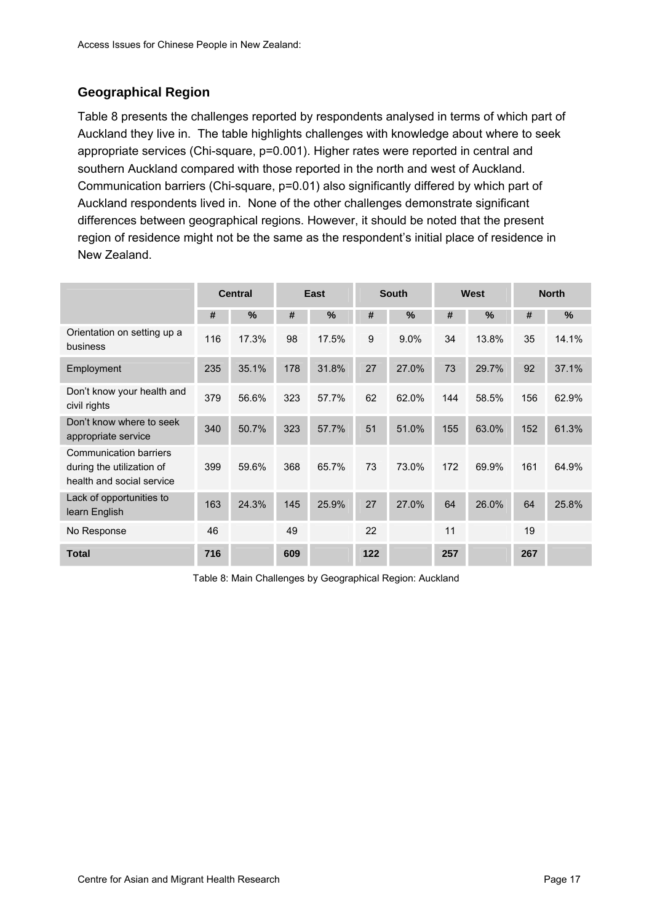## <span id="page-24-0"></span>**Geographical Region**

[Table 8](#page-24-0) presents the challenges reported by respondents analysed in terms of which part of Auckland they live in. The table highlights challenges with knowledge about where to seek appropriate services (Chi-square, p=0.001). Higher rates were reported in central and southern Auckland compared with those reported in the north and west of Auckland. Communication barriers (Chi-square, p=0.01) also significantly differed by which part of Auckland respondents lived in. None of the other challenges demonstrate significant differences between geographical regions. However, it should be noted that the present region of residence might not be the same as the respondent's initial place of residence in New Zealand.

|                                                                                  |     | East<br><b>Central</b> |     |               | <b>South</b> |               | West |               | <b>North</b> |               |
|----------------------------------------------------------------------------------|-----|------------------------|-----|---------------|--------------|---------------|------|---------------|--------------|---------------|
|                                                                                  | #   | $\frac{0}{0}$          | #   | $\frac{9}{6}$ | #            | $\frac{0}{0}$ | #    | $\frac{0}{0}$ | #            | $\frac{0}{0}$ |
| Orientation on setting up a<br>business                                          | 116 | 17.3%                  | 98  | 17.5%         | 9            | 9.0%          | 34   | 13.8%         | 35           | 14.1%         |
| Employment                                                                       | 235 | 35.1%                  | 178 | 31.8%         | 27           | 27.0%         | 73   | 29.7%         | 92           | 37.1%         |
| Don't know your health and<br>civil rights                                       | 379 | 56.6%                  | 323 | 57.7%         | 62           | 62.0%         | 144  | 58.5%         | 156          | 62.9%         |
| Don't know where to seek<br>appropriate service                                  | 340 | 50.7%                  | 323 | 57.7%         | 51           | 51.0%         | 155  | 63.0%         | 152          | 61.3%         |
| Communication barriers<br>during the utilization of<br>health and social service | 399 | 59.6%                  | 368 | 65.7%         | 73           | 73.0%         | 172  | 69.9%         | 161          | 64.9%         |
| Lack of opportunities to<br>learn English                                        | 163 | 24.3%                  | 145 | 25.9%         | 27           | 27.0%         | 64   | 26.0%         | 64           | 25.8%         |
| No Response                                                                      | 46  |                        | 49  |               | 22           |               | 11   |               | 19           |               |
| <b>Total</b>                                                                     | 716 |                        | 609 |               | 122          |               | 257  |               | 267          |               |

Table 8: Main Challenges by Geographical Region: Auckland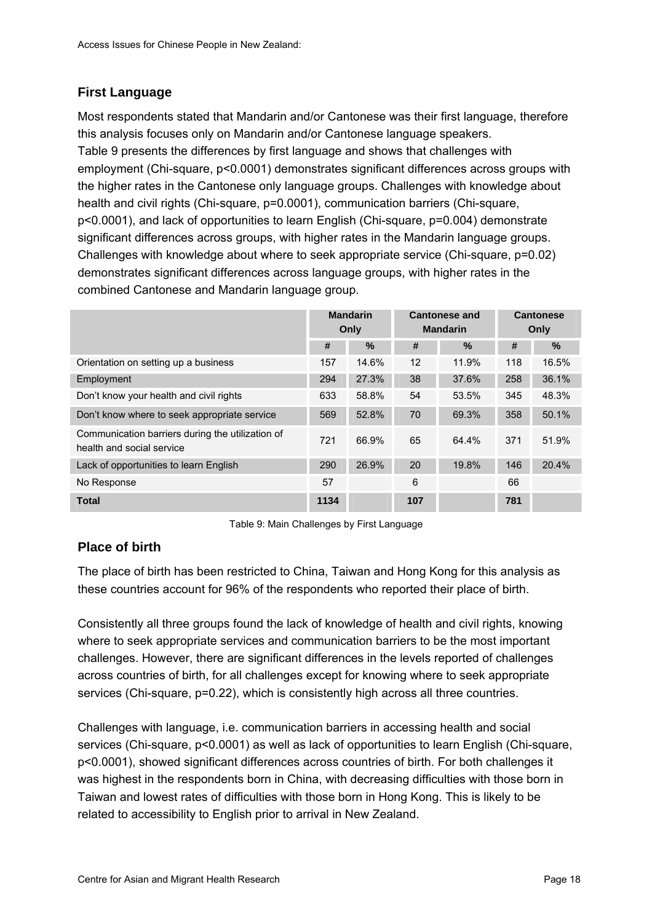### <span id="page-25-0"></span>**First Language**

Most respondents stated that Mandarin and/or Cantonese was their first language, therefore this analysis focuses only on Mandarin and/or Cantonese language speakers. [Table 9](#page-25-0) presents the differences by first language and shows that challenges with employment (Chi-square, p<0.0001) demonstrates significant differences across groups with the higher rates in the Cantonese only language groups. Challenges with knowledge about health and civil rights (Chi-square, p=0.0001), communication barriers (Chi-square, p<0.0001), and lack of opportunities to learn English (Chi-square, p=0.004) demonstrate significant differences across groups, with higher rates in the Mandarin language groups. Challenges with knowledge about where to seek appropriate service (Chi-square, p=0.02) demonstrates significant differences across language groups, with higher rates in the combined Cantonese and Mandarin language group.

|                                                                               | <b>Mandarin</b><br>Only |       |                   | <b>Cantonese and</b><br><b>Mandarin</b> | <b>Cantonese</b><br>Only |       |
|-------------------------------------------------------------------------------|-------------------------|-------|-------------------|-----------------------------------------|--------------------------|-------|
|                                                                               | #                       | $\%$  | #                 | $\%$                                    | #                        | $\%$  |
| Orientation on setting up a business                                          | 157                     | 14.6% | $12 \overline{ }$ | 11.9%                                   | 118                      | 16.5% |
| Employment                                                                    | 294                     | 27.3% | 38                | 37.6%                                   | 258                      | 36.1% |
| Don't know your health and civil rights                                       | 633                     | 58.8% | 54                | 53.5%                                   | 345                      | 48.3% |
| Don't know where to seek appropriate service                                  | 569                     | 52.8% | 70                | 69.3%                                   | 358                      | 50.1% |
| Communication barriers during the utilization of<br>health and social service | 721                     | 66.9% | 65                | 64.4%                                   | 371                      | 51.9% |
| Lack of opportunities to learn English                                        | 290                     | 26.9% | 20                | 19.8%                                   | 146                      | 20.4% |
| No Response                                                                   | 57                      |       | 6                 |                                         | 66                       |       |
| <b>Total</b>                                                                  | 1134                    |       | 107               |                                         | 781                      |       |

Table 9: Main Challenges by First Language

## **Place of birth**

The place of birth has been restricted to China, Taiwan and Hong Kong for this analysis as these countries account for 96% of the respondents who reported their place of birth.

Consistently all three groups found the lack of knowledge of health and civil rights, knowing where to seek appropriate services and communication barriers to be the most important challenges. However, there are significant differences in the levels reported of challenges across countries of birth, for all challenges except for knowing where to seek appropriate services (Chi-square, p=0.22), which is consistently high across all three countries.

Challenges with language, i.e. communication barriers in accessing health and social services (Chi-square, p<0.0001) as well as lack of opportunities to learn English (Chi-square, p<0.0001), showed significant differences across countries of birth. For both challenges it was highest in the respondents born in China, with decreasing difficulties with those born in Taiwan and lowest rates of difficulties with those born in Hong Kong. This is likely to be related to accessibility to English prior to arrival in New Zealand.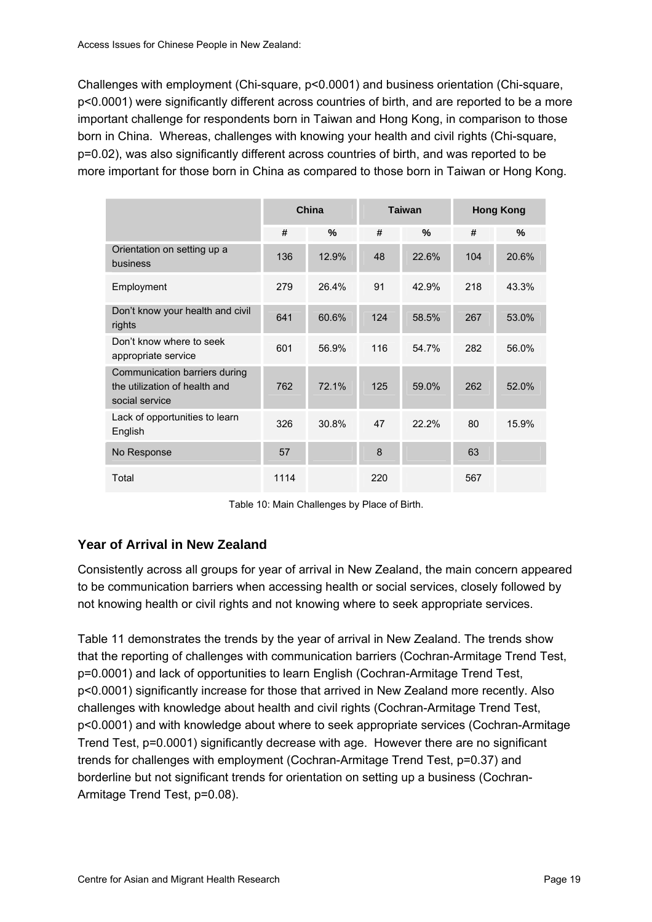<span id="page-26-0"></span>Challenges with employment (Chi-square, p<0.0001) and business orientation (Chi-square, p<0.0001) were significantly different across countries of birth, and are reported to be a more important challenge for respondents born in Taiwan and Hong Kong, in comparison to those born in China. Whereas, challenges with knowing your health and civil rights (Chi-square, p=0.02), was also significantly different across countries of birth, and was reported to be more important for those born in China as compared to those born in Taiwan or Hong Kong.

|                                                                                  | China |       |     | <b>Taiwan</b> | <b>Hong Kong</b> |       |
|----------------------------------------------------------------------------------|-------|-------|-----|---------------|------------------|-------|
|                                                                                  | #     | %     | #   | $\frac{9}{6}$ | #                | %     |
| Orientation on setting up a<br>business                                          | 136   | 12.9% | 48  | 22.6%         | 104              | 20.6% |
| Employment                                                                       | 279   | 26.4% | 91  | 42.9%         | 218              | 43.3% |
| Don't know your health and civil<br>rights                                       | 641   | 60.6% | 124 | 58.5%         | 267              | 53.0% |
| Don't know where to seek<br>appropriate service                                  | 601   | 56.9% | 116 | 54.7%         | 282              | 56.0% |
| Communication barriers during<br>the utilization of health and<br>social service | 762   | 72.1% | 125 | 59.0%         | 262              | 52.0% |
| Lack of opportunities to learn<br>English                                        | 326   | 30.8% | 47  | 22.2%         | 80               | 15.9% |
| No Response                                                                      | 57    |       | 8   |               | 63               |       |
| Total                                                                            | 1114  |       | 220 |               | 567              |       |

Table 10: Main Challenges by Place of Birth.

## **Year of Arrival in New Zealand**

Consistently across all groups for year of arrival in New Zealand, the main concern appeared to be communication barriers when accessing health or social services, closely followed by not knowing health or civil rights and not knowing where to seek appropriate services.

[Table 11](#page-27-0) demonstrates the trends by the year of arrival in New Zealand. The trends show that the reporting of challenges with communication barriers (Cochran-Armitage Trend Test, p=0.0001) and lack of opportunities to learn English (Cochran-Armitage Trend Test, p<0.0001) significantly increase for those that arrived in New Zealand more recently. Also challenges with knowledge about health and civil rights (Cochran-Armitage Trend Test, p<0.0001) and with knowledge about where to seek appropriate services (Cochran-Armitage Trend Test, p=0.0001) significantly decrease with age. However there are no significant trends for challenges with employment (Cochran-Armitage Trend Test, p=0.37) and borderline but not significant trends for orientation on setting up a business (Cochran-Armitage Trend Test, p=0.08).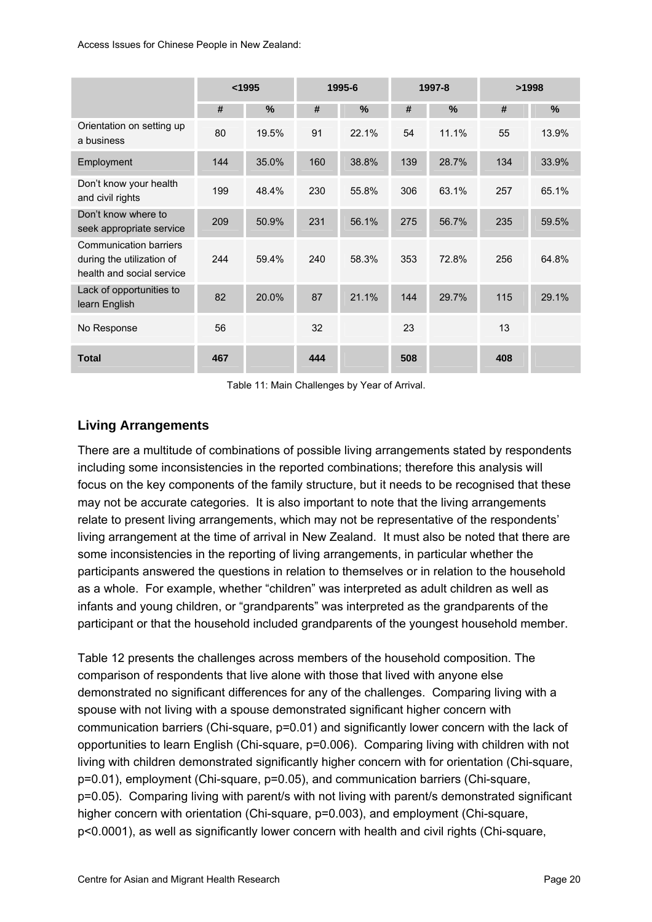<span id="page-27-0"></span>

|                                                                                         |     | 1995-6<br>$1995$ |     |       | 1997-8 | >1998 |     |               |
|-----------------------------------------------------------------------------------------|-----|------------------|-----|-------|--------|-------|-----|---------------|
|                                                                                         | #   | %                | #   | %     | #      | $\%$  | #   | $\frac{9}{6}$ |
| Orientation on setting up<br>a business                                                 | 80  | 19.5%            | 91  | 22.1% | 54     | 11.1% | 55  | 13.9%         |
| Employment                                                                              | 144 | 35.0%            | 160 | 38.8% | 139    | 28.7% | 134 | 33.9%         |
| Don't know your health<br>and civil rights                                              | 199 | 48.4%            | 230 | 55.8% | 306    | 63.1% | 257 | 65.1%         |
| Don't know where to<br>seek appropriate service                                         | 209 | 50.9%            | 231 | 56.1% | 275    | 56.7% | 235 | 59.5%         |
| <b>Communication barriers</b><br>during the utilization of<br>health and social service | 244 | 59.4%            | 240 | 58.3% | 353    | 72.8% | 256 | 64.8%         |
| Lack of opportunities to<br>learn English                                               | 82  | 20.0%            | 87  | 21.1% | 144    | 29.7% | 115 | 29.1%         |
| No Response                                                                             | 56  |                  | 32  |       | 23     |       | 13  |               |
| <b>Total</b>                                                                            | 467 |                  | 444 |       | 508    |       | 408 |               |

Table 11: Main Challenges by Year of Arrival.

## **Living Arrangements**

There are a multitude of combinations of possible living arrangements stated by respondents including some inconsistencies in the reported combinations; therefore this analysis will focus on the key components of the family structure, but it needs to be recognised that these may not be accurate categories. It is also important to note that the living arrangements relate to present living arrangements, which may not be representative of the respondents' living arrangement at the time of arrival in New Zealand. It must also be noted that there are some inconsistencies in the reporting of living arrangements, in particular whether the participants answered the questions in relation to themselves or in relation to the household as a whole. For example, whether "children" was interpreted as adult children as well as infants and young children, or "grandparents" was interpreted as the grandparents of the participant or that the household included grandparents of the youngest household member.

[Table 12](#page-28-0) presents the challenges across members of the household composition. The comparison of respondents that live alone with those that lived with anyone else demonstrated no significant differences for any of the challenges. Comparing living with a spouse with not living with a spouse demonstrated significant higher concern with communication barriers (Chi-square, p=0.01) and significantly lower concern with the lack of opportunities to learn English (Chi-square, p=0.006). Comparing living with children with not living with children demonstrated significantly higher concern with for orientation (Chi-square, p=0.01), employment (Chi-square, p=0.05), and communication barriers (Chi-square, p=0.05). Comparing living with parent/s with not living with parent/s demonstrated significant higher concern with orientation (Chi-square, p=0.003), and employment (Chi-square, p<0.0001), as well as significantly lower concern with health and civil rights (Chi-square,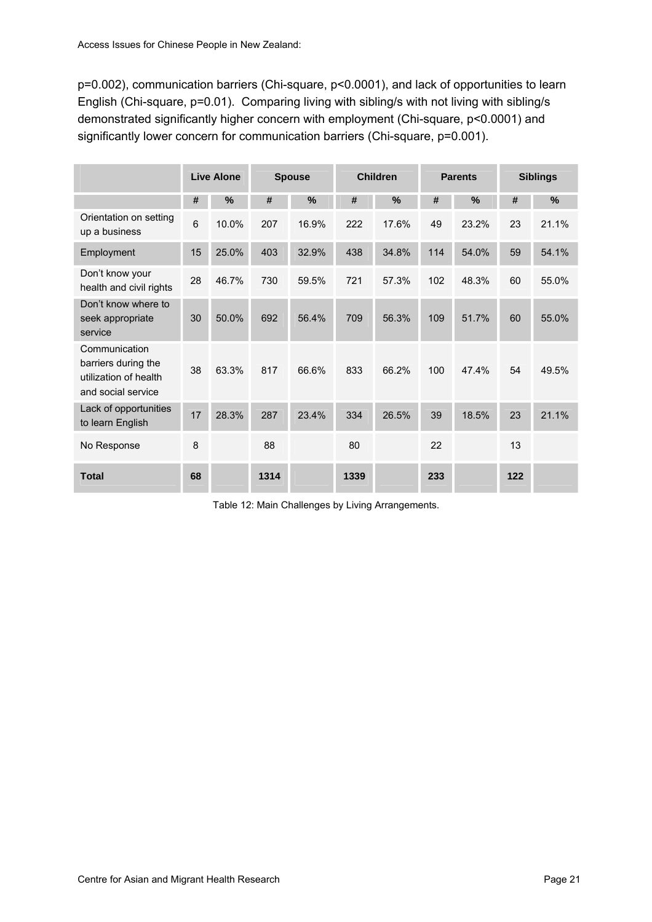<span id="page-28-0"></span>p=0.002), communication barriers (Chi-square, p<0.0001), and lack of opportunities to learn English (Chi-square, p=0.01). Comparing living with sibling/s with not living with sibling/s demonstrated significantly higher concern with employment (Chi-square, p<0.0001) and significantly lower concern for communication barriers (Chi-square, p=0.001).

|                                                                                     |    | <b>Live Alone</b> | <b>Spouse</b> |       | <b>Children</b> |       | <b>Parents</b> |       | <b>Siblings</b> |       |
|-------------------------------------------------------------------------------------|----|-------------------|---------------|-------|-----------------|-------|----------------|-------|-----------------|-------|
|                                                                                     | #  | %                 | #             | %     | #               | %     | #              | %     | #               | %     |
| Orientation on setting<br>up a business                                             | 6  | 10.0%             | 207           | 16.9% | 222             | 17.6% | 49             | 23.2% | 23              | 21.1% |
| Employment                                                                          | 15 | 25.0%             | 403           | 32.9% | 438             | 34.8% | 114            | 54.0% | 59              | 54.1% |
| Don't know your<br>health and civil rights                                          | 28 | 46.7%             | 730           | 59.5% | 721             | 57.3% | 102            | 48.3% | 60              | 55.0% |
| Don't know where to<br>seek appropriate<br>service                                  | 30 | 50.0%             | 692           | 56.4% | 709             | 56.3% | 109            | 51.7% | 60              | 55.0% |
| Communication<br>barriers during the<br>utilization of health<br>and social service | 38 | 63.3%             | 817           | 66.6% | 833             | 66.2% | 100            | 47.4% | 54              | 49.5% |
| Lack of opportunities<br>to learn English                                           | 17 | 28.3%             | 287           | 23.4% | 334             | 26.5% | 39             | 18.5% | 23              | 21.1% |
| No Response                                                                         | 8  |                   | 88            |       | 80              |       | 22             |       | 13              |       |
| <b>Total</b>                                                                        | 68 |                   | 1314          |       | 1339            |       | 233            |       | 122             |       |

Table 12: Main Challenges by Living Arrangements.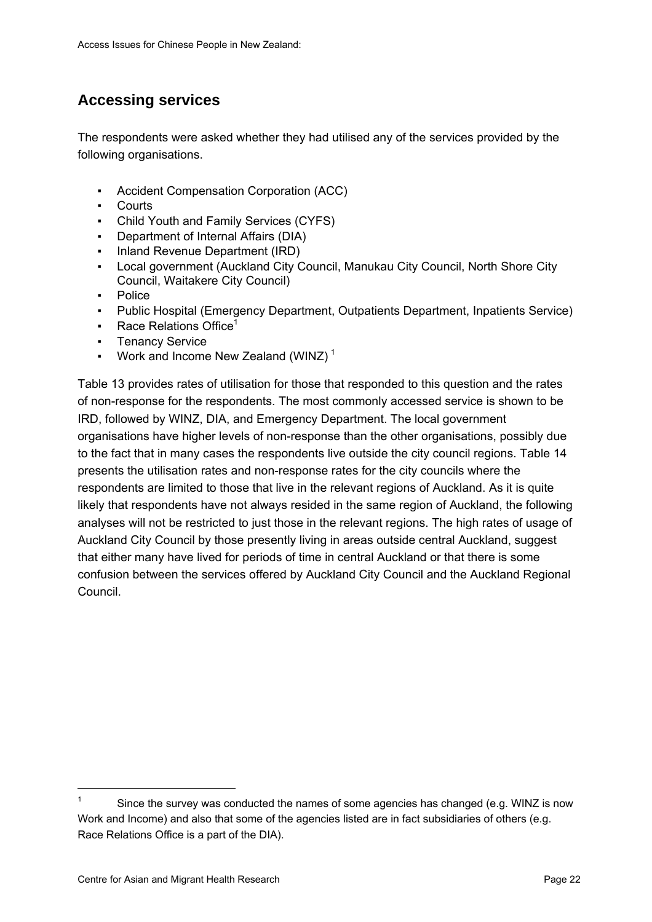# <span id="page-29-0"></span>**Accessing services**

The respondents were asked whether they had utilised any of the services provided by the following organisations.

- Accident Compensation Corporation (ACC)
- Courts
- Child Youth and Family Services (CYFS)
- Department of Internal Affairs (DIA)
- Inland Revenue Department (IRD)
- Local government (Auckland City Council, Manukau City Council, North Shore City Council, Waitakere City Council)
- Police
- Public Hospital (Emergency Department, Outpatients Department, Inpatients Service)
- **•** Race Relations Office<sup>1</sup>
- Tenancy Service
- **•** Work and Income New Zealand (WINZ)<sup>[1](#page-29-1)</sup>

[Table 13](#page-30-0) provides rates of utilisation for those that responded to this question and the rates of non-response for the respondents. The most commonly accessed service is shown to be IRD, followed by WINZ, DIA, and Emergency Department. The local government organisations have higher levels of non-response than the other organisations, possibly due to the fact that in many cases the respondents live outside the city council regions. [Table 14](#page-30-0) presents the utilisation rates and non-response rates for the city councils where the respondents are limited to those that live in the relevant regions of Auckland. As it is quite likely that respondents have not always resided in the same region of Auckland, the following analyses will not be restricted to just those in the relevant regions. The high rates of usage of Auckland City Council by those presently living in areas outside central Auckland, suggest that either many have lived for periods of time in central Auckland or that there is some confusion between the services offered by Auckland City Council and the Auckland Regional Council.

 $\overline{a}$ 

<span id="page-29-1"></span><sup>1</sup> Since the survey was conducted the names of some agencies has changed (e.g. WINZ is now Work and Income) and also that some of the agencies listed are in fact subsidiaries of others (e.g. Race Relations Office is a part of the DIA).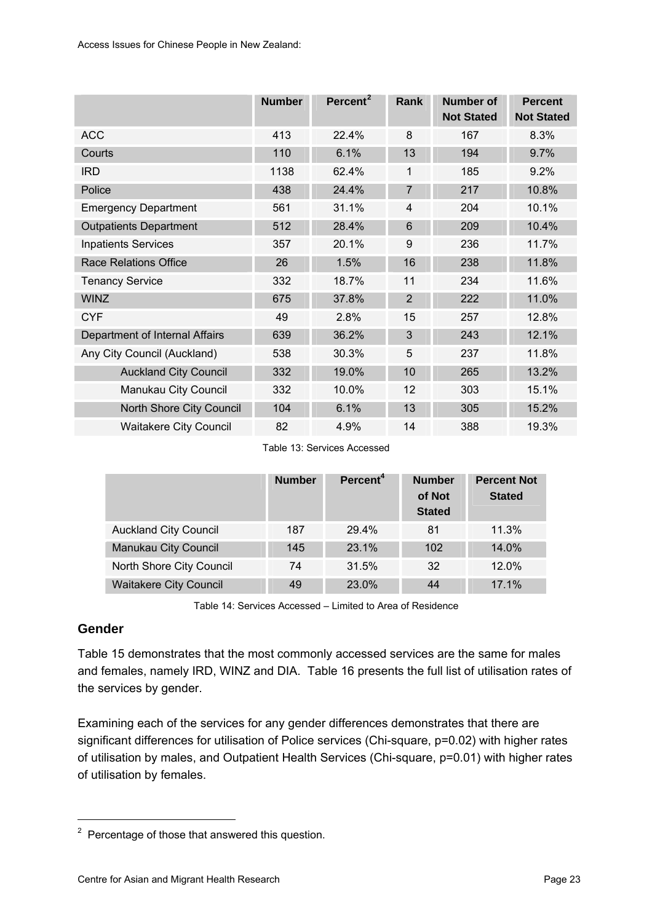<span id="page-30-0"></span>

|                                | <b>Number</b> | Percent <sup>2</sup> | <b>Rank</b>    | <b>Number of</b><br><b>Not Stated</b> | <b>Percent</b><br><b>Not Stated</b> |
|--------------------------------|---------------|----------------------|----------------|---------------------------------------|-------------------------------------|
| <b>ACC</b>                     | 413           | 22.4%                | 8              | 167                                   | 8.3%                                |
| Courts                         | 110           | 6.1%                 | 13             | 194                                   | 9.7%                                |
| <b>IRD</b>                     | 1138          | 62.4%                | 1              | 185                                   | 9.2%                                |
| Police                         | 438           | 24.4%                | $\overline{7}$ | 217                                   | 10.8%                               |
| <b>Emergency Department</b>    | 561           | 31.1%                | 4              | 204                                   | 10.1%                               |
| <b>Outpatients Department</b>  | 512           | 28.4%                | 6              | 209                                   | 10.4%                               |
| <b>Inpatients Services</b>     | 357           | 20.1%                | 9              | 236                                   | 11.7%                               |
| <b>Race Relations Office</b>   | 26            | 1.5%                 | 16             | 238                                   | 11.8%                               |
| <b>Tenancy Service</b>         | 332           | 18.7%                | 11             | 234                                   | 11.6%                               |
| <b>WINZ</b>                    | 675           | 37.8%                | $\overline{2}$ | 222                                   | 11.0%                               |
| <b>CYF</b>                     | 49            | 2.8%                 | 15             | 257                                   | 12.8%                               |
| Department of Internal Affairs | 639           | 36.2%                | 3              | 243                                   | 12.1%                               |
| Any City Council (Auckland)    | 538           | 30.3%                | 5              | 237                                   | 11.8%                               |
| <b>Auckland City Council</b>   | 332           | 19.0%                | 10             | 265                                   | 13.2%                               |
| Manukau City Council           | 332           | 10.0%                | 12             | 303                                   | 15.1%                               |
| North Shore City Council       | 104           | 6.1%                 | 13             | 305                                   | 15.2%                               |
| <b>Waitakere City Council</b>  | 82            | 4.9%                 | 14             | 388                                   | 19.3%                               |

Table 13: Services Accessed

|                               | <b>Number</b> | Percent <sup>4</sup> | <b>Number</b><br>of Not<br><b>Stated</b> | <b>Percent Not</b><br><b>Stated</b> |
|-------------------------------|---------------|----------------------|------------------------------------------|-------------------------------------|
| <b>Auckland City Council</b>  | 187           | 29.4%                | 81                                       | 11.3%                               |
| Manukau City Council          | 145           | 23.1%                | 102                                      | 14.0%                               |
| North Shore City Council      | 74            | 31.5%                | 32                                       | 12.0%                               |
| <b>Waitakere City Council</b> | 49            | 23.0%                | 44                                       | 17.1%                               |

Table 14: Services Accessed – Limited to Area of Residence

### **Gender**

[Table 15](#page-31-0) demonstrates that the most commonly accessed services are the same for males and females, namely IRD, WINZ and DIA. [Table 16](#page-31-0) presents the full list of utilisation rates of the services by gender.

Examining each of the services for any gender differences demonstrates that there are significant differences for utilisation of Police services (Chi-square, p=0.02) with higher rates of utilisation by males, and Outpatient Health Services (Chi-square, p=0.01) with higher rates of utilisation by females.

<span id="page-30-1"></span> $2$  Percentage of those that answered this question.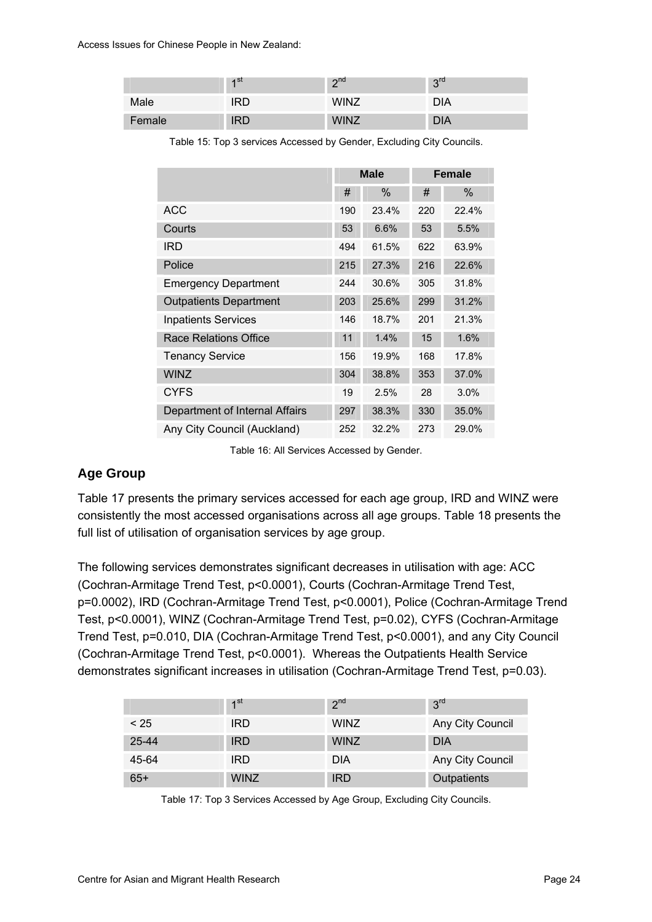<span id="page-31-0"></span>

|        | 4 <sup>st</sup> | $\gamma$ <sup>nd</sup> | 3 <sup>rd</sup> |
|--------|-----------------|------------------------|-----------------|
| Male   | IRD             | <b>WINZ</b>            | DIA             |
| Female | <b>IRD</b>      | <b>WINZ</b>            | <b>DIA</b>      |

Table 15: Top 3 services Accessed by Gender, Excluding City Councils.

|                                |     | <b>Male</b> |     | <b>Female</b> |
|--------------------------------|-----|-------------|-----|---------------|
|                                | #   | $\%$        | #   | $\%$          |
| <b>ACC</b>                     | 190 | 23.4%       | 220 | 22.4%         |
| Courts                         | 53  | 6.6%        | 53  | 5.5%          |
| <b>IRD</b>                     | 494 | 61.5%       | 622 | 63.9%         |
| Police                         | 215 | 27.3%       | 216 | 22.6%         |
| <b>Emergency Department</b>    | 244 | 30.6%       | 305 | 31.8%         |
| <b>Outpatients Department</b>  | 203 | 25.6%       | 299 | 31.2%         |
| <b>Inpatients Services</b>     | 146 | 18.7%       | 201 | 21.3%         |
| Race Relations Office          | 11  | 1.4%        | 15  | 1.6%          |
| <b>Tenancy Service</b>         | 156 | 19.9%       | 168 | 17.8%         |
| <b>WINZ</b>                    | 304 | 38.8%       | 353 | 37.0%         |
| <b>CYFS</b>                    | 19  | 2.5%        | 28  | 3.0%          |
| Department of Internal Affairs | 297 | 38.3%       | 330 | 35.0%         |
| Any City Council (Auckland)    | 252 | 32.2%       | 273 | 29.0%         |

Table 16: All Services Accessed by Gender.

#### **Age Group**

[Table 17](#page-31-0) presents the primary services accessed for each age group, IRD and WINZ were consistently the most accessed organisations across all age groups. [Table 18](#page-32-0) presents the full list of utilisation of organisation services by age group.

The following services demonstrates significant decreases in utilisation with age: ACC (Cochran-Armitage Trend Test, p<0.0001), Courts (Cochran-Armitage Trend Test, p=0.0002), IRD (Cochran-Armitage Trend Test, p<0.0001), Police (Cochran-Armitage Trend Test, p<0.0001), WINZ (Cochran-Armitage Trend Test, p=0.02), CYFS (Cochran-Armitage Trend Test, p=0.010, DIA (Cochran-Armitage Trend Test, p<0.0001), and any City Council (Cochran-Armitage Trend Test, p<0.0001). Whereas the Outpatients Health Service demonstrates significant increases in utilisation (Cochran-Armitage Trend Test, p=0.03).

|       | 1 <sup>st</sup> | 2 <sup>nd</sup> | 3 <sup>rd</sup>  |
|-------|-----------------|-----------------|------------------|
| < 25  | <b>IRD</b>      | <b>WINZ</b>     | Any City Council |
| 25-44 | <b>IRD</b>      | <b>WINZ</b>     | <b>DIA</b>       |
| 45-64 | <b>IRD</b>      | <b>DIA</b>      | Any City Council |
| $65+$ | <b>WINZ</b>     | <b>IRD</b>      | Outpatients      |

Table 17: Top 3 Services Accessed by Age Group, Excluding City Councils.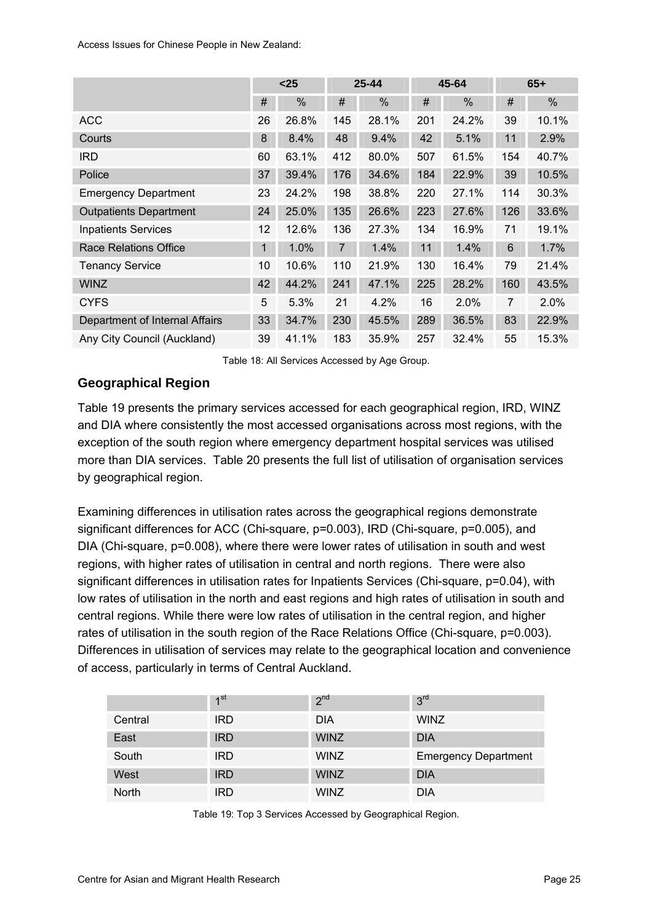<span id="page-32-0"></span>

|                                | $25$         |       | $25 - 44$      |       | 45-64 |       | $65+$ |       |
|--------------------------------|--------------|-------|----------------|-------|-------|-------|-------|-------|
|                                | $\#$         | $\%$  | #              | %     | #     | %     | $\#$  | %     |
| <b>ACC</b>                     | 26           | 26.8% | 145            | 28.1% | 201   | 24.2% | 39    | 10.1% |
| Courts                         | 8            | 8.4%  | 48             | 9.4%  | 42    | 5.1%  | 11    | 2.9%  |
| <b>IRD</b>                     | 60           | 63.1% | 412            | 80.0% | 507   | 61.5% | 154   | 40.7% |
| Police                         | 37           | 39.4% | 176            | 34.6% | 184   | 22.9% | 39    | 10.5% |
| <b>Emergency Department</b>    | 23           | 24.2% | 198            | 38.8% | 220   | 27.1% | 114   | 30.3% |
| <b>Outpatients Department</b>  | 24           | 25.0% | 135            | 26.6% | 223   | 27.6% | 126   | 33.6% |
| <b>Inpatients Services</b>     | 12           | 12.6% | 136            | 27.3% | 134   | 16.9% | 71    | 19.1% |
| <b>Race Relations Office</b>   | $\mathbf{1}$ | 1.0%  | $\overline{7}$ | 1.4%  | 11    | 1.4%  | 6     | 1.7%  |
| <b>Tenancy Service</b>         | 10           | 10.6% | 110            | 21.9% | 130   | 16.4% | 79    | 21.4% |
| <b>WINZ</b>                    | 42           | 44.2% | 241            | 47.1% | 225   | 28.2% | 160   | 43.5% |
| <b>CYFS</b>                    | 5            | 5.3%  | 21             | 4.2%  | 16    | 2.0%  | 7     | 2.0%  |
| Department of Internal Affairs | 33           | 34.7% | 230            | 45.5% | 289   | 36.5% | 83    | 22.9% |
| Any City Council (Auckland)    | 39           | 41.1% | 183            | 35.9% | 257   | 32.4% | 55    | 15.3% |

Table 18: All Services Accessed by Age Group.

## **Geographical Region**

[Table 19](#page-32-0) presents the primary services accessed for each geographical region, IRD, WINZ and DIA where consistently the most accessed organisations across most regions, with the exception of the south region where emergency department hospital services was utilised more than DIA services. [Table 20](#page-33-0) presents the full list of utilisation of organisation services by geographical region.

Examining differences in utilisation rates across the geographical regions demonstrate significant differences for ACC (Chi-square, p=0.003), IRD (Chi-square, p=0.005), and DIA (Chi-square, p=0.008), where there were lower rates of utilisation in south and west regions, with higher rates of utilisation in central and north regions. There were also significant differences in utilisation rates for Inpatients Services (Chi-square, p=0.04), with low rates of utilisation in the north and east regions and high rates of utilisation in south and central regions. While there were low rates of utilisation in the central region, and higher rates of utilisation in the south region of the Race Relations Office (Chi-square, p=0.003). Differences in utilisation of services may relate to the geographical location and convenience of access, particularly in terms of Central Auckland.

|         | 1 <sup>st</sup> | 2 <sup>nd</sup> | 3 <sup>rd</sup>             |
|---------|-----------------|-----------------|-----------------------------|
| Central | <b>IRD</b>      | <b>DIA</b>      | <b>WINZ</b>                 |
| East    | <b>IRD</b>      | <b>WINZ</b>     | <b>DIA</b>                  |
| South   | <b>IRD</b>      | <b>WINZ</b>     | <b>Emergency Department</b> |
| West    | <b>IRD</b>      | <b>WINZ</b>     | <b>DIA</b>                  |
| North   | IRD             | <b>WINZ</b>     | DIA                         |

Table 19: Top 3 Services Accessed by Geographical Region.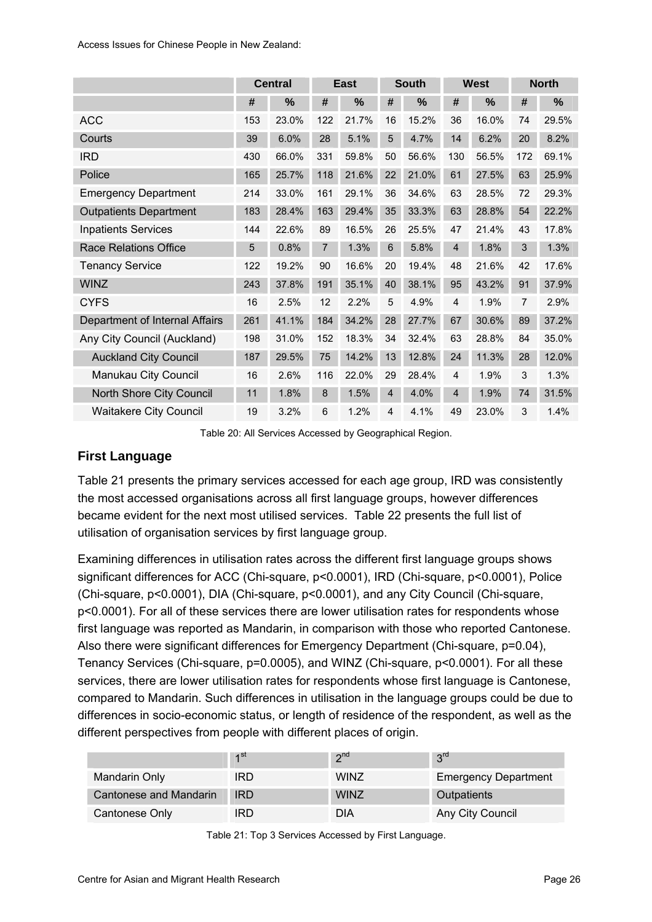<span id="page-33-0"></span>

|                                | <b>Central</b> |               |     | <b>East</b> |                 | <b>South</b> |                | <b>West</b> |     | <b>North</b> |  |
|--------------------------------|----------------|---------------|-----|-------------|-----------------|--------------|----------------|-------------|-----|--------------|--|
|                                | #              | $\frac{0}{0}$ | #   | %           | #               | %            | #              | %           | #   | %            |  |
| <b>ACC</b>                     | 153            | 23.0%         | 122 | 21.7%       | 16              | 15.2%        | 36             | 16.0%       | 74  | 29.5%        |  |
| Courts                         | 39             | 6.0%          | 28  | 5.1%        | 5               | 4.7%         | 14             | 6.2%        | 20  | 8.2%         |  |
| <b>IRD</b>                     | 430            | 66.0%         | 331 | 59.8%       | 50              | 56.6%        | 130            | 56.5%       | 172 | 69.1%        |  |
| Police                         | 165            | 25.7%         | 118 | 21.6%       | 22              | 21.0%        | 61             | 27.5%       | 63  | 25.9%        |  |
| <b>Emergency Department</b>    | 214            | 33.0%         | 161 | 29.1%       | 36              | 34.6%        | 63             | 28.5%       | 72  | 29.3%        |  |
| <b>Outpatients Department</b>  | 183            | 28.4%         | 163 | 29.4%       | 35              | 33.3%        | 63             | 28.8%       | 54  | 22.2%        |  |
| <b>Inpatients Services</b>     | 144            | 22.6%         | 89  | 16.5%       | 26              | 25.5%        | 47             | 21.4%       | 43  | 17.8%        |  |
| <b>Race Relations Office</b>   | 5              | 0.8%          | 7   | 1.3%        | $6\phantom{1}6$ | 5.8%         | $\overline{4}$ | 1.8%        | 3   | 1.3%         |  |
| <b>Tenancy Service</b>         | 122            | 19.2%         | 90  | 16.6%       | 20              | 19.4%        | 48             | 21.6%       | 42  | 17.6%        |  |
| <b>WINZ</b>                    | 243            | 37.8%         | 191 | 35.1%       | 40              | 38.1%        | 95             | 43.2%       | 91  | 37.9%        |  |
| <b>CYFS</b>                    | 16             | 2.5%          | 12  | 2.2%        | 5               | 4.9%         | $\overline{4}$ | 1.9%        | 7   | 2.9%         |  |
| Department of Internal Affairs | 261            | 41.1%         | 184 | 34.2%       | 28              | 27.7%        | 67             | 30.6%       | 89  | 37.2%        |  |
| Any City Council (Auckland)    | 198            | 31.0%         | 152 | 18.3%       | 34              | 32.4%        | 63             | 28.8%       | 84  | 35.0%        |  |
| <b>Auckland City Council</b>   | 187            | 29.5%         | 75  | 14.2%       | 13              | 12.8%        | 24             | 11.3%       | 28  | 12.0%        |  |
| Manukau City Council           | 16             | 2.6%          | 116 | 22.0%       | 29              | 28.4%        | 4              | 1.9%        | 3   | 1.3%         |  |
| North Shore City Council       | 11             | 1.8%          | 8   | 1.5%        | $\overline{4}$  | 4.0%         | $\overline{4}$ | 1.9%        | 74  | 31.5%        |  |
| <b>Waitakere City Council</b>  | 19             | 3.2%          | 6   | 1.2%        | 4               | 4.1%         | 49             | 23.0%       | 3   | 1.4%         |  |

Table 20: All Services Accessed by Geographical Region.

## **First Language**

[Table 21](#page-33-0) presents the primary services accessed for each age group, IRD was consistently the most accessed organisations across all first language groups, however differences became evident for the next most utilised services. [Table 22](#page-34-0) presents the full list of utilisation of organisation services by first language group.

Examining differences in utilisation rates across the different first language groups shows significant differences for ACC (Chi-square, p<0.0001), IRD (Chi-square, p<0.0001), Police (Chi-square, p<0.0001), DIA (Chi-square, p<0.0001), and any City Council (Chi-square, p<0.0001). For all of these services there are lower utilisation rates for respondents whose first language was reported as Mandarin, in comparison with those who reported Cantonese. Also there were significant differences for Emergency Department (Chi-square, p=0.04), Tenancy Services (Chi-square, p=0.0005), and WINZ (Chi-square, p<0.0001). For all these services, there are lower utilisation rates for respondents whose first language is Cantonese, compared to Mandarin. Such differences in utilisation in the language groups could be due to differences in socio-economic status, or length of residence of the respondent, as well as the different perspectives from people with different places of origin.

|                        | $\lambda$ st | 2 <sub>nd</sub> | $2^{\text{rd}}$             |
|------------------------|--------------|-----------------|-----------------------------|
| Mandarin Only          | IRD          | <b>WINZ</b>     | <b>Emergency Department</b> |
| Cantonese and Mandarin | <b>IRD</b>   | <b>WINZ</b>     | Outpatients                 |
| Cantonese Only         | IRD          | DIA             | Any City Council            |

Table 21: Top 3 Services Accessed by First Language.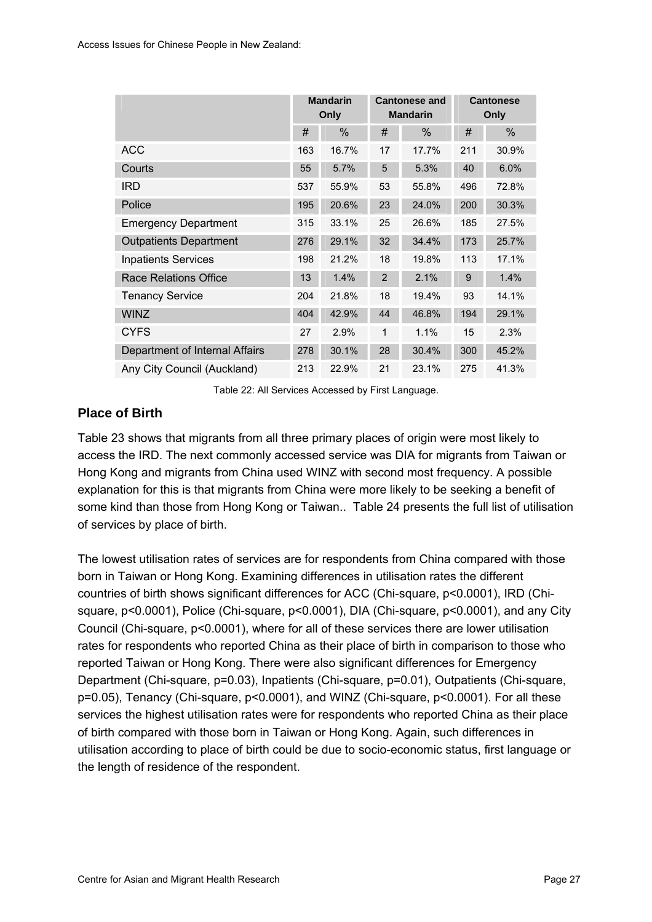<span id="page-34-0"></span>

|                                | <b>Mandarin</b><br>Only |       | <b>Cantonese and</b><br><b>Mandarin</b> |       | <b>Cantonese</b><br>Only |       |
|--------------------------------|-------------------------|-------|-----------------------------------------|-------|--------------------------|-------|
|                                | #                       | %     | #                                       | %     | #                        | %     |
| <b>ACC</b>                     | 163                     | 16.7% | 17                                      | 17.7% | 211                      | 30.9% |
| Courts                         | 55                      | 5.7%  | 5                                       | 5.3%  | 40                       | 6.0%  |
| <b>IRD</b>                     | 537                     | 55.9% | 53                                      | 55.8% | 496                      | 72.8% |
| Police                         | 195                     | 20.6% | 23                                      | 24.0% | 200                      | 30.3% |
| <b>Emergency Department</b>    | 315                     | 33.1% | 25                                      | 26.6% | 185                      | 27.5% |
| <b>Outpatients Department</b>  | 276                     | 29.1% | 32                                      | 34.4% | 173                      | 25.7% |
| <b>Inpatients Services</b>     | 198                     | 21.2% | 18                                      | 19.8% | 113                      | 17.1% |
| <b>Race Relations Office</b>   | 13                      | 1.4%  | $\overline{2}$                          | 2.1%  | 9                        | 1.4%  |
| <b>Tenancy Service</b>         | 204                     | 21.8% | 18                                      | 19.4% | 93                       | 14.1% |
| <b>WINZ</b>                    | 404                     | 42.9% | 44                                      | 46.8% | 194                      | 29.1% |
| <b>CYFS</b>                    | 27                      | 2.9%  | $\mathbf{1}$                            | 1.1%  | 15                       | 2.3%  |
| Department of Internal Affairs | 278                     | 30.1% | 28                                      | 30.4% | 300                      | 45.2% |
| Any City Council (Auckland)    | 213                     | 22.9% | 21                                      | 23.1% | 275                      | 41.3% |

Table 22: All Services Accessed by First Language.

#### **Place of Birth**

[Table 23](#page-35-0) shows that migrants from all three primary places of origin were most likely to access the IRD. The next commonly accessed service was DIA for migrants from Taiwan or Hong Kong and migrants from China used WINZ with second most frequency. A possible explanation for this is that migrants from China were more likely to be seeking a benefit of some kind than those from Hong Kong or Taiwan.. [Table 24](#page-35-0) presents the full list of utilisation of services by place of birth.

The lowest utilisation rates of services are for respondents from China compared with those born in Taiwan or Hong Kong. Examining differences in utilisation rates the different countries of birth shows significant differences for ACC (Chi-square, p<0.0001), IRD (Chisquare, p<0.0001), Police (Chi-square, p<0.0001), DIA (Chi-square, p<0.0001), and any City Council (Chi-square, p<0.0001), where for all of these services there are lower utilisation rates for respondents who reported China as their place of birth in comparison to those who reported Taiwan or Hong Kong. There were also significant differences for Emergency Department (Chi-square, p=0.03), Inpatients (Chi-square, p=0.01), Outpatients (Chi-square, p=0.05), Tenancy (Chi-square, p<0.0001), and WINZ (Chi-square, p<0.0001). For all these services the highest utilisation rates were for respondents who reported China as their place of birth compared with those born in Taiwan or Hong Kong. Again, such differences in utilisation according to place of birth could be due to socio-economic status, first language or the length of residence of the respondent.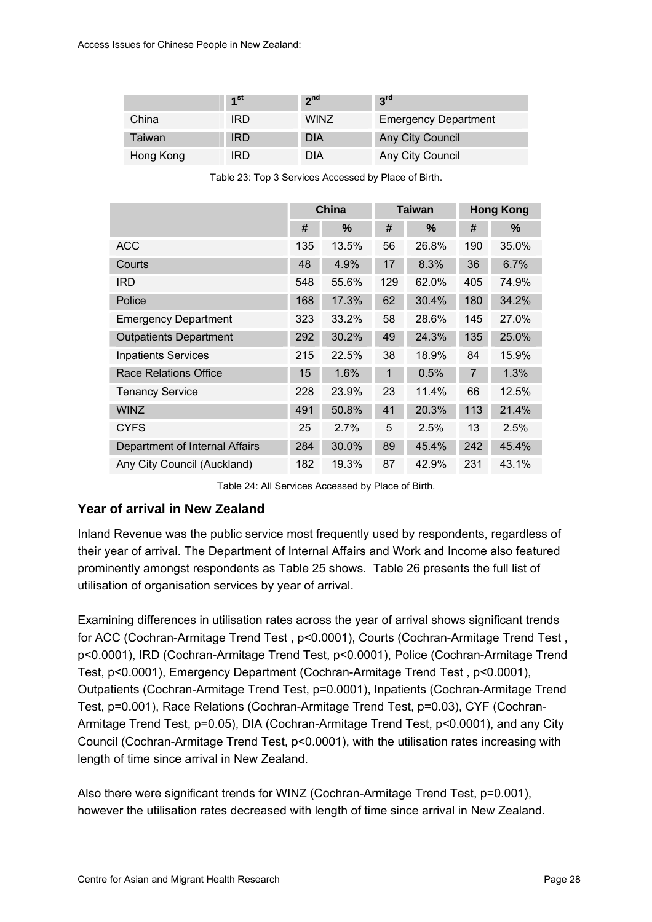<span id="page-35-0"></span>

|           | 1 <sup>st</sup> | 2 <sub>nd</sub> | 3 <sup>rd</sup>             |
|-----------|-----------------|-----------------|-----------------------------|
| China     | IRD             | <b>WINZ</b>     | <b>Emergency Department</b> |
| Taiwan    | <b>IRD</b>      | <b>DIA</b>      | Any City Council            |
| Hong Kong | RD              | DIA             | Any City Council            |

| Table 23: Top 3 Services Accessed by Place of Birth. |  |
|------------------------------------------------------|--|
|------------------------------------------------------|--|

|                                | <b>China</b> |       | <b>Taiwan</b> |       | <b>Hong Kong</b> |       |
|--------------------------------|--------------|-------|---------------|-------|------------------|-------|
|                                | #            | %     | #             | %     | #                | %     |
| <b>ACC</b>                     | 135          | 13.5% | 56            | 26.8% | 190              | 35.0% |
| Courts                         | 48           | 4.9%  | 17            | 8.3%  | 36               | 6.7%  |
| <b>IRD</b>                     | 548          | 55.6% | 129           | 62.0% | 405              | 74.9% |
| Police                         | 168          | 17.3% | 62            | 30.4% | 180              | 34.2% |
| <b>Emergency Department</b>    | 323          | 33.2% | 58            | 28.6% | 145              | 27.0% |
| <b>Outpatients Department</b>  | 292          | 30.2% | 49            | 24.3% | 135              | 25.0% |
| <b>Inpatients Services</b>     | 215          | 22.5% | 38            | 18.9% | 84               | 15.9% |
| <b>Race Relations Office</b>   | 15           | 1.6%  | 1             | 0.5%  | $\overline{7}$   | 1.3%  |
| <b>Tenancy Service</b>         | 228          | 23.9% | 23            | 11.4% | 66               | 12.5% |
| <b>WINZ</b>                    | 491          | 50.8% | 41            | 20.3% | 113              | 21.4% |
| <b>CYFS</b>                    | 25           | 2.7%  | 5             | 2.5%  | 13               | 2.5%  |
| Department of Internal Affairs | 284          | 30.0% | 89            | 45.4% | 242              | 45.4% |
| Any City Council (Auckland)    | 182          | 19.3% | 87            | 42.9% | 231              | 43.1% |

Table 24: All Services Accessed by Place of Birth.

#### **Year of arrival in New Zealand**

Inland Revenue was the public service most frequently used by respondents, regardless of their year of arrival. The Department of Internal Affairs and Work and Income also featured prominently amongst respondents as [Table 25](#page-36-0) shows. [Table 26](#page-36-0) presents the full list of utilisation of organisation services by year of arrival.

Examining differences in utilisation rates across the year of arrival shows significant trends for ACC (Cochran-Armitage Trend Test , p<0.0001), Courts (Cochran-Armitage Trend Test , p<0.0001), IRD (Cochran-Armitage Trend Test, p<0.0001), Police (Cochran-Armitage Trend Test, p<0.0001), Emergency Department (Cochran-Armitage Trend Test , p<0.0001), Outpatients (Cochran-Armitage Trend Test, p=0.0001), Inpatients (Cochran-Armitage Trend Test, p=0.001), Race Relations (Cochran-Armitage Trend Test, p=0.03), CYF (Cochran-Armitage Trend Test, p=0.05), DIA (Cochran-Armitage Trend Test, p<0.0001), and any City Council (Cochran-Armitage Trend Test, p<0.0001), with the utilisation rates increasing with length of time since arrival in New Zealand.

Also there were significant trends for WINZ (Cochran-Armitage Trend Test, p=0.001), however the utilisation rates decreased with length of time since arrival in New Zealand.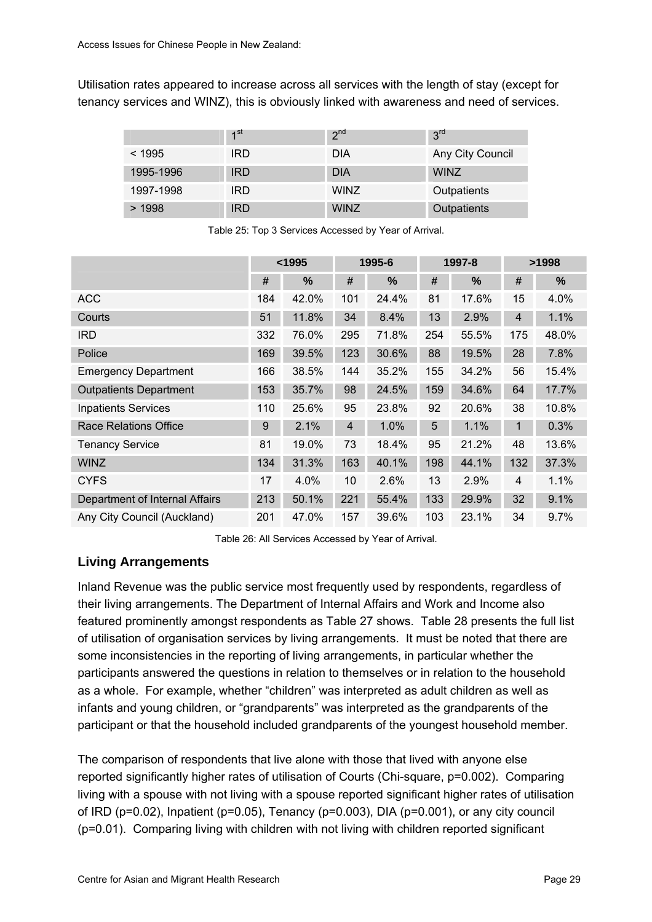Utilisation rates appeared to increase across all services with the length of stay (except for tenancy services and WINZ), this is obviously linked with awareness and need of services.

|           | 1 <sup>st</sup> | 2 <sup>nd</sup> | 3 <sup>rd</sup>  |
|-----------|-----------------|-----------------|------------------|
| < 1995    | <b>IRD</b>      | <b>DIA</b>      | Any City Council |
| 1995-1996 | <b>IRD</b>      | <b>DIA</b>      | <b>WINZ</b>      |
| 1997-1998 | <b>IRD</b>      | <b>WINZ</b>     | Outpatients      |
| >1998     | <b>IRD</b>      | <b>WINZ</b>     | Outpatients      |

|                                |     | $1995$ |                | 1995-6 |     | 1997-8 | >1998          |       |  |
|--------------------------------|-----|--------|----------------|--------|-----|--------|----------------|-------|--|
|                                | #   | %      | #              | %      | #   | %      | #              | %     |  |
| <b>ACC</b>                     | 184 | 42.0%  | 101            | 24.4%  | 81  | 17.6%  | 15             | 4.0%  |  |
| Courts                         | 51  | 11.8%  | 34             | 8.4%   | 13  | 2.9%   | $\overline{4}$ | 1.1%  |  |
| <b>IRD</b>                     | 332 | 76.0%  | 295            | 71.8%  | 254 | 55.5%  | 175            | 48.0% |  |
| Police                         | 169 | 39.5%  | 123            | 30.6%  | 88  | 19.5%  | 28             | 7.8%  |  |
| <b>Emergency Department</b>    | 166 | 38.5%  | 144            | 35.2%  | 155 | 34.2%  | 56             | 15.4% |  |
| <b>Outpatients Department</b>  | 153 | 35.7%  | 98             | 24.5%  | 159 | 34.6%  | 64             | 17.7% |  |
| <b>Inpatients Services</b>     | 110 | 25.6%  | 95             | 23.8%  | 92  | 20.6%  | 38             | 10.8% |  |
| <b>Race Relations Office</b>   | 9   | 2.1%   | $\overline{4}$ | 1.0%   | 5   | 1.1%   | 1              | 0.3%  |  |
| <b>Tenancy Service</b>         | 81  | 19.0%  | 73             | 18.4%  | 95  | 21.2%  | 48             | 13.6% |  |
| <b>WINZ</b>                    | 134 | 31.3%  | 163            | 40.1%  | 198 | 44.1%  | 132            | 37.3% |  |
| <b>CYFS</b>                    | 17  | 4.0%   | 10             | 2.6%   | 13  | 2.9%   | 4              | 1.1%  |  |
| Department of Internal Affairs | 213 | 50.1%  | 221            | 55.4%  | 133 | 29.9%  | 32             | 9.1%  |  |
| Any City Council (Auckland)    | 201 | 47.0%  | 157            | 39.6%  | 103 | 23.1%  | 34             | 9.7%  |  |

Table 25: Top 3 Services Accessed by Year of Arrival.

Table 26: All Services Accessed by Year of Arrival.

### **Living Arrangements**

Inland Revenue was the public service most frequently used by respondents, regardless of their living arrangements. The Department of Internal Affairs and Work and Income also featured prominently amongst respondents as [Table 27](#page-37-0) shows. [Table 28](#page-37-0) presents the full list of utilisation of organisation services by living arrangements. It must be noted that there are some inconsistencies in the reporting of living arrangements, in particular whether the participants answered the questions in relation to themselves or in relation to the household as a whole. For example, whether "children" was interpreted as adult children as well as infants and young children, or "grandparents" was interpreted as the grandparents of the participant or that the household included grandparents of the youngest household member.

The comparison of respondents that live alone with those that lived with anyone else reported significantly higher rates of utilisation of Courts (Chi-square, p=0.002). Comparing living with a spouse with not living with a spouse reported significant higher rates of utilisation of IRD (p=0.02), Inpatient (p=0.05), Tenancy (p=0.003), DIA (p=0.001), or any city council (p=0.01). Comparing living with children with not living with children reported significant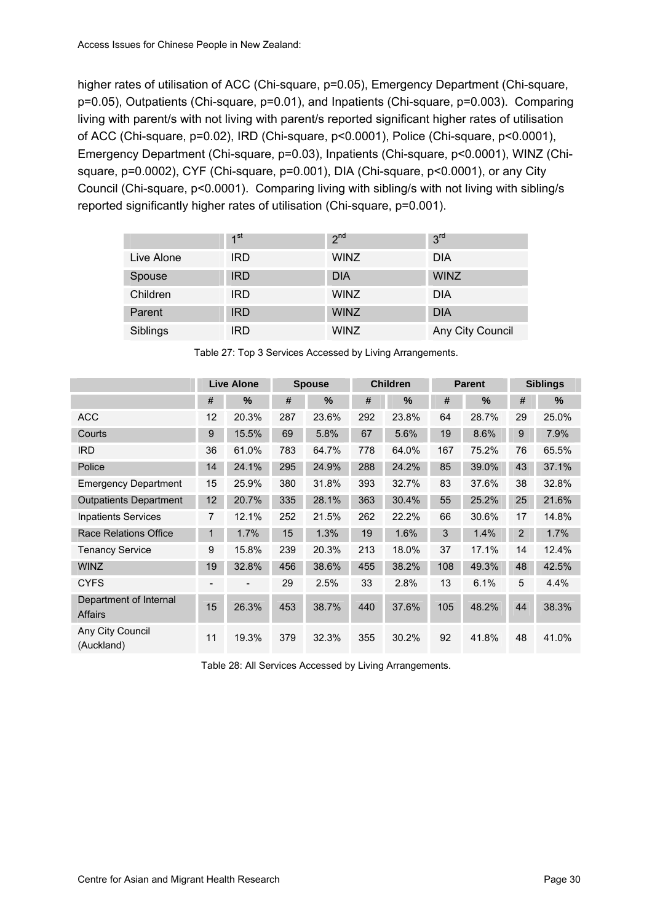<span id="page-37-0"></span>higher rates of utilisation of ACC (Chi-square, p=0.05), Emergency Department (Chi-square, p=0.05), Outpatients (Chi-square, p=0.01), and Inpatients (Chi-square, p=0.003). Comparing living with parent/s with not living with parent/s reported significant higher rates of utilisation of ACC (Chi-square, p=0.02), IRD (Chi-square, p<0.0001), Police (Chi-square, p<0.0001), Emergency Department (Chi-square, p=0.03), Inpatients (Chi-square, p<0.0001), WINZ (Chisquare, p=0.0002), CYF (Chi-square, p=0.001), DIA (Chi-square, p<0.0001), or any City Council (Chi-square, p<0.0001). Comparing living with sibling/s with not living with sibling/s reported significantly higher rates of utilisation (Chi-square, p=0.001).

|            | 1 <sup>st</sup> | 2 <sup>nd</sup> | 3 <sup>rd</sup>  |
|------------|-----------------|-----------------|------------------|
| Live Alone | <b>IRD</b>      | <b>WINZ</b>     | <b>DIA</b>       |
| Spouse     | <b>IRD</b>      | <b>DIA</b>      | <b>WINZ</b>      |
| Children   | <b>IRD</b>      | <b>WINZ</b>     | <b>DIA</b>       |
| Parent     | <b>IRD</b>      | <b>WINZ</b>     | <b>DIA</b>       |
| Siblings   | <b>IRD</b>      | <b>WINZ</b>     | Any City Council |

Table 27: Top 3 Services Accessed by Living Arrangements.

|                                   |                          | <b>Live Alone</b>        | <b>Spouse</b> |       | <b>Children</b> |       | <b>Parent</b> |       | <b>Siblings</b> |               |
|-----------------------------------|--------------------------|--------------------------|---------------|-------|-----------------|-------|---------------|-------|-----------------|---------------|
|                                   | #                        | $\%$                     | #             | $\%$  | #               | %     | #             | %     | #               | $\frac{9}{6}$ |
| <b>ACC</b>                        | 12                       | 20.3%                    | 287           | 23.6% | 292             | 23.8% | 64            | 28.7% | 29              | 25.0%         |
| Courts                            | 9                        | 15.5%                    | 69            | 5.8%  | 67              | 5.6%  | 19            | 8.6%  | 9               | 7.9%          |
| <b>IRD</b>                        | 36                       | 61.0%                    | 783           | 64.7% | 778             | 64.0% | 167           | 75.2% | 76              | 65.5%         |
| Police                            | 14                       | 24.1%                    | 295           | 24.9% | 288             | 24.2% | 85            | 39.0% | 43              | 37.1%         |
| <b>Emergency Department</b>       | 15                       | 25.9%                    | 380           | 31.8% | 393             | 32.7% | 83            | 37.6% | 38              | 32.8%         |
| <b>Outpatients Department</b>     | 12                       | 20.7%                    | 335           | 28.1% | 363             | 30.4% | 55            | 25.2% | 25              | 21.6%         |
| <b>Inpatients Services</b>        | $\overline{7}$           | 12.1%                    | 252           | 21.5% | 262             | 22.2% | 66            | 30.6% | 17              | 14.8%         |
| <b>Race Relations Office</b>      | 1                        | 1.7%                     | 15            | 1.3%  | 19              | 1.6%  | 3             | 1.4%  | 2               | 1.7%          |
| <b>Tenancy Service</b>            | 9                        | 15.8%                    | 239           | 20.3% | 213             | 18.0% | 37            | 17.1% | 14              | 12.4%         |
| <b>WINZ</b>                       | 19                       | 32.8%                    | 456           | 38.6% | 455             | 38.2% | 108           | 49.3% | 48              | 42.5%         |
| <b>CYFS</b>                       | $\overline{\phantom{a}}$ | $\overline{\phantom{a}}$ | 29            | 2.5%  | 33              | 2.8%  | 13            | 6.1%  | 5               | 4.4%          |
| Department of Internal<br>Affairs | 15                       | 26.3%                    | 453           | 38.7% | 440             | 37.6% | 105           | 48.2% | 44              | 38.3%         |
| Any City Council<br>(Auckland)    | 11                       | 19.3%                    | 379           | 32.3% | 355             | 30.2% | 92            | 41.8% | 48              | 41.0%         |

Table 28: All Services Accessed by Living Arrangements.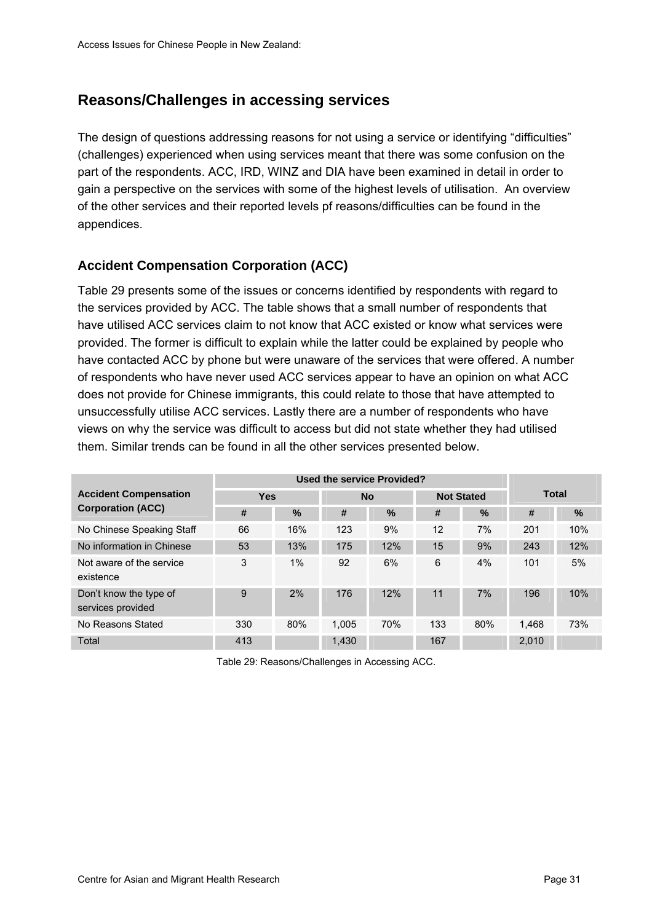# <span id="page-38-0"></span>**Reasons/Challenges in accessing services**

The design of questions addressing reasons for not using a service or identifying "difficulties" (challenges) experienced when using services meant that there was some confusion on the part of the respondents. ACC, IRD, WINZ and DIA have been examined in detail in order to gain a perspective on the services with some of the highest levels of utilisation. An overview of the other services and their reported levels pf reasons/difficulties can be found in the appendices.

### **Accident Compensation Corporation (ACC)**

[Table 29](#page-38-0) presents some of the issues or concerns identified by respondents with regard to the services provided by ACC. The table shows that a small number of respondents that have utilised ACC services claim to not know that ACC existed or know what services were provided. The former is difficult to explain while the latter could be explained by people who have contacted ACC by phone but were unaware of the services that were offered. A number of respondents who have never used ACC services appear to have an opinion on what ACC does not provide for Chinese immigrants, this could relate to those that have attempted to unsuccessfully utilise ACC services. Lastly there are a number of respondents who have views on why the service was difficult to access but did not state whether they had utilised them. Similar trends can be found in all the other services presented below.

| <b>Accident Compensation</b>                | <b>Yes</b> |               |       | <b>No</b> |     | <b>Not Stated</b> | <b>Total</b> |      |  |
|---------------------------------------------|------------|---------------|-------|-----------|-----|-------------------|--------------|------|--|
| <b>Corporation (ACC)</b>                    | #          | $\frac{0}{0}$ | #     | $\%$      | #   | $\%$              | #            | $\%$ |  |
| No Chinese Speaking Staff                   | 66         | 16%           | 123   | 9%        | 12  | 7%                | 201          | 10%  |  |
| No information in Chinese                   | 53         | 13%           | 175   | 12%       | 15  | 9%                | 243          | 12%  |  |
| Not aware of the service<br>existence       | 3          | 1%            | 92    | 6%        | 6   | 4%                | 101          | 5%   |  |
| Don't know the type of<br>services provided | 9          | 2%            | 176   | 12%       | 11  | 7%                | 196          | 10%  |  |
| No Reasons Stated                           | 330        | 80%           | 1.005 | 70%       | 133 | 80%               | 1.468        | 73%  |  |
| Total                                       | 413        |               | 1,430 |           | 167 |                   | 2,010        |      |  |

Table 29: Reasons/Challenges in Accessing ACC.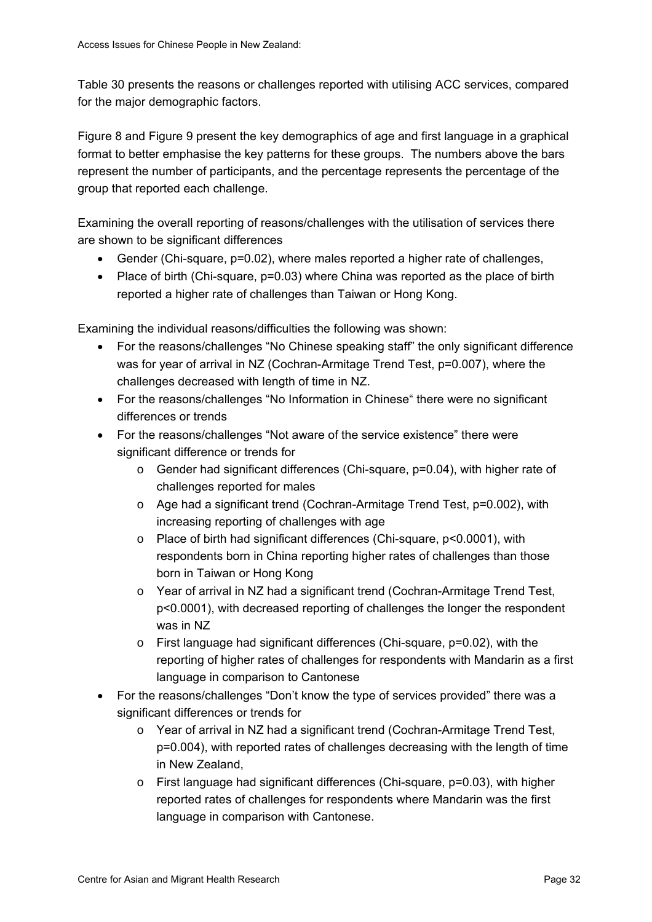[Table 30](#page-40-0) presents the reasons or challenges reported with utilising ACC services, compared for the major demographic factors.

[Figure 8](#page-41-0) and [Figure 9](#page-41-0) present the key demographics of age and first language in a graphical format to better emphasise the key patterns for these groups. The numbers above the bars represent the number of participants, and the percentage represents the percentage of the group that reported each challenge.

Examining the overall reporting of reasons/challenges with the utilisation of services there are shown to be significant differences

- Gender (Chi-square, p=0.02), where males reported a higher rate of challenges,
- Place of birth (Chi-square, p=0.03) where China was reported as the place of birth reported a higher rate of challenges than Taiwan or Hong Kong.

Examining the individual reasons/difficulties the following was shown:

- For the reasons/challenges "No Chinese speaking staff" the only significant difference was for year of arrival in NZ (Cochran-Armitage Trend Test, p=0.007), where the challenges decreased with length of time in NZ.
- For the reasons/challenges "No Information in Chinese" there were no significant differences or trends
- For the reasons/challenges "Not aware of the service existence" there were significant difference or trends for
	- $\circ$  Gender had significant differences (Chi-square, p=0.04), with higher rate of challenges reported for males
	- o Age had a significant trend (Cochran-Armitage Trend Test, p=0.002), with increasing reporting of challenges with age
	- o Place of birth had significant differences (Chi-square, p<0.0001), with respondents born in China reporting higher rates of challenges than those born in Taiwan or Hong Kong
	- o Year of arrival in NZ had a significant trend (Cochran-Armitage Trend Test, p<0.0001), with decreased reporting of challenges the longer the respondent was in NZ
	- o First language had significant differences (Chi-square, p=0.02), with the reporting of higher rates of challenges for respondents with Mandarin as a first language in comparison to Cantonese
- For the reasons/challenges "Don't know the type of services provided" there was a significant differences or trends for
	- o Year of arrival in NZ had a significant trend (Cochran-Armitage Trend Test, p=0.004), with reported rates of challenges decreasing with the length of time in New Zealand,
	- $\circ$  First language had significant differences (Chi-square,  $p=0.03$ ), with higher reported rates of challenges for respondents where Mandarin was the first language in comparison with Cantonese.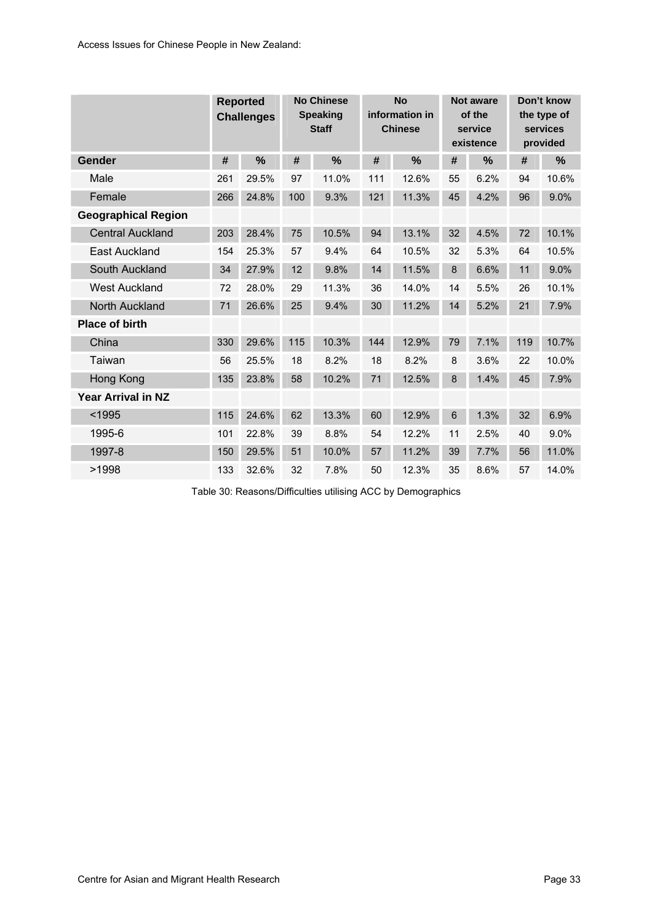<span id="page-40-0"></span>

|                            |     | <b>Reported</b><br><b>Challenges</b> | <b>No Chinese</b><br><b>Speaking</b><br><b>Staff</b> |       | <b>No</b><br>information in<br><b>Chinese</b> |       | Not aware<br>of the<br>service<br>existence |      | Don't know<br>the type of<br>services<br>provided |       |
|----------------------------|-----|--------------------------------------|------------------------------------------------------|-------|-----------------------------------------------|-------|---------------------------------------------|------|---------------------------------------------------|-------|
| Gender                     | #   | %                                    | #                                                    | %     | #                                             | %     | #                                           | %    | #                                                 | %     |
| Male                       | 261 | 29.5%                                | 97                                                   | 11.0% | 111                                           | 12.6% | 55                                          | 6.2% | 94                                                | 10.6% |
| Female                     | 266 | 24.8%                                | 100                                                  | 9.3%  | 121                                           | 11.3% | 45                                          | 4.2% | 96                                                | 9.0%  |
| <b>Geographical Region</b> |     |                                      |                                                      |       |                                               |       |                                             |      |                                                   |       |
| <b>Central Auckland</b>    | 203 | 28.4%                                | 75                                                   | 10.5% | 94                                            | 13.1% | 32                                          | 4.5% | 72                                                | 10.1% |
| <b>East Auckland</b>       | 154 | 25.3%                                | 57                                                   | 9.4%  | 64                                            | 10.5% | 32                                          | 5.3% | 64                                                | 10.5% |
| South Auckland             | 34  | 27.9%                                | 12                                                   | 9.8%  | 14                                            | 11.5% | 8                                           | 6.6% | 11                                                | 9.0%  |
| <b>West Auckland</b>       | 72  | 28.0%                                | 29                                                   | 11.3% | 36                                            | 14.0% | 14                                          | 5.5% | 26                                                | 10.1% |
| North Auckland             | 71  | 26.6%                                | 25                                                   | 9.4%  | 30                                            | 11.2% | 14                                          | 5.2% | 21                                                | 7.9%  |
| <b>Place of birth</b>      |     |                                      |                                                      |       |                                               |       |                                             |      |                                                   |       |
| China                      | 330 | 29.6%                                | 115                                                  | 10.3% | 144                                           | 12.9% | 79                                          | 7.1% | 119                                               | 10.7% |
| Taiwan                     | 56  | 25.5%                                | 18                                                   | 8.2%  | 18                                            | 8.2%  | 8                                           | 3.6% | 22                                                | 10.0% |
| Hong Kong                  | 135 | 23.8%                                | 58                                                   | 10.2% | 71                                            | 12.5% | 8                                           | 1.4% | 45                                                | 7.9%  |
| Year Arrival in NZ         |     |                                      |                                                      |       |                                               |       |                                             |      |                                                   |       |
| $1995$                     | 115 | 24.6%                                | 62                                                   | 13.3% | 60                                            | 12.9% | 6                                           | 1.3% | 32                                                | 6.9%  |
| 1995-6                     | 101 | 22.8%                                | 39                                                   | 8.8%  | 54                                            | 12.2% | 11                                          | 2.5% | 40                                                | 9.0%  |
| 1997-8                     | 150 | 29.5%                                | 51                                                   | 10.0% | 57                                            | 11.2% | 39                                          | 7.7% | 56                                                | 11.0% |
| >1998                      | 133 | 32.6%                                | 32                                                   | 7.8%  | 50                                            | 12.3% | 35                                          | 8.6% | 57                                                | 14.0% |

Table 30: Reasons/Difficulties utilising ACC by Demographics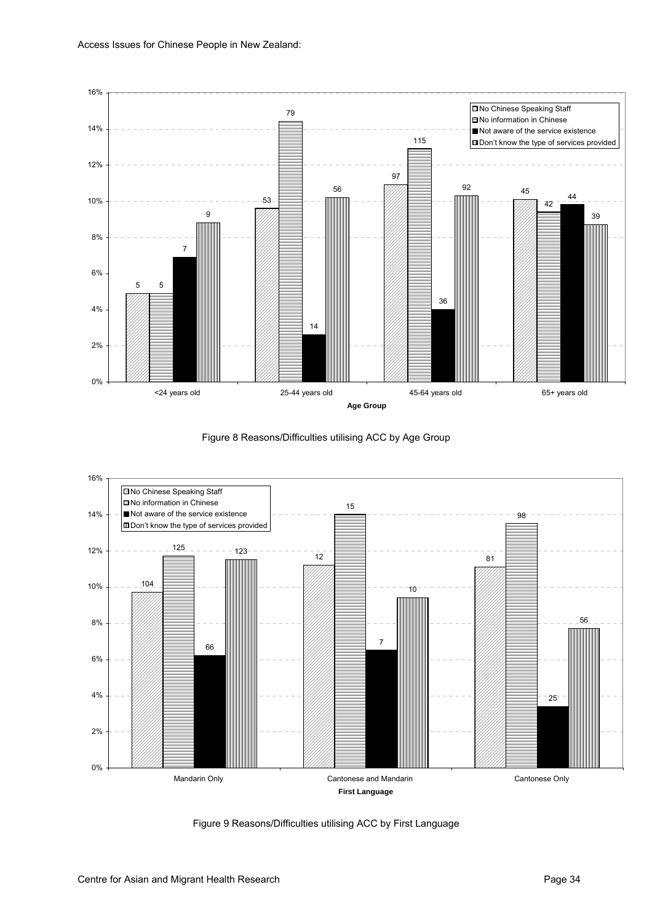<span id="page-41-0"></span>





Figure 9 Reasons/Difficulties utilising ACC by First Language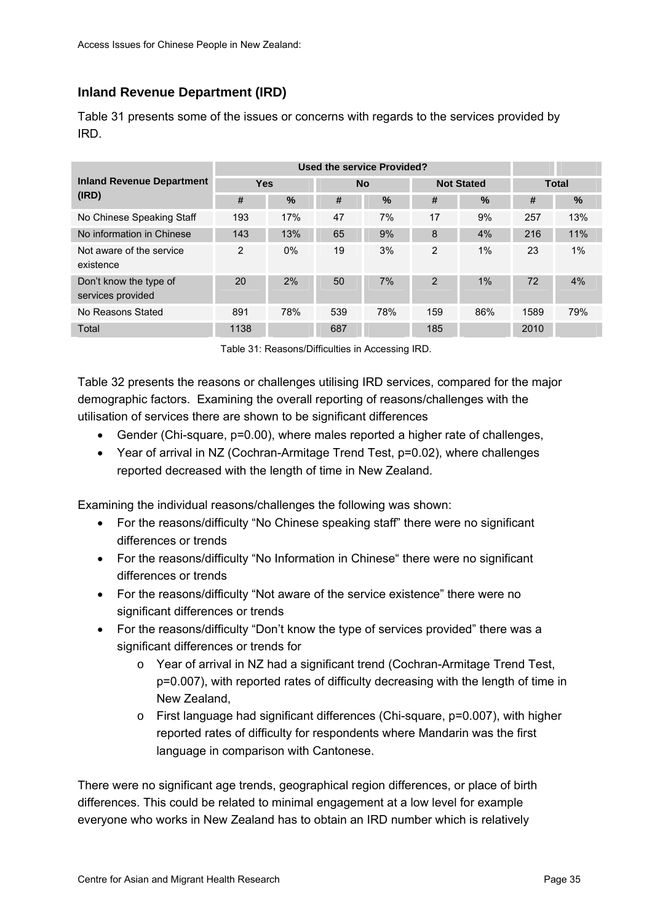## <span id="page-42-0"></span>**Inland Revenue Department (IRD)**

[Table 31](#page-42-0) presents some of the issues or concerns with regards to the services provided by IRD.

| <b>Inland Revenue Department</b>            | <b>Yes</b> |               |     | <b>No</b> |                | <b>Not Stated</b> | <b>Total</b> |       |
|---------------------------------------------|------------|---------------|-----|-----------|----------------|-------------------|--------------|-------|
| (IRD)                                       | #          | $\frac{0}{0}$ | #   | $\%$      | #              | $\%$              | #            | $\%$  |
| No Chinese Speaking Staff                   | 193        | 17%           | 47  | 7%        | 17             | 9%                | 257          | 13%   |
| No information in Chinese                   | 143        | 13%           | 65  | 9%        | 8              | 4%                | 216          | 11%   |
| Not aware of the service<br>existence       | 2          | $0\%$         | 19  | 3%        | $\overline{2}$ | 1%                | 23           | $1\%$ |
| Don't know the type of<br>services provided | 20         | 2%            | 50  | 7%        | $\overline{2}$ | $1\%$             | 72           | 4%    |
| No Reasons Stated                           | 891        | 78%           | 539 | 78%       | 159            | 86%               | 1589         | 79%   |
| Total                                       | 1138       |               | 687 |           | 185            |                   | 2010         |       |

Table 31: Reasons/Difficulties in Accessing IRD.

[Table 32](#page-43-0) presents the reasons or challenges utilising IRD services, compared for the major demographic factors. Examining the overall reporting of reasons/challenges with the utilisation of services there are shown to be significant differences

- Gender (Chi-square, p=0.00), where males reported a higher rate of challenges,
- Year of arrival in NZ (Cochran-Armitage Trend Test, p=0.02), where challenges reported decreased with the length of time in New Zealand.

Examining the individual reasons/challenges the following was shown:

- For the reasons/difficulty "No Chinese speaking staff" there were no significant differences or trends
- For the reasons/difficulty "No Information in Chinese" there were no significant differences or trends
- For the reasons/difficulty "Not aware of the service existence" there were no significant differences or trends
- For the reasons/difficulty "Don't know the type of services provided" there was a significant differences or trends for
	- o Year of arrival in NZ had a significant trend (Cochran-Armitage Trend Test, p=0.007), with reported rates of difficulty decreasing with the length of time in New Zealand,
	- $\circ$  First language had significant differences (Chi-square, p=0.007), with higher reported rates of difficulty for respondents where Mandarin was the first language in comparison with Cantonese.

There were no significant age trends, geographical region differences, or place of birth differences. This could be related to minimal engagement at a low level for example everyone who works in New Zealand has to obtain an IRD number which is relatively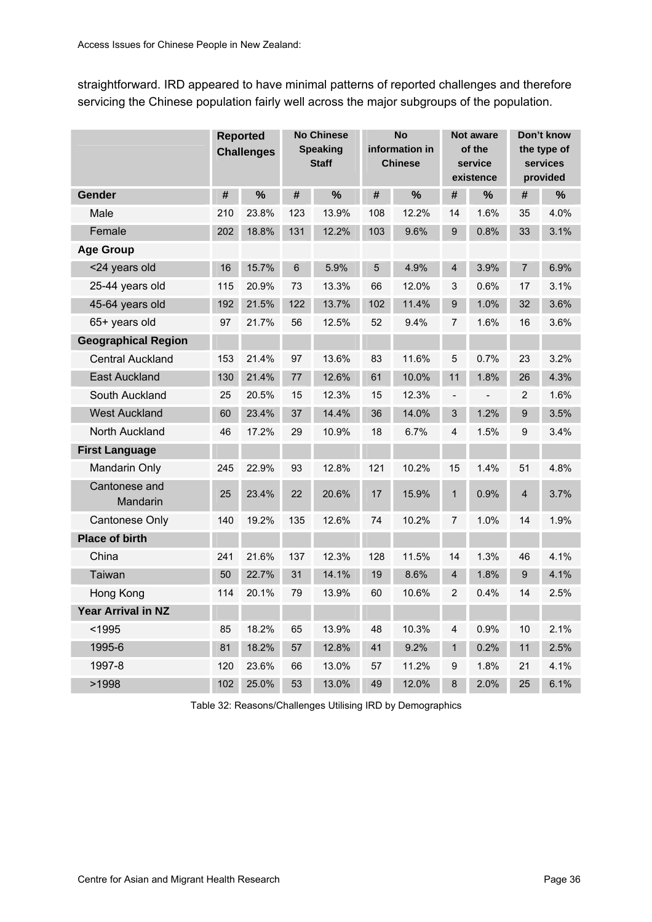<span id="page-43-0"></span>straightforward. IRD appeared to have minimal patterns of reported challenges and therefore servicing the Chinese population fairly well across the major subgroups of the population.

|                            |     | <b>Reported</b><br><b>Challenges</b> |     | <b>No Chinese</b><br><b>Speaking</b><br><b>Staff</b> |     | <b>No</b><br>information in<br><b>Chinese</b> |                         | <b>Not aware</b><br>of the<br>service<br>existence |                | Don't know<br>the type of<br>services<br>provided |
|----------------------------|-----|--------------------------------------|-----|------------------------------------------------------|-----|-----------------------------------------------|-------------------------|----------------------------------------------------|----------------|---------------------------------------------------|
| Gender                     | #   | %                                    | #   | $\frac{0}{0}$                                        | #   | %                                             | #                       | %                                                  | #              | %                                                 |
| Male                       | 210 | 23.8%                                | 123 | 13.9%                                                | 108 | 12.2%                                         | 14                      | 1.6%                                               | 35             | 4.0%                                              |
| Female                     | 202 | 18.8%                                | 131 | 12.2%                                                | 103 | 9.6%                                          | 9                       | 0.8%                                               | 33             | 3.1%                                              |
| <b>Age Group</b>           |     |                                      |     |                                                      |     |                                               |                         |                                                    |                |                                                   |
| <24 years old              | 16  | 15.7%                                | 6   | 5.9%                                                 | 5   | 4.9%                                          | $\overline{\mathbf{4}}$ | 3.9%                                               | 7              | 6.9%                                              |
| 25-44 years old            | 115 | 20.9%                                | 73  | 13.3%                                                | 66  | 12.0%                                         | 3                       | 0.6%                                               | 17             | 3.1%                                              |
| 45-64 years old            | 192 | 21.5%                                | 122 | 13.7%                                                | 102 | 11.4%                                         | 9                       | 1.0%                                               | 32             | 3.6%                                              |
| 65+ years old              | 97  | 21.7%                                | 56  | 12.5%                                                | 52  | 9.4%                                          | $\overline{7}$          | 1.6%                                               | 16             | 3.6%                                              |
| <b>Geographical Region</b> |     |                                      |     |                                                      |     |                                               |                         |                                                    |                |                                                   |
| <b>Central Auckland</b>    | 153 | 21.4%                                | 97  | 13.6%                                                | 83  | 11.6%                                         | 5                       | 0.7%                                               | 23             | 3.2%                                              |
| East Auckland              | 130 | 21.4%                                | 77  | 12.6%                                                | 61  | 10.0%                                         | 11                      | 1.8%                                               | 26             | 4.3%                                              |
| South Auckland             | 25  | 20.5%                                | 15  | 12.3%                                                | 15  | 12.3%                                         | $\qquad \qquad -$       |                                                    | $\overline{2}$ | 1.6%                                              |
| <b>West Auckland</b>       | 60  | 23.4%                                | 37  | 14.4%                                                | 36  | 14.0%                                         | 3                       | 1.2%                                               | 9              | 3.5%                                              |
| North Auckland             | 46  | 17.2%                                | 29  | 10.9%                                                | 18  | 6.7%                                          | 4                       | 1.5%                                               | 9              | 3.4%                                              |
| <b>First Language</b>      |     |                                      |     |                                                      |     |                                               |                         |                                                    |                |                                                   |
| Mandarin Only              | 245 | 22.9%                                | 93  | 12.8%                                                | 121 | 10.2%                                         | 15                      | 1.4%                                               | 51             | 4.8%                                              |
| Cantonese and<br>Mandarin  | 25  | 23.4%                                | 22  | 20.6%                                                | 17  | 15.9%                                         | $\mathbf{1}$            | 0.9%                                               | $\overline{4}$ | 3.7%                                              |
| Cantonese Only             | 140 | 19.2%                                | 135 | 12.6%                                                | 74  | 10.2%                                         | $\overline{7}$          | 1.0%                                               | 14             | 1.9%                                              |
| <b>Place of birth</b>      |     |                                      |     |                                                      |     |                                               |                         |                                                    |                |                                                   |
| China                      | 241 | 21.6%                                | 137 | 12.3%                                                | 128 | 11.5%                                         | 14                      | 1.3%                                               | 46             | 4.1%                                              |
| Taiwan                     | 50  | 22.7%                                | 31  | 14.1%                                                | 19  | 8.6%                                          | $\overline{4}$          | 1.8%                                               | 9              | 4.1%                                              |
| Hong Kong                  | 114 | 20.1%                                | 79  | 13.9%                                                | 60  | 10.6%                                         | $\overline{2}$          | 0.4%                                               | 14             | 2.5%                                              |
| <b>Year Arrival in NZ</b>  |     |                                      |     |                                                      |     |                                               |                         |                                                    |                |                                                   |
| $1995$                     | 85  | 18.2%                                | 65  | 13.9%                                                | 48  | 10.3%                                         | 4                       | 0.9%                                               | 10             | 2.1%                                              |
| 1995-6                     | 81  | 18.2%                                | 57  | 12.8%                                                | 41  | 9.2%                                          | $\mathbf 1$             | 0.2%                                               | 11             | 2.5%                                              |
| 1997-8                     | 120 | 23.6%                                | 66  | 13.0%                                                | 57  | 11.2%                                         | 9                       | 1.8%                                               | 21             | 4.1%                                              |
| >1998                      | 102 | 25.0%                                | 53  | 13.0%                                                | 49  | 12.0%                                         | 8                       | 2.0%                                               | 25             | 6.1%                                              |

Table 32: Reasons/Challenges Utilising IRD by Demographics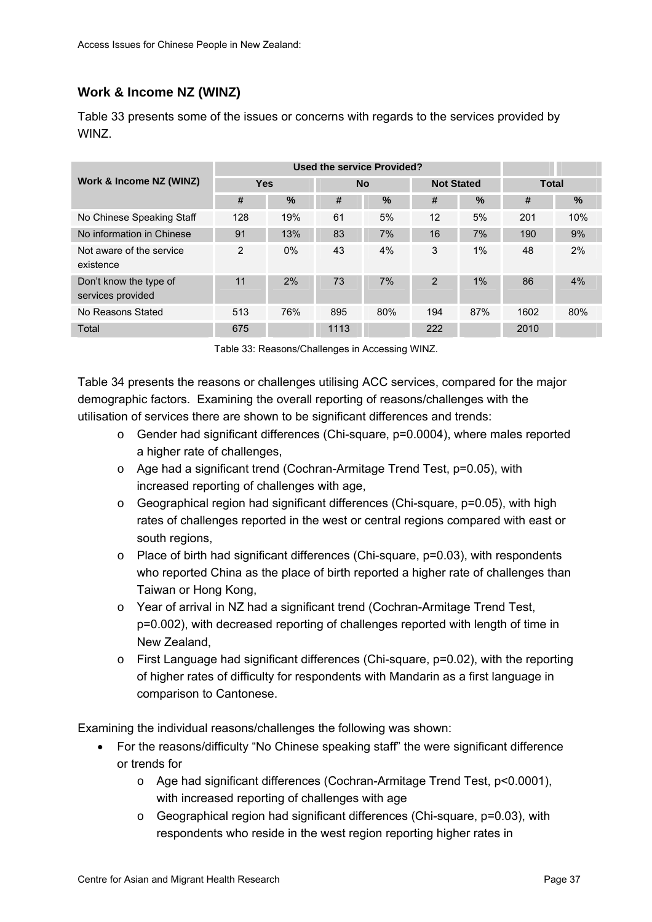### <span id="page-44-0"></span>**Work & Income NZ (WINZ)**

[Table 33](#page-44-0) presents some of the issues or concerns with regards to the services provided by WINZ.

|                                             |                |       |      | <b>Used the service Provided?</b> |                |                   |              |     |  |
|---------------------------------------------|----------------|-------|------|-----------------------------------|----------------|-------------------|--------------|-----|--|
| Work & Income NZ (WINZ)                     | <b>Yes</b>     |       |      | <b>No</b>                         |                | <b>Not Stated</b> | <b>Total</b> |     |  |
|                                             | #              | %     | #    | $\%$                              | #              | $\%$              | #            | %   |  |
| No Chinese Speaking Staff                   | 128            | 19%   | 61   | 5%                                | 12             | 5%                | 201          | 10% |  |
| No information in Chinese                   | 91             | 13%   | 83   | 7%                                | 16             | 7%                | 190          | 9%  |  |
| Not aware of the service<br>existence       | $\overline{2}$ | $0\%$ | 43   | 4%                                | 3              | 1%                | 48           | 2%  |  |
| Don't know the type of<br>services provided | 11             | 2%    | 73   | 7%                                | $\overline{2}$ | 1%                | 86           | 4%  |  |
| No Reasons Stated                           | 513            | 76%   | 895  | 80%                               | 194            | 87%               | 1602         | 80% |  |
| Total                                       | 675            |       | 1113 |                                   | 222            |                   | 2010         |     |  |

Table 33: Reasons/Challenges in Accessing WINZ.

[Table 34](#page-46-0) presents the reasons or challenges utilising ACC services, compared for the major demographic factors. Examining the overall reporting of reasons/challenges with the utilisation of services there are shown to be significant differences and trends:

- o Gender had significant differences (Chi-square, p=0.0004), where males reported a higher rate of challenges,
- o Age had a significant trend (Cochran-Armitage Trend Test, p=0.05), with increased reporting of challenges with age,
- $\circ$  Geographical region had significant differences (Chi-square, p=0.05), with high rates of challenges reported in the west or central regions compared with east or south regions.
- $\circ$  Place of birth had significant differences (Chi-square,  $p=0.03$ ), with respondents who reported China as the place of birth reported a higher rate of challenges than Taiwan or Hong Kong,
- $\circ$  Year of arrival in NZ had a significant trend (Cochran-Armitage Trend Test, p=0.002), with decreased reporting of challenges reported with length of time in New Zealand,
- o First Language had significant differences (Chi-square, p=0.02), with the reporting of higher rates of difficulty for respondents with Mandarin as a first language in comparison to Cantonese.

Examining the individual reasons/challenges the following was shown:

- For the reasons/difficulty "No Chinese speaking staff" the were significant difference or trends for
	- o Age had significant differences (Cochran-Armitage Trend Test, p<0.0001), with increased reporting of challenges with age
	- o Geographical region had significant differences (Chi-square, p=0.03), with respondents who reside in the west region reporting higher rates in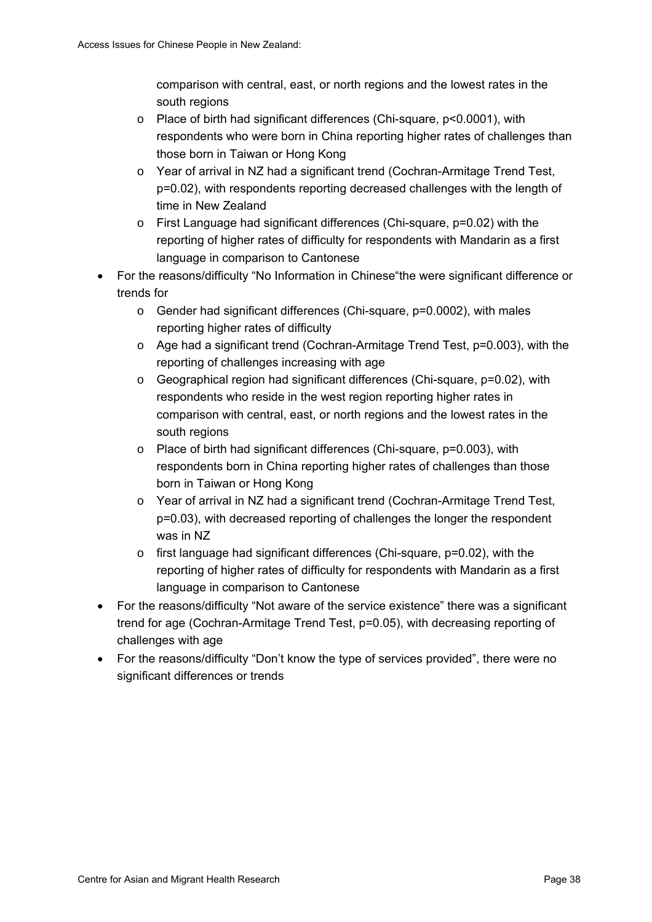comparison with central, east, or north regions and the lowest rates in the south regions

- o Place of birth had significant differences (Chi-square, p<0.0001), with respondents who were born in China reporting higher rates of challenges than those born in Taiwan or Hong Kong
- o Year of arrival in NZ had a significant trend (Cochran-Armitage Trend Test, p=0.02), with respondents reporting decreased challenges with the length of time in New Zealand
- $\circ$  First Language had significant differences (Chi-square,  $p=0.02$ ) with the reporting of higher rates of difficulty for respondents with Mandarin as a first language in comparison to Cantonese
- For the reasons/difficulty "No Information in Chinese"the were significant difference or trends for
	- o Gender had significant differences (Chi-square, p=0.0002), with males reporting higher rates of difficulty
	- $\circ$  Age had a significant trend (Cochran-Armitage Trend Test, p=0.003), with the reporting of challenges increasing with age
	- $\circ$  Geographical region had significant differences (Chi-square,  $p=0.02$ ), with respondents who reside in the west region reporting higher rates in comparison with central, east, or north regions and the lowest rates in the south regions
	- o Place of birth had significant differences (Chi-square, p=0.003), with respondents born in China reporting higher rates of challenges than those born in Taiwan or Hong Kong
	- o Year of arrival in NZ had a significant trend (Cochran-Armitage Trend Test, p=0.03), with decreased reporting of challenges the longer the respondent was in NZ
	- o first language had significant differences (Chi-square, p=0.02), with the reporting of higher rates of difficulty for respondents with Mandarin as a first language in comparison to Cantonese
- For the reasons/difficulty "Not aware of the service existence" there was a significant trend for age (Cochran-Armitage Trend Test, p=0.05), with decreasing reporting of challenges with age
- For the reasons/difficulty "Don't know the type of services provided", there were no significant differences or trends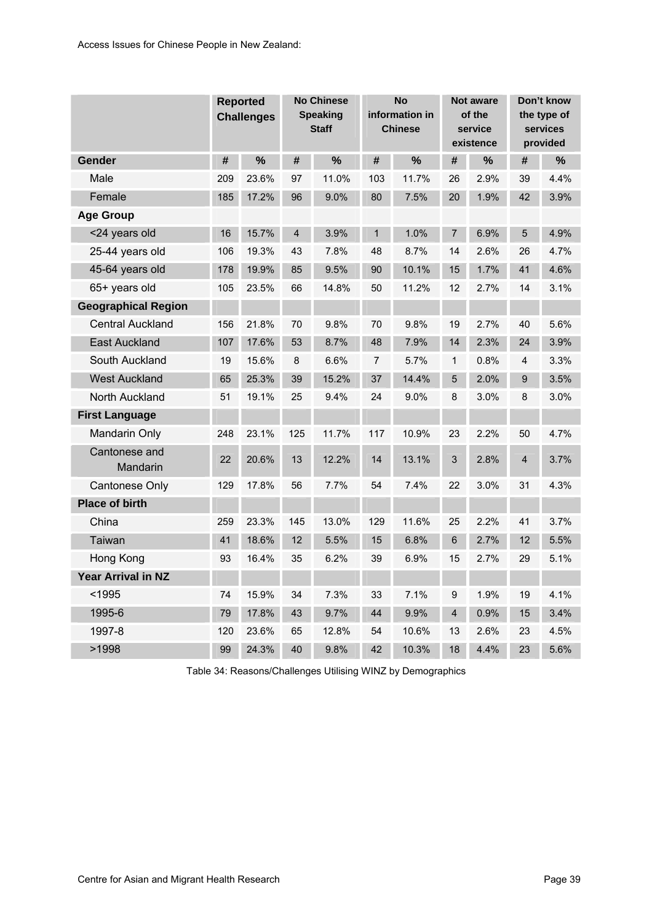<span id="page-46-0"></span>

|                            |     | <b>Reported</b><br><b>Challenges</b> |                | <b>No Chinese</b><br><b>Speaking</b><br><b>Staff</b> |                | <b>No</b><br>information in<br><b>Chinese</b> |                         | <b>Not aware</b><br>of the<br>service<br>existence |                | Don't know<br>the type of<br>services<br>provided |
|----------------------------|-----|--------------------------------------|----------------|------------------------------------------------------|----------------|-----------------------------------------------|-------------------------|----------------------------------------------------|----------------|---------------------------------------------------|
| Gender                     | #   | %                                    | #              | $\frac{0}{0}$                                        | #              | $\frac{9}{6}$                                 | #                       | %                                                  | #              | %                                                 |
| Male                       | 209 | 23.6%                                | 97             | 11.0%                                                | 103            | 11.7%                                         | 26                      | 2.9%                                               | 39             | 4.4%                                              |
| Female                     | 185 | 17.2%                                | 96             | 9.0%                                                 | 80             | 7.5%                                          | 20                      | 1.9%                                               | 42             | 3.9%                                              |
| <b>Age Group</b>           |     |                                      |                |                                                      |                |                                               |                         |                                                    |                |                                                   |
| <24 years old              | 16  | 15.7%                                | $\overline{4}$ | 3.9%                                                 | $\mathbf{1}$   | 1.0%                                          | $\overline{7}$          | 6.9%                                               | 5              | 4.9%                                              |
| 25-44 years old            | 106 | 19.3%                                | 43             | 7.8%                                                 | 48             | 8.7%                                          | 14                      | 2.6%                                               | 26             | 4.7%                                              |
| 45-64 years old            | 178 | 19.9%                                | 85             | 9.5%                                                 | 90             | 10.1%                                         | 15                      | 1.7%                                               | 41             | 4.6%                                              |
| 65+ years old              | 105 | 23.5%                                | 66             | 14.8%                                                | 50             | 11.2%                                         | 12                      | 2.7%                                               | 14             | 3.1%                                              |
| <b>Geographical Region</b> |     |                                      |                |                                                      |                |                                               |                         |                                                    |                |                                                   |
| <b>Central Auckland</b>    | 156 | 21.8%                                | 70             | 9.8%                                                 | 70             | 9.8%                                          | 19                      | 2.7%                                               | 40             | 5.6%                                              |
| <b>East Auckland</b>       | 107 | 17.6%                                | 53             | 8.7%                                                 | 48             | 7.9%                                          | 14                      | 2.3%                                               | 24             | 3.9%                                              |
| South Auckland             | 19  | 15.6%                                | 8              | 6.6%                                                 | $\overline{7}$ | 5.7%                                          | $\mathbf{1}$            | 0.8%                                               | 4              | 3.3%                                              |
| <b>West Auckland</b>       | 65  | 25.3%                                | 39             | 15.2%                                                | 37             | 14.4%                                         | 5                       | 2.0%                                               | 9              | 3.5%                                              |
| North Auckland             | 51  | 19.1%                                | 25             | 9.4%                                                 | 24             | 9.0%                                          | 8                       | 3.0%                                               | 8              | 3.0%                                              |
| <b>First Language</b>      |     |                                      |                |                                                      |                |                                               |                         |                                                    |                |                                                   |
| <b>Mandarin Only</b>       | 248 | 23.1%                                | 125            | 11.7%                                                | 117            | 10.9%                                         | 23                      | 2.2%                                               | 50             | 4.7%                                              |
| Cantonese and<br>Mandarin  | 22  | 20.6%                                | 13             | 12.2%                                                | 14             | 13.1%                                         | 3                       | 2.8%                                               | $\overline{4}$ | 3.7%                                              |
| <b>Cantonese Only</b>      | 129 | 17.8%                                | 56             | 7.7%                                                 | 54             | 7.4%                                          | 22                      | 3.0%                                               | 31             | 4.3%                                              |
| <b>Place of birth</b>      |     |                                      |                |                                                      |                |                                               |                         |                                                    |                |                                                   |
| China                      | 259 | 23.3%                                | 145            | 13.0%                                                | 129            | 11.6%                                         | 25                      | 2.2%                                               | 41             | 3.7%                                              |
| Taiwan                     | 41  | 18.6%                                | 12             | 5.5%                                                 | 15             | 6.8%                                          | 6                       | 2.7%                                               | 12             | 5.5%                                              |
| Hong Kong                  | 93  | 16.4%                                | 35             | 6.2%                                                 | 39             | 6.9%                                          | 15                      | 2.7%                                               | 29             | 5.1%                                              |
| Year Arrival in NZ         |     |                                      |                |                                                      |                |                                               |                         |                                                    |                |                                                   |
| $1995$                     | 74  | 15.9%                                | 34             | 7.3%                                                 | 33             | 7.1%                                          | 9                       | 1.9%                                               | 19             | 4.1%                                              |
| 1995-6                     | 79  | 17.8%                                | 43             | 9.7%                                                 | 44             | 9.9%                                          | $\overline{\mathbf{4}}$ | 0.9%                                               | 15             | 3.4%                                              |
| 1997-8                     | 120 | 23.6%                                | 65             | 12.8%                                                | 54             | 10.6%                                         | 13                      | 2.6%                                               | 23             | 4.5%                                              |
| >1998                      | 99  | 24.3%                                | 40             | 9.8%                                                 | 42             | 10.3%                                         | 18                      | 4.4%                                               | 23             | 5.6%                                              |

Table 34: Reasons/Challenges Utilising WINZ by Demographics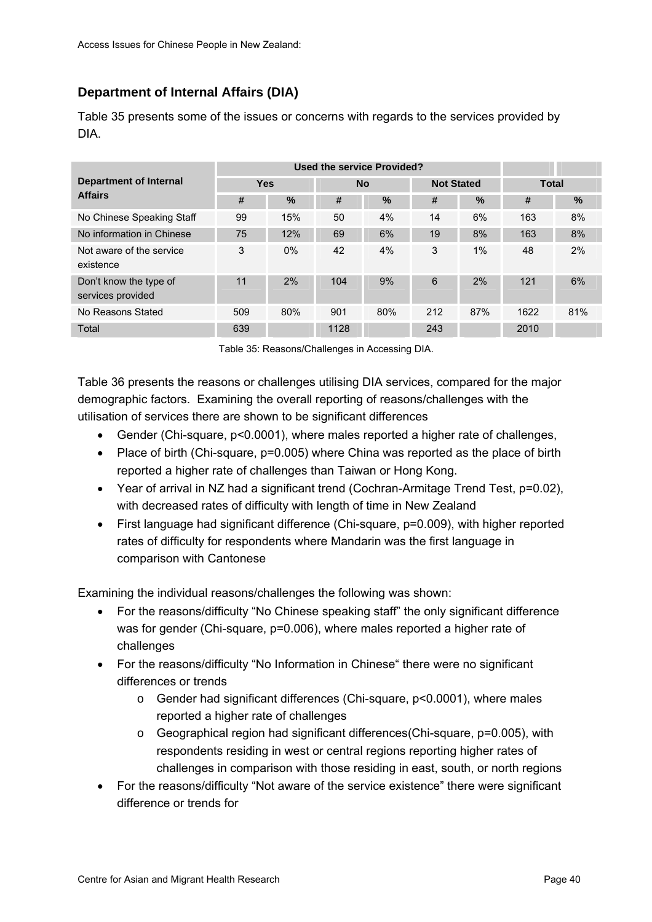# <span id="page-47-0"></span>**Department of Internal Affairs (DIA)**

[Table 35](#page-47-0) presents some of the issues or concerns with regards to the services provided by DIA.

|                                             |            | <b>Used the service Provided?</b> |      |           |     |                   |              |      |  |
|---------------------------------------------|------------|-----------------------------------|------|-----------|-----|-------------------|--------------|------|--|
| Department of Internal                      | <b>Yes</b> |                                   |      | <b>No</b> |     | <b>Not Stated</b> | <b>Total</b> |      |  |
| <b>Affairs</b>                              | #          | %                                 | #    | $\%$      | #   | $\%$              | #            | $\%$ |  |
| No Chinese Speaking Staff                   | 99         | 15%                               | 50   | 4%        | 14  | 6%                | 163          | 8%   |  |
| No information in Chinese                   | 75         | 12%                               | 69   | 6%        | 19  | 8%                | 163          | 8%   |  |
| Not aware of the service<br>existence       | 3          | $0\%$                             | 42   | 4%        | 3   | 1%                | 48           | 2%   |  |
| Don't know the type of<br>services provided | 11         | 2%                                | 104  | 9%        | 6   | 2%                | 121          | 6%   |  |
| No Reasons Stated                           | 509        | 80%                               | 901  | 80%       | 212 | 87%               | 1622         | 81%  |  |
| <b>Total</b>                                | 639        |                                   | 1128 |           | 243 |                   | 2010         |      |  |

Table 35: Reasons/Challenges in Accessing DIA.

[Table 36](#page-49-0) presents the reasons or challenges utilising DIA services, compared for the major demographic factors. Examining the overall reporting of reasons/challenges with the utilisation of services there are shown to be significant differences

- Gender (Chi-square, p<0.0001), where males reported a higher rate of challenges,
- Place of birth (Chi-square, p=0.005) where China was reported as the place of birth reported a higher rate of challenges than Taiwan or Hong Kong.
- Year of arrival in NZ had a significant trend (Cochran-Armitage Trend Test, p=0.02), with decreased rates of difficulty with length of time in New Zealand
- First language had significant difference (Chi-square, p=0.009), with higher reported rates of difficulty for respondents where Mandarin was the first language in comparison with Cantonese

Examining the individual reasons/challenges the following was shown:

- For the reasons/difficulty "No Chinese speaking staff" the only significant difference was for gender (Chi-square, p=0.006), where males reported a higher rate of challenges
- For the reasons/difficulty "No Information in Chinese" there were no significant differences or trends
	- o Gender had significant differences (Chi-square, p<0.0001), where males reported a higher rate of challenges
	- o Geographical region had significant differences(Chi-square, p=0.005), with respondents residing in west or central regions reporting higher rates of challenges in comparison with those residing in east, south, or north regions
- For the reasons/difficulty "Not aware of the service existence" there were significant difference or trends for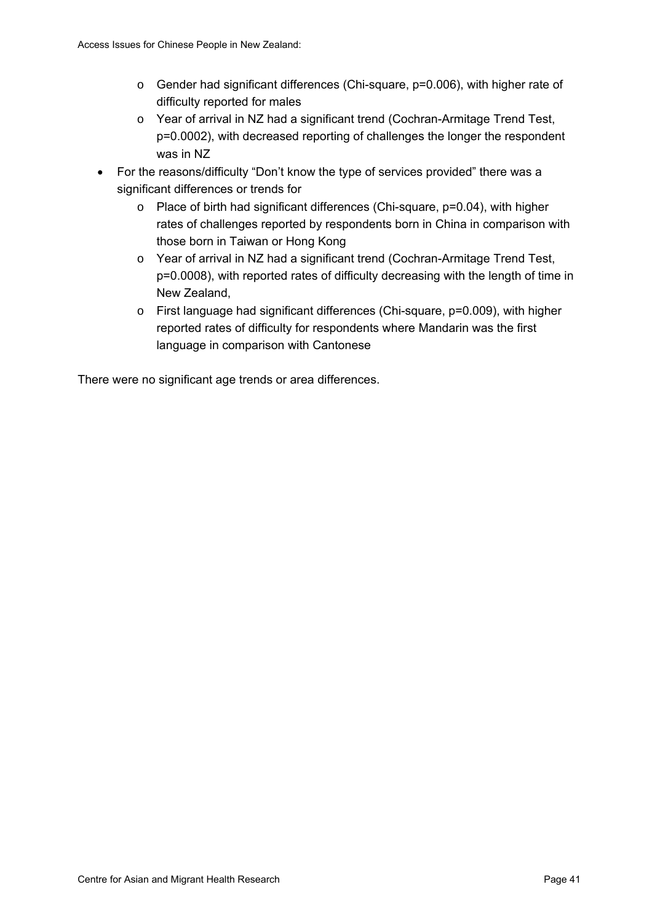- o Gender had significant differences (Chi-square, p=0.006), with higher rate of difficulty reported for males
- o Year of arrival in NZ had a significant trend (Cochran-Armitage Trend Test, p=0.0002), with decreased reporting of challenges the longer the respondent was in NZ
- For the reasons/difficulty "Don't know the type of services provided" there was a significant differences or trends for
	- o Place of birth had significant differences (Chi-square, p=0.04), with higher rates of challenges reported by respondents born in China in comparison with those born in Taiwan or Hong Kong
	- o Year of arrival in NZ had a significant trend (Cochran-Armitage Trend Test, p=0.0008), with reported rates of difficulty decreasing with the length of time in New Zealand,
	- o First language had significant differences (Chi-square, p=0.009), with higher reported rates of difficulty for respondents where Mandarin was the first language in comparison with Cantonese

There were no significant age trends or area differences.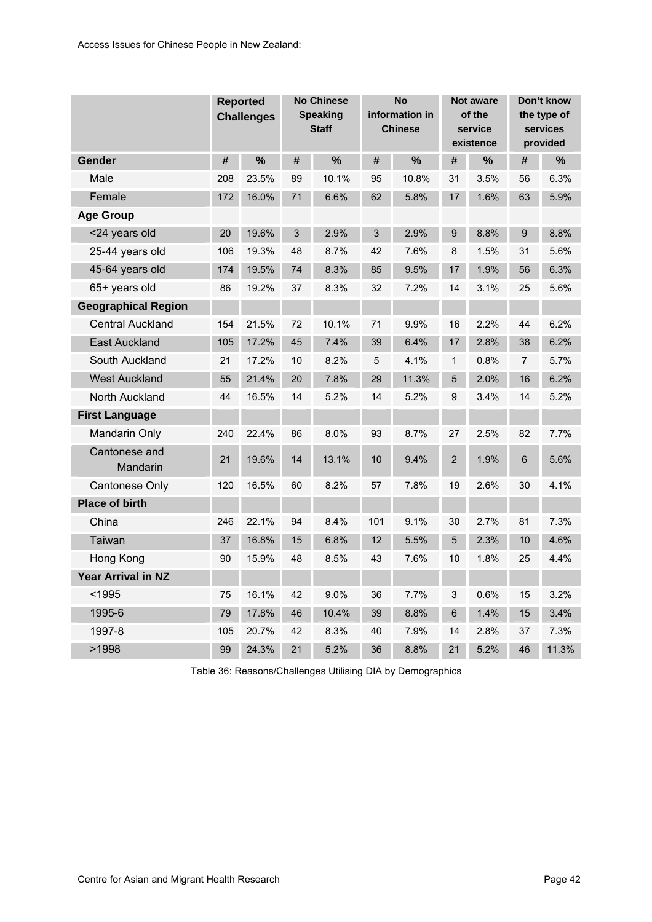<span id="page-49-0"></span>

|                            |     | <b>Reported</b><br><b>Challenges</b> |    | <b>No Chinese</b><br><b>Speaking</b><br><b>Staff</b> |             | <b>No</b><br>information in<br><b>Chinese</b> |                | <b>Not aware</b><br>of the<br>service<br>existence |    | Don't know<br>the type of<br>services<br>provided |
|----------------------------|-----|--------------------------------------|----|------------------------------------------------------|-------------|-----------------------------------------------|----------------|----------------------------------------------------|----|---------------------------------------------------|
| Gender                     | #   | %                                    | #  | $\frac{0}{0}$                                        | #           | $\frac{9}{6}$                                 | #              | $\%$                                               | #  | %                                                 |
| Male                       | 208 | 23.5%                                | 89 | 10.1%                                                | 95          | 10.8%                                         | 31             | 3.5%                                               | 56 | 6.3%                                              |
| Female                     | 172 | 16.0%                                | 71 | 6.6%                                                 | 62          | 5.8%                                          | 17             | 1.6%                                               | 63 | 5.9%                                              |
| <b>Age Group</b>           |     |                                      |    |                                                      |             |                                               |                |                                                    |    |                                                   |
| <24 years old              | 20  | 19.6%                                | 3  | 2.9%                                                 | 3           | 2.9%                                          | 9              | 8.8%                                               | 9  | 8.8%                                              |
| 25-44 years old            | 106 | 19.3%                                | 48 | 8.7%                                                 | 42          | 7.6%                                          | 8              | 1.5%                                               | 31 | 5.6%                                              |
| 45-64 years old            | 174 | 19.5%                                | 74 | 8.3%                                                 | 85          | 9.5%                                          | 17             | 1.9%                                               | 56 | 6.3%                                              |
| 65+ years old              | 86  | 19.2%                                | 37 | 8.3%                                                 | 32          | 7.2%                                          | 14             | 3.1%                                               | 25 | 5.6%                                              |
| <b>Geographical Region</b> |     |                                      |    |                                                      |             |                                               |                |                                                    |    |                                                   |
| <b>Central Auckland</b>    | 154 | 21.5%                                | 72 | 10.1%                                                | 71          | 9.9%                                          | 16             | 2.2%                                               | 44 | 6.2%                                              |
| <b>East Auckland</b>       | 105 | 17.2%                                | 45 | 7.4%                                                 | 39          | 6.4%                                          | 17             | 2.8%                                               | 38 | 6.2%                                              |
| South Auckland             | 21  | 17.2%                                | 10 | 8.2%                                                 | $\mathbf 5$ | 4.1%                                          | 1              | 0.8%                                               | 7  | 5.7%                                              |
| <b>West Auckland</b>       | 55  | 21.4%                                | 20 | 7.8%                                                 | 29          | 11.3%                                         | 5              | 2.0%                                               | 16 | 6.2%                                              |
| North Auckland             | 44  | 16.5%                                | 14 | 5.2%                                                 | 14          | 5.2%                                          | 9              | 3.4%                                               | 14 | 5.2%                                              |
| <b>First Language</b>      |     |                                      |    |                                                      |             |                                               |                |                                                    |    |                                                   |
| <b>Mandarin Only</b>       | 240 | 22.4%                                | 86 | 8.0%                                                 | 93          | 8.7%                                          | 27             | 2.5%                                               | 82 | 7.7%                                              |
| Cantonese and<br>Mandarin  | 21  | 19.6%                                | 14 | 13.1%                                                | 10          | 9.4%                                          | $\overline{2}$ | 1.9%                                               | 6  | 5.6%                                              |
| <b>Cantonese Only</b>      | 120 | 16.5%                                | 60 | 8.2%                                                 | 57          | 7.8%                                          | 19             | 2.6%                                               | 30 | 4.1%                                              |
| <b>Place of birth</b>      |     |                                      |    |                                                      |             |                                               |                |                                                    |    |                                                   |
| China                      | 246 | 22.1%                                | 94 | 8.4%                                                 | 101         | 9.1%                                          | 30             | 2.7%                                               | 81 | 7.3%                                              |
| Taiwan                     | 37  | 16.8%                                | 15 | 6.8%                                                 | 12          | 5.5%                                          | 5              | 2.3%                                               | 10 | 4.6%                                              |
| Hong Kong                  | 90  | 15.9%                                | 48 | 8.5%                                                 | 43          | 7.6%                                          | 10             | 1.8%                                               | 25 | 4.4%                                              |
| Year Arrival in NZ         |     |                                      |    |                                                      |             |                                               |                |                                                    |    |                                                   |
| $1995$                     | 75  | 16.1%                                | 42 | 9.0%                                                 | 36          | 7.7%                                          | 3              | 0.6%                                               | 15 | 3.2%                                              |
| 1995-6                     | 79  | 17.8%                                | 46 | 10.4%                                                | 39          | 8.8%                                          | 6              | 1.4%                                               | 15 | 3.4%                                              |
| 1997-8                     | 105 | 20.7%                                | 42 | 8.3%                                                 | 40          | 7.9%                                          | 14             | 2.8%                                               | 37 | 7.3%                                              |
| >1998                      | 99  | 24.3%                                | 21 | 5.2%                                                 | 36          | 8.8%                                          | 21             | 5.2%                                               | 46 | 11.3%                                             |

Table 36: Reasons/Challenges Utilising DIA by Demographics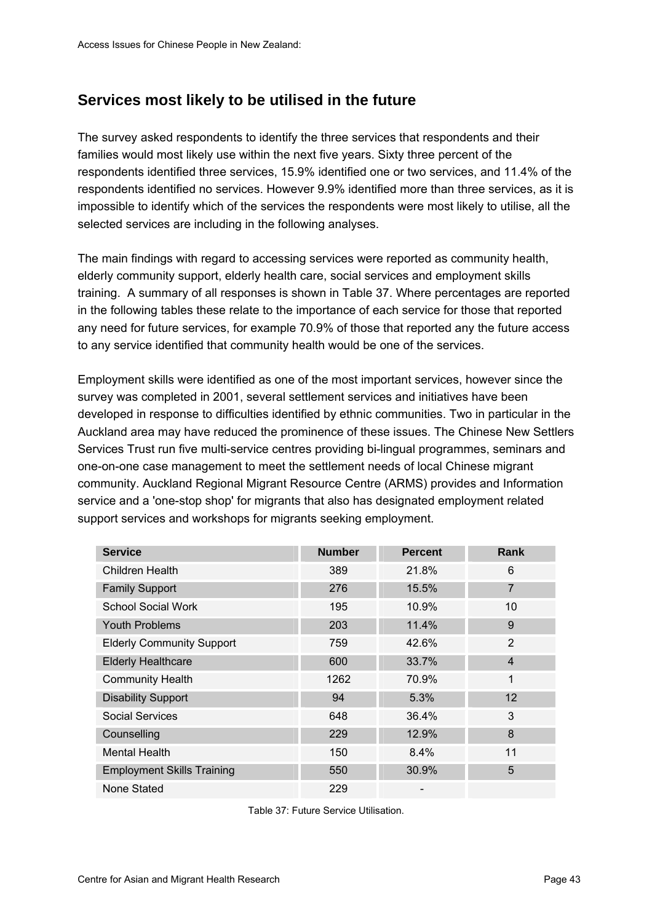# <span id="page-50-0"></span>**Services most likely to be utilised in the future**

The survey asked respondents to identify the three services that respondents and their families would most likely use within the next five years. Sixty three percent of the respondents identified three services, 15.9% identified one or two services, and 11.4% of the respondents identified no services. However 9.9% identified more than three services, as it is impossible to identify which of the services the respondents were most likely to utilise, all the selected services are including in the following analyses.

The main findings with regard to accessing services were reported as community health, elderly community support, elderly health care, social services and employment skills training. A summary of all responses is shown in [Table 37](#page-50-0). Where percentages are reported in the following tables these relate to the importance of each service for those that reported any need for future services, for example 70.9% of those that reported any the future access to any service identified that community health would be one of the services.

Employment skills were identified as one of the most important services, however since the survey was completed in 2001, several settlement services and initiatives have been developed in response to difficulties identified by ethnic communities. Two in particular in the Auckland area may have reduced the prominence of these issues. The Chinese New Settlers Services Trust run five multi-service centres providing bi-lingual programmes, seminars and one-on-one case management to meet the settlement needs of local Chinese migrant community. Auckland Regional Migrant Resource Centre (ARMS) provides and Information service and a 'one-stop shop' for migrants that also has designated employment related support services and workshops for migrants seeking employment.

| <b>Service</b>                    | <b>Number</b> | <b>Percent</b> | <b>Rank</b>    |
|-----------------------------------|---------------|----------------|----------------|
| Children Health                   | 389           | 21.8%          | 6              |
| <b>Family Support</b>             | 276           | 15.5%          | $\overline{7}$ |
| <b>School Social Work</b>         | 195           | 10.9%          | 10             |
| <b>Youth Problems</b>             | 203           | 11.4%          | 9              |
| <b>Elderly Community Support</b>  | 759           | 42.6%          | $\overline{2}$ |
| <b>Elderly Healthcare</b>         | 600           | 33.7%          | $\overline{4}$ |
| <b>Community Health</b>           | 1262          | 70.9%          | 1              |
| <b>Disability Support</b>         | 94            | 5.3%           | 12             |
| <b>Social Services</b>            | 648           | 36.4%          | 3              |
| Counselling                       | 229           | 12.9%          | 8              |
| <b>Mental Health</b>              | 150           | 8.4%           | 11             |
| <b>Employment Skills Training</b> | 550           | 30.9%          | 5              |
| None Stated                       | 229           |                |                |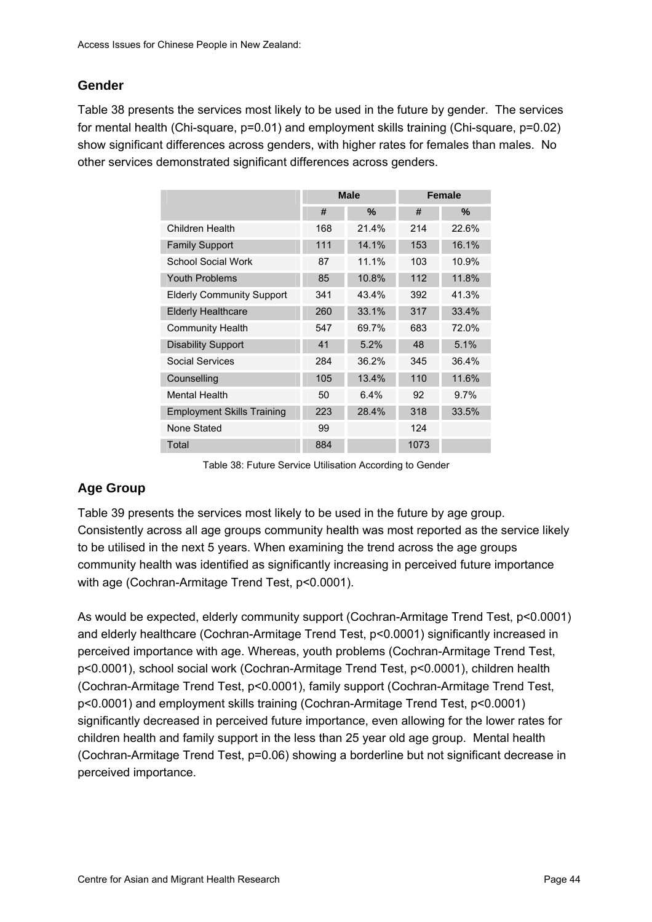## <span id="page-51-0"></span>**Gender**

[Table 38](#page-51-0) presents the services most likely to be used in the future by gender. The services for mental health (Chi-square, p=0.01) and employment skills training (Chi-square, p=0.02) show significant differences across genders, with higher rates for females than males. No other services demonstrated significant differences across genders.

|                                   |     | <b>Male</b> |      | <b>Female</b> |
|-----------------------------------|-----|-------------|------|---------------|
|                                   | #   | $\%$        | #    | %             |
| Children Health                   | 168 | 21.4%       | 214  | 22.6%         |
| <b>Family Support</b>             | 111 | 14.1%       | 153  | 16.1%         |
| <b>School Social Work</b>         | 87  | 11.1%       | 103  | 10.9%         |
| <b>Youth Problems</b>             | 85  | 10.8%       | 112  | 11.8%         |
| <b>Elderly Community Support</b>  | 341 | 43.4%       | 392  | 41.3%         |
| <b>Elderly Healthcare</b>         | 260 | 33.1%       | 317  | 33.4%         |
| <b>Community Health</b>           | 547 | 69.7%       | 683  | 72.0%         |
| <b>Disability Support</b>         | 41  | 5.2%        | 48   | 5.1%          |
| Social Services                   | 284 | 36.2%       | 345  | 36.4%         |
| Counselling                       | 105 | 13.4%       | 110  | 11.6%         |
| <b>Mental Health</b>              | 50  | 6.4%        | 92   | 9.7%          |
| <b>Employment Skills Training</b> | 223 | 28.4%       | 318  | 33.5%         |
| None Stated                       | 99  |             | 124  |               |
| Total                             | 884 |             | 1073 |               |

Table 38: Future Service Utilisation According to Gender

# **Age Group**

[Table 39](#page-52-0) presents the services most likely to be used in the future by age group. Consistently across all age groups community health was most reported as the service likely to be utilised in the next 5 years. When examining the trend across the age groups community health was identified as significantly increasing in perceived future importance with age (Cochran-Armitage Trend Test, p<0.0001).

As would be expected, elderly community support (Cochran-Armitage Trend Test, p<0.0001) and elderly healthcare (Cochran-Armitage Trend Test, p<0.0001) significantly increased in perceived importance with age. Whereas, youth problems (Cochran-Armitage Trend Test, p<0.0001), school social work (Cochran-Armitage Trend Test, p<0.0001), children health (Cochran-Armitage Trend Test, p<0.0001), family support (Cochran-Armitage Trend Test, p<0.0001) and employment skills training (Cochran-Armitage Trend Test, p<0.0001) significantly decreased in perceived future importance, even allowing for the lower rates for children health and family support in the less than 25 year old age group. Mental health (Cochran-Armitage Trend Test, p=0.06) showing a borderline but not significant decrease in perceived importance.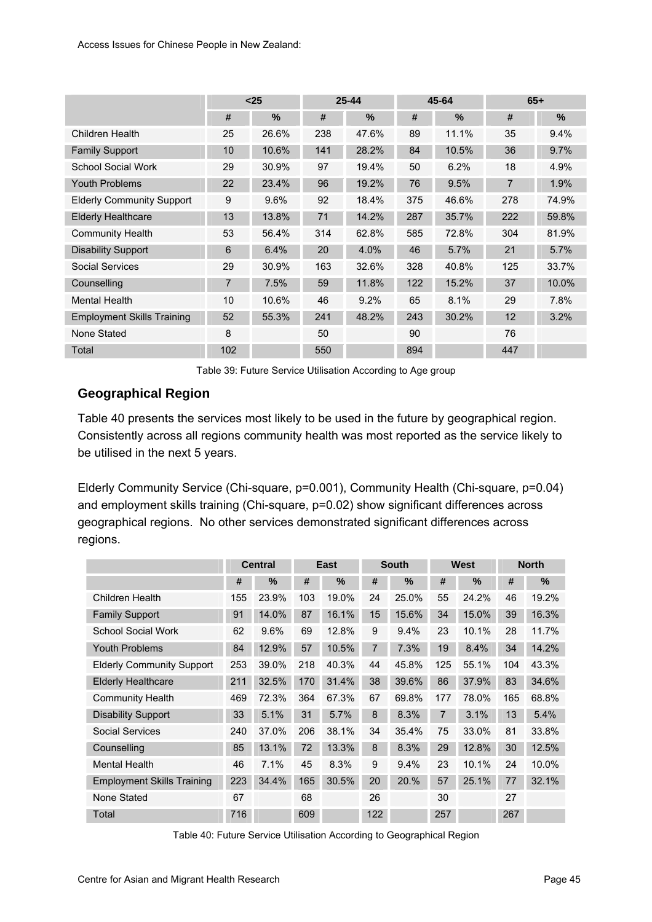<span id="page-52-0"></span>

|                                   | $25$           |       |     | $25 - 44$ |     | 45-64 | $65+$          |       |  |
|-----------------------------------|----------------|-------|-----|-----------|-----|-------|----------------|-------|--|
|                                   | #              | $\%$  | #   | %         | #   | $\%$  | #              | $\%$  |  |
| Children Health                   | 25             | 26.6% | 238 | 47.6%     | 89  | 11.1% | 35             | 9.4%  |  |
| <b>Family Support</b>             | 10             | 10.6% | 141 | 28.2%     | 84  | 10.5% | 36             | 9.7%  |  |
| <b>School Social Work</b>         | 29             | 30.9% | 97  | 19.4%     | 50  | 6.2%  | 18             | 4.9%  |  |
| <b>Youth Problems</b>             | 22             | 23.4% | 96  | 19.2%     | 76  | 9.5%  | $\overline{7}$ | 1.9%  |  |
| <b>Elderly Community Support</b>  | 9              | 9.6%  | 92  | 18.4%     | 375 | 46.6% | 278            | 74.9% |  |
| <b>Elderly Healthcare</b>         | 13             | 13.8% | 71  | 14.2%     | 287 | 35.7% | 222            | 59.8% |  |
| <b>Community Health</b>           | 53             | 56.4% | 314 | 62.8%     | 585 | 72.8% | 304            | 81.9% |  |
| <b>Disability Support</b>         | 6              | 6.4%  | 20  | 4.0%      | 46  | 5.7%  | 21             | 5.7%  |  |
| Social Services                   | 29             | 30.9% | 163 | 32.6%     | 328 | 40.8% | 125            | 33.7% |  |
| Counselling                       | $\overline{7}$ | 7.5%  | 59  | 11.8%     | 122 | 15.2% | 37             | 10.0% |  |
| <b>Mental Health</b>              | 10             | 10.6% | 46  | 9.2%      | 65  | 8.1%  | 29             | 7.8%  |  |
| <b>Employment Skills Training</b> | 52             | 55.3% | 241 | 48.2%     | 243 | 30.2% | 12             | 3.2%  |  |
| None Stated                       | 8              |       | 50  |           | 90  |       | 76             |       |  |
| Total                             | 102            |       | 550 |           | 894 |       | 447            |       |  |

Table 39: Future Service Utilisation According to Age group

## **Geographical Region**

[Table 40](#page-52-0) presents the services most likely to be used in the future by geographical region. Consistently across all regions community health was most reported as the service likely to be utilised in the next 5 years.

Elderly Community Service (Chi-square, p=0.001), Community Health (Chi-square, p=0.04) and employment skills training (Chi-square, p=0.02) show significant differences across geographical regions. No other services demonstrated significant differences across regions.

|                                   |     | <b>Central</b> |     | East  |     | <b>South</b> |     | West  |     | <b>North</b> |  |
|-----------------------------------|-----|----------------|-----|-------|-----|--------------|-----|-------|-----|--------------|--|
|                                   | #   | $\%$           | #   | $\%$  | #   | %            | #   | $\%$  | #   | $\%$         |  |
| Children Health                   | 155 | 23.9%          | 103 | 19.0% | 24  | 25.0%        | 55  | 24.2% | 46  | 19.2%        |  |
| <b>Family Support</b>             | 91  | 14.0%          | 87  | 16.1% | 15  | 15.6%        | 34  | 15.0% | 39  | 16.3%        |  |
| <b>School Social Work</b>         | 62  | 9.6%           | 69  | 12.8% | 9   | 9.4%         | 23  | 10.1% | 28  | 11.7%        |  |
| <b>Youth Problems</b>             | 84  | 12.9%          | 57  | 10.5% | 7   | 7.3%         | 19  | 8.4%  | 34  | 14.2%        |  |
| <b>Elderly Community Support</b>  | 253 | 39.0%          | 218 | 40.3% | 44  | 45.8%        | 125 | 55.1% | 104 | 43.3%        |  |
| <b>Elderly Healthcare</b>         | 211 | 32.5%          | 170 | 31.4% | 38  | 39.6%        | 86  | 37.9% | 83  | 34.6%        |  |
| <b>Community Health</b>           | 469 | 72.3%          | 364 | 67.3% | 67  | 69.8%        | 177 | 78.0% | 165 | 68.8%        |  |
| <b>Disability Support</b>         | 33  | 5.1%           | 31  | 5.7%  | 8   | 8.3%         | 7   | 3.1%  | 13  | 5.4%         |  |
| <b>Social Services</b>            | 240 | 37.0%          | 206 | 38.1% | 34  | 35.4%        | 75  | 33.0% | 81  | 33.8%        |  |
| Counselling                       | 85  | 13.1%          | 72  | 13.3% | 8   | 8.3%         | 29  | 12.8% | 30  | 12.5%        |  |
| <b>Mental Health</b>              | 46  | 7.1%           | 45  | 8.3%  | 9   | 9.4%         | 23  | 10.1% | 24  | 10.0%        |  |
| <b>Employment Skills Training</b> | 223 | 34.4%          | 165 | 30.5% | 20  | 20.%         | 57  | 25.1% | 77  | 32.1%        |  |
| None Stated                       | 67  |                | 68  |       | 26  |              | 30  |       | 27  |              |  |
| Total                             | 716 |                | 609 |       | 122 |              | 257 |       | 267 |              |  |

Table 40: Future Service Utilisation According to Geographical Region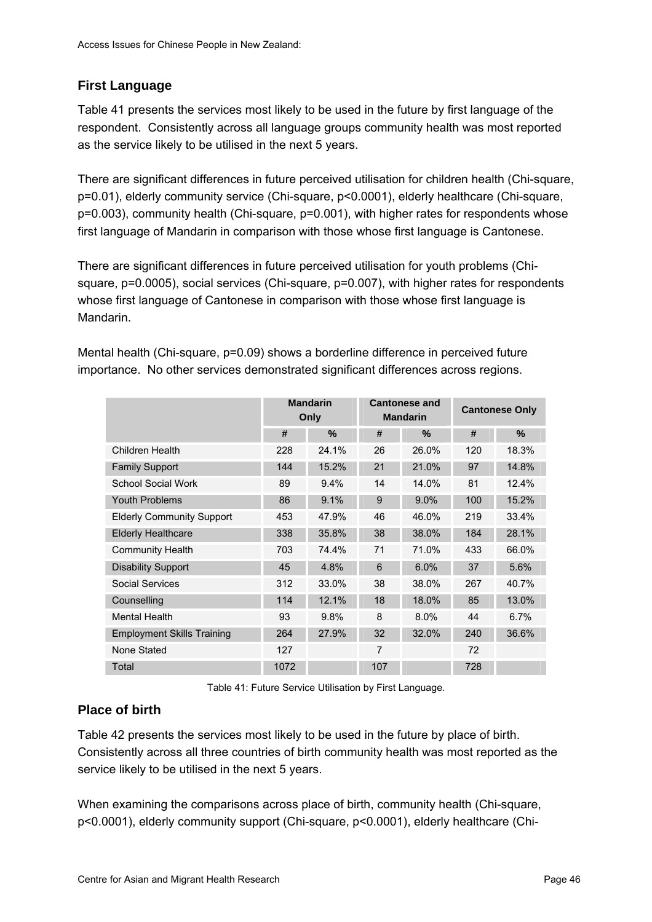## <span id="page-53-0"></span>**First Language**

[Table 41](#page-53-0) presents the services most likely to be used in the future by first language of the respondent. Consistently across all language groups community health was most reported as the service likely to be utilised in the next 5 years.

There are significant differences in future perceived utilisation for children health (Chi-square, p=0.01), elderly community service (Chi-square, p<0.0001), elderly healthcare (Chi-square, p=0.003), community health (Chi-square, p=0.001), with higher rates for respondents whose first language of Mandarin in comparison with those whose first language is Cantonese.

There are significant differences in future perceived utilisation for youth problems (Chisquare, p=0.0005), social services (Chi-square, p=0.007), with higher rates for respondents whose first language of Cantonese in comparison with those whose first language is Mandarin.

|                                   | <b>Mandarin</b><br>Only |       |     | <b>Cantonese and</b><br><b>Mandarin</b> | <b>Cantonese Only</b> |       |  |
|-----------------------------------|-------------------------|-------|-----|-----------------------------------------|-----------------------|-------|--|
|                                   | #                       | $\%$  | #   | $\%$                                    | #                     | $\%$  |  |
| Children Health                   | 228                     | 24.1% | 26  | 26.0%                                   | 120                   | 18.3% |  |
| <b>Family Support</b>             | 144                     | 15.2% | 21  | 21.0%                                   | 97                    | 14.8% |  |
| School Social Work                | 89                      | 9.4%  | 14  | 14.0%                                   | 81                    | 12.4% |  |
| <b>Youth Problems</b>             | 86                      | 9.1%  | 9   | 9.0%                                    | 100                   | 15.2% |  |
| <b>Elderly Community Support</b>  | 453                     | 47.9% | 46  | 46.0%                                   | 219                   | 33.4% |  |
| <b>Elderly Healthcare</b>         | 338                     | 35.8% | 38  | 38.0%                                   | 184                   | 28.1% |  |
| <b>Community Health</b>           | 703                     | 74.4% | 71  | 71.0%                                   | 433                   | 66.0% |  |
| <b>Disability Support</b>         | 45                      | 4.8%  | 6   | 6.0%                                    | 37                    | 5.6%  |  |
| Social Services                   | 312                     | 33.0% | 38  | 38.0%                                   | 267                   | 40.7% |  |
| Counselling                       | 114                     | 12.1% | 18  | 18.0%                                   | 85                    | 13.0% |  |
| <b>Mental Health</b>              | 93                      | 9.8%  | 8   | 8.0%                                    | 44                    | 6.7%  |  |
| <b>Employment Skills Training</b> | 264                     | 27.9% | 32  | 32.0%                                   | 240                   | 36.6% |  |
| None Stated                       | 127                     |       | 7   |                                         | 72                    |       |  |
| Total                             | 1072                    |       | 107 |                                         | 728                   |       |  |

Mental health (Chi-square, p=0.09) shows a borderline difference in perceived future importance. No other services demonstrated significant differences across regions.

Table 41: Future Service Utilisation by First Language.

### **Place of birth**

[Table 42](#page-54-0) presents the services most likely to be used in the future by place of birth. Consistently across all three countries of birth community health was most reported as the service likely to be utilised in the next 5 years.

When examining the comparisons across place of birth, community health (Chi-square, p<0.0001), elderly community support (Chi-square, p<0.0001), elderly healthcare (Chi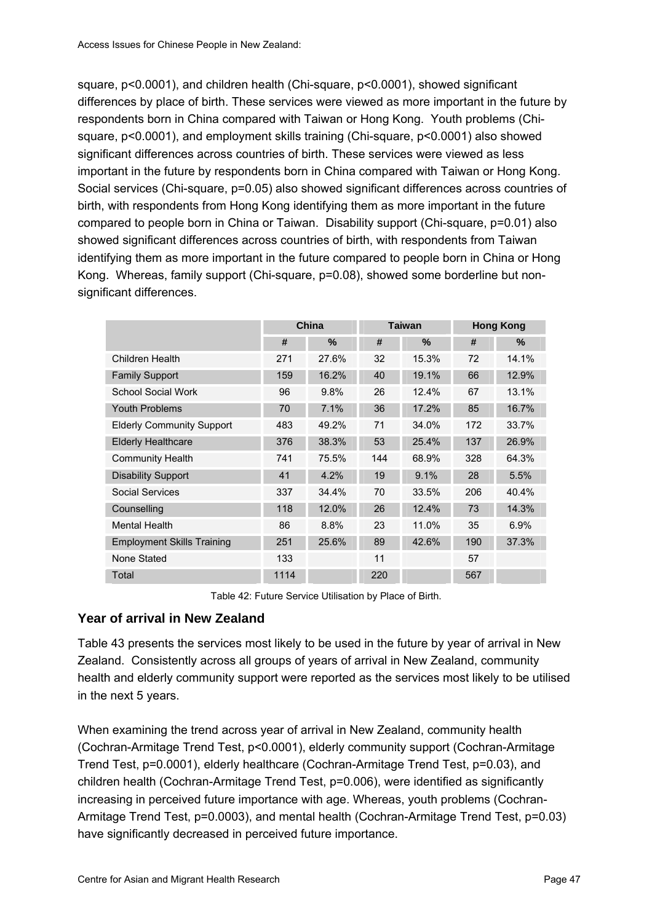<span id="page-54-0"></span>square, p<0.0001), and children health (Chi-square, p<0.0001), showed significant differences by place of birth. These services were viewed as more important in the future by respondents born in China compared with Taiwan or Hong Kong. Youth problems (Chisquare, p<0.0001), and employment skills training (Chi-square, p<0.0001) also showed significant differences across countries of birth. These services were viewed as less important in the future by respondents born in China compared with Taiwan or Hong Kong. Social services (Chi-square, p=0.05) also showed significant differences across countries of birth, with respondents from Hong Kong identifying them as more important in the future compared to people born in China or Taiwan. Disability support (Chi-square, p=0.01) also showed significant differences across countries of birth, with respondents from Taiwan identifying them as more important in the future compared to people born in China or Hong Kong. Whereas, family support (Chi-square, p=0.08), showed some borderline but nonsignificant differences.

|                                   | China |       |     | <b>Taiwan</b> | <b>Hong Kong</b> |       |  |
|-----------------------------------|-------|-------|-----|---------------|------------------|-------|--|
|                                   | #     | %     | #   | ℅             | #                | %     |  |
| Children Health                   | 271   | 27.6% | 32  | 15.3%         | 72               | 14.1% |  |
| <b>Family Support</b>             | 159   | 16.2% | 40  | 19.1%         | 66               | 12.9% |  |
| <b>School Social Work</b>         | 96    | 9.8%  | 26  | 12.4%         | 67               | 13.1% |  |
| <b>Youth Problems</b>             | 70    | 7.1%  | 36  | 17.2%         | 85               | 16.7% |  |
| <b>Elderly Community Support</b>  | 483   | 49.2% | 71  | 34.0%         | 172              | 33.7% |  |
| <b>Elderly Healthcare</b>         | 376   | 38.3% | 53  | 25.4%         | 137              | 26.9% |  |
| <b>Community Health</b>           | 741   | 75.5% | 144 | 68.9%         | 328              | 64.3% |  |
| <b>Disability Support</b>         | 41    | 4.2%  | 19  | 9.1%          | 28               | 5.5%  |  |
| Social Services                   | 337   | 34.4% | 70  | 33.5%         | 206              | 40.4% |  |
| Counselling                       | 118   | 12.0% | 26  | 12.4%         | 73               | 14.3% |  |
| <b>Mental Health</b>              | 86    | 8.8%  | 23  | 11.0%         | 35               | 6.9%  |  |
| <b>Employment Skills Training</b> | 251   | 25.6% | 89  | 42.6%         | 190              | 37.3% |  |
| None Stated                       | 133   |       | 11  |               | 57               |       |  |
| Total                             | 1114  |       | 220 |               | 567              |       |  |

Table 42: Future Service Utilisation by Place of Birth.

### **Year of arrival in New Zealand**

[Table 43](#page-55-0) presents the services most likely to be used in the future by year of arrival in New Zealand. Consistently across all groups of years of arrival in New Zealand, community health and elderly community support were reported as the services most likely to be utilised in the next 5 years.

When examining the trend across year of arrival in New Zealand, community health (Cochran-Armitage Trend Test, p<0.0001), elderly community support (Cochran-Armitage Trend Test, p=0.0001), elderly healthcare (Cochran-Armitage Trend Test, p=0.03), and children health (Cochran-Armitage Trend Test, p=0.006), were identified as significantly increasing in perceived future importance with age. Whereas, youth problems (Cochran-Armitage Trend Test, p=0.0003), and mental health (Cochran-Armitage Trend Test, p=0.03) have significantly decreased in perceived future importance.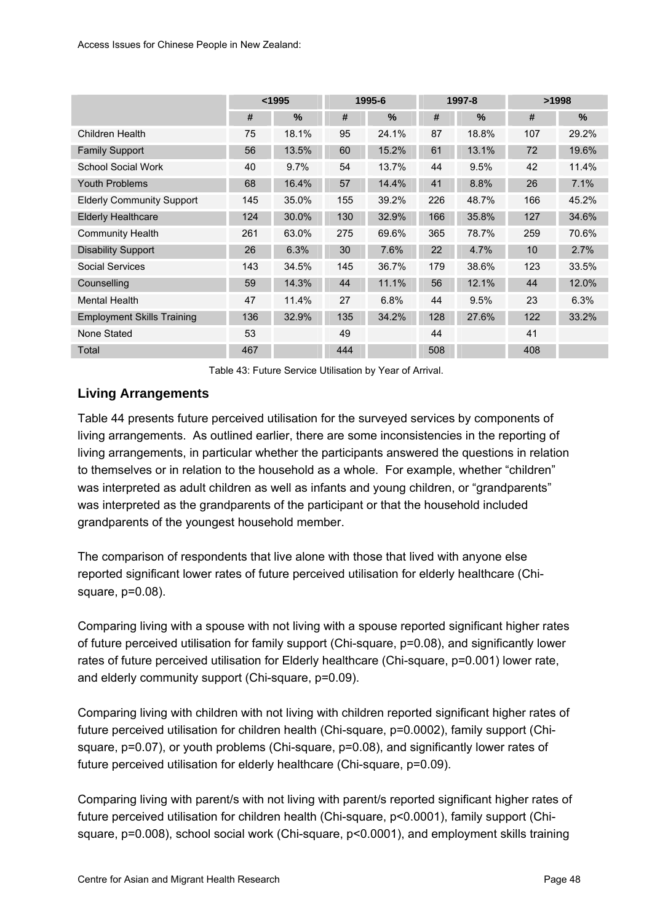<span id="page-55-0"></span>

|                                   | < 1995 |       | 1995-6 |       |     | 1997-8 | >1998 |       |  |
|-----------------------------------|--------|-------|--------|-------|-----|--------|-------|-------|--|
|                                   | #      | $\%$  | #      | $\%$  | #   | $\%$   | #     | $\%$  |  |
| Children Health                   | 75     | 18.1% | 95     | 24.1% | 87  | 18.8%  | 107   | 29.2% |  |
| <b>Family Support</b>             | 56     | 13.5% | 60     | 15.2% | 61  | 13.1%  | 72    | 19.6% |  |
| <b>School Social Work</b>         | 40     | 9.7%  | 54     | 13.7% | 44  | 9.5%   | 42    | 11.4% |  |
| <b>Youth Problems</b>             | 68     | 16.4% | 57     | 14.4% | 41  | 8.8%   | 26    | 7.1%  |  |
| <b>Elderly Community Support</b>  | 145    | 35.0% | 155    | 39.2% | 226 | 48.7%  | 166   | 45.2% |  |
| <b>Elderly Healthcare</b>         | 124    | 30.0% | 130    | 32.9% | 166 | 35.8%  | 127   | 34.6% |  |
| <b>Community Health</b>           | 261    | 63.0% | 275    | 69.6% | 365 | 78.7%  | 259   | 70.6% |  |
| <b>Disability Support</b>         | 26     | 6.3%  | 30     | 7.6%  | 22  | 4.7%   | 10    | 2.7%  |  |
| Social Services                   | 143    | 34.5% | 145    | 36.7% | 179 | 38.6%  | 123   | 33.5% |  |
| Counselling                       | 59     | 14.3% | 44     | 11.1% | 56  | 12.1%  | 44    | 12.0% |  |
| <b>Mental Health</b>              | 47     | 11.4% | 27     | 6.8%  | 44  | 9.5%   | 23    | 6.3%  |  |
| <b>Employment Skills Training</b> | 136    | 32.9% | 135    | 34.2% | 128 | 27.6%  | 122   | 33.2% |  |
| None Stated                       | 53     |       | 49     |       | 44  |        | 41    |       |  |
| Total                             | 467    |       | 444    |       | 508 |        | 408   |       |  |

Table 43: Future Service Utilisation by Year of Arrival.

## **Living Arrangements**

[Table 44](#page-56-0) presents future perceived utilisation for the surveyed services by components of living arrangements. As outlined earlier, there are some inconsistencies in the reporting of living arrangements, in particular whether the participants answered the questions in relation to themselves or in relation to the household as a whole. For example, whether "children" was interpreted as adult children as well as infants and young children, or "grandparents" was interpreted as the grandparents of the participant or that the household included grandparents of the youngest household member.

The comparison of respondents that live alone with those that lived with anyone else reported significant lower rates of future perceived utilisation for elderly healthcare (Chisquare, p=0.08).

Comparing living with a spouse with not living with a spouse reported significant higher rates of future perceived utilisation for family support (Chi-square, p=0.08), and significantly lower rates of future perceived utilisation for Elderly healthcare (Chi-square, p=0.001) lower rate, and elderly community support (Chi-square, p=0.09).

Comparing living with children with not living with children reported significant higher rates of future perceived utilisation for children health (Chi-square, p=0.0002), family support (Chisquare, p=0.07), or youth problems (Chi-square, p=0.08), and significantly lower rates of future perceived utilisation for elderly healthcare (Chi-square, p=0.09).

Comparing living with parent/s with not living with parent/s reported significant higher rates of future perceived utilisation for children health (Chi-square, p<0.0001), family support (Chisquare, p=0.008), school social work (Chi-square, p<0.0001), and employment skills training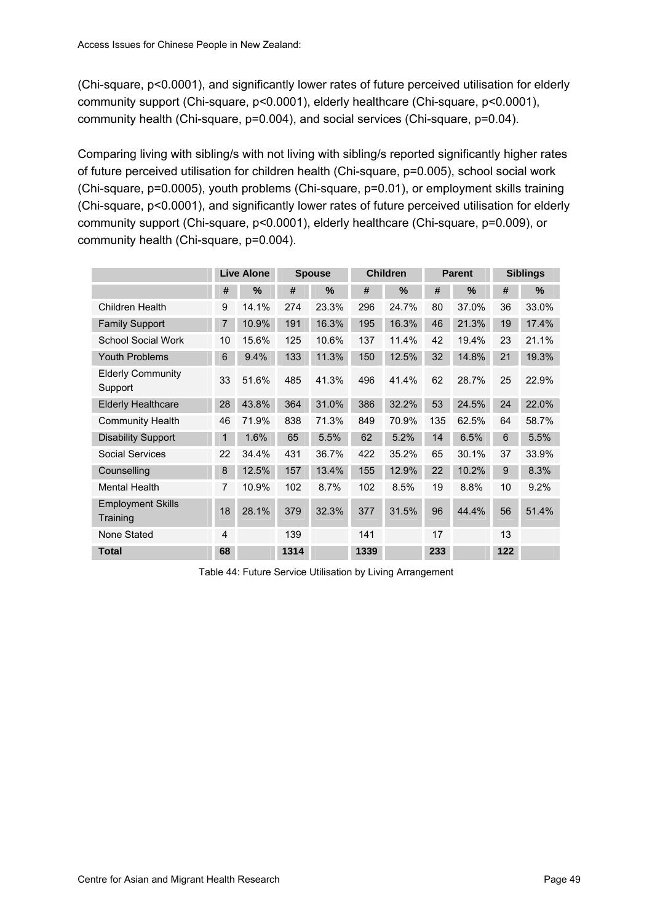<span id="page-56-0"></span>(Chi-square, p<0.0001), and significantly lower rates of future perceived utilisation for elderly community support (Chi-square, p<0.0001), elderly healthcare (Chi-square, p<0.0001), community health (Chi-square, p=0.004), and social services (Chi-square, p=0.04).

Comparing living with sibling/s with not living with sibling/s reported significantly higher rates of future perceived utilisation for children health (Chi-square, p=0.005), school social work (Chi-square, p=0.0005), youth problems (Chi-square, p=0.01), or employment skills training (Chi-square, p<0.0001), and significantly lower rates of future perceived utilisation for elderly community support (Chi-square, p<0.0001), elderly healthcare (Chi-square, p=0.009), or community health (Chi-square, p=0.004).

|                                      |                | <b>Live Alone</b> |      | <b>Spouse</b> |      | <b>Children</b> |     | <b>Parent</b> |     | <b>Siblings</b> |  |
|--------------------------------------|----------------|-------------------|------|---------------|------|-----------------|-----|---------------|-----|-----------------|--|
|                                      | #              | $\%$              | #    | %             | #    | $\%$            | #   | $\%$          | #   | $\%$            |  |
| <b>Children Health</b>               | 9              | 14.1%             | 274  | 23.3%         | 296  | 24.7%           | 80  | 37.0%         | 36  | 33.0%           |  |
| <b>Family Support</b>                | 7              | 10.9%             | 191  | 16.3%         | 195  | 16.3%           | 46  | 21.3%         | 19  | 17.4%           |  |
| <b>School Social Work</b>            | 10             | 15.6%             | 125  | 10.6%         | 137  | 11.4%           | 42  | 19.4%         | 23  | 21.1%           |  |
| <b>Youth Problems</b>                | 6              | 9.4%              | 133  | 11.3%         | 150  | 12.5%           | 32  | 14.8%         | 21  | 19.3%           |  |
| <b>Elderly Community</b><br>Support  | 33             | 51.6%             | 485  | 41.3%         | 496  | 41.4%           | 62  | 28.7%         | 25  | 22.9%           |  |
| <b>Elderly Healthcare</b>            | 28             | 43.8%             | 364  | 31.0%         | 386  | 32.2%           | 53  | 24.5%         | 24  | 22.0%           |  |
| <b>Community Health</b>              | 46             | 71.9%             | 838  | 71.3%         | 849  | 70.9%           | 135 | 62.5%         | 64  | 58.7%           |  |
| <b>Disability Support</b>            | $\mathbf{1}$   | 1.6%              | 65   | 5.5%          | 62   | 5.2%            | 14  | 6.5%          | 6   | 5.5%            |  |
| <b>Social Services</b>               | 22             | 34.4%             | 431  | 36.7%         | 422  | 35.2%           | 65  | 30.1%         | 37  | 33.9%           |  |
| Counselling                          | 8              | 12.5%             | 157  | 13.4%         | 155  | 12.9%           | 22  | 10.2%         | 9   | 8.3%            |  |
| <b>Mental Health</b>                 | $\overline{7}$ | 10.9%             | 102  | 8.7%          | 102  | 8.5%            | 19  | 8.8%          | 10  | 9.2%            |  |
| <b>Employment Skills</b><br>Training | 18             | 28.1%             | 379  | 32.3%         | 377  | 31.5%           | 96  | 44.4%         | 56  | 51.4%           |  |
| None Stated                          | $\overline{4}$ |                   | 139  |               | 141  |                 | 17  |               | 13  |                 |  |
| <b>Total</b>                         | 68             |                   | 1314 |               | 1339 |                 | 233 |               | 122 |                 |  |

Table 44: Future Service Utilisation by Living Arrangement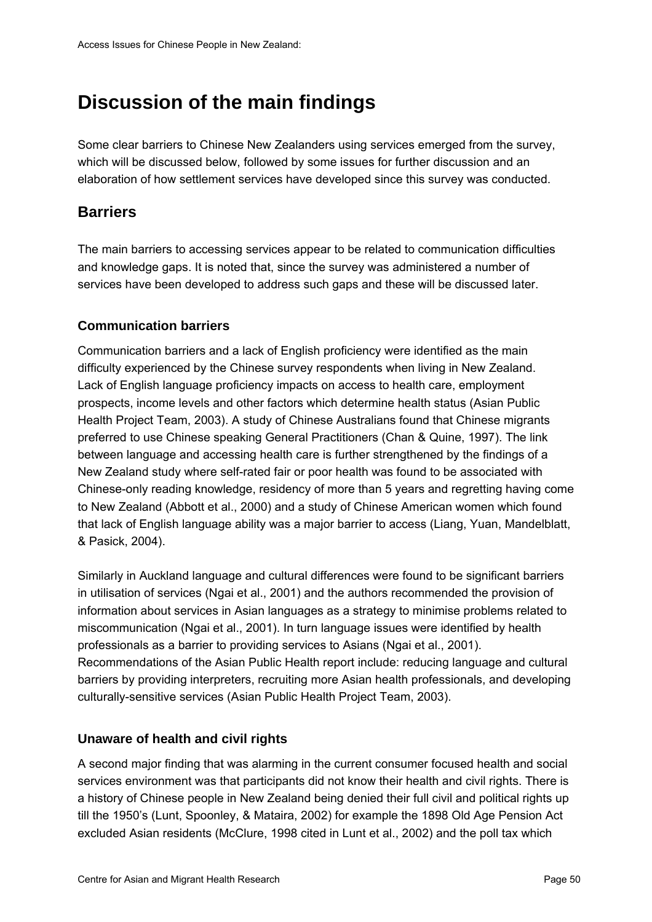# **Discussion of the main findings**

Some clear barriers to Chinese New Zealanders using services emerged from the survey, which will be discussed below, followed by some issues for further discussion and an elaboration of how settlement services have developed since this survey was conducted.

# **Barriers**

The main barriers to accessing services appear to be related to communication difficulties and knowledge gaps. It is noted that, since the survey was administered a number of services have been developed to address such gaps and these will be discussed later.

### **Communication barriers**

Communication barriers and a lack of English proficiency were identified as the main difficulty experienced by the Chinese survey respondents when living in New Zealand. Lack of English language proficiency impacts on access to health care, employment prospects, income levels and other factors which determine health status (Asian Public Health Project Team, 2003). A study of Chinese Australians found that Chinese migrants preferred to use Chinese speaking General Practitioners (Chan & Quine, 1997). The link between language and accessing health care is further strengthened by the findings of a New Zealand study where self-rated fair or poor health was found to be associated with Chinese-only reading knowledge, residency of more than 5 years and regretting having come to New Zealand (Abbott et al., 2000) and a study of Chinese American women which found that lack of English language ability was a major barrier to access (Liang, Yuan, Mandelblatt, & Pasick, 2004).

Similarly in Auckland language and cultural differences were found to be significant barriers in utilisation of services (Ngai et al., 2001) and the authors recommended the provision of information about services in Asian languages as a strategy to minimise problems related to miscommunication (Ngai et al., 2001). In turn language issues were identified by health professionals as a barrier to providing services to Asians (Ngai et al., 2001). Recommendations of the Asian Public Health report include: reducing language and cultural barriers by providing interpreters, recruiting more Asian health professionals, and developing culturally-sensitive services (Asian Public Health Project Team, 2003).

### **Unaware of health and civil rights**

A second major finding that was alarming in the current consumer focused health and social services environment was that participants did not know their health and civil rights. There is a history of Chinese people in New Zealand being denied their full civil and political rights up till the 1950's (Lunt, Spoonley, & Mataira, 2002) for example the 1898 Old Age Pension Act excluded Asian residents (McClure, 1998 cited in Lunt et al., 2002) and the poll tax which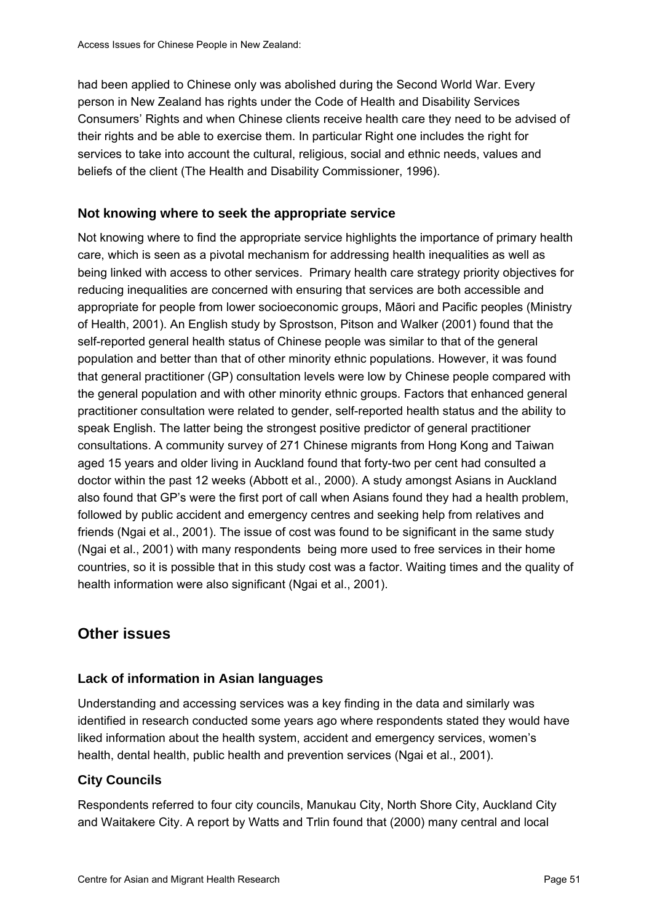had been applied to Chinese only was abolished during the Second World War. Every person in New Zealand has rights under the Code of Health and Disability Services Consumers' Rights and when Chinese clients receive health care they need to be advised of their rights and be able to exercise them. In particular Right one includes the right for services to take into account the cultural, religious, social and ethnic needs, values and beliefs of the client (The Health and Disability Commissioner, 1996).

### **Not knowing where to seek the appropriate service**

Not knowing where to find the appropriate service highlights the importance of primary health care, which is seen as a pivotal mechanism for addressing health inequalities as well as being linked with access to other services. Primary health care strategy priority objectives for reducing inequalities are concerned with ensuring that services are both accessible and appropriate for people from lower socioeconomic groups, Māori and Pacific peoples (Ministry of Health, 2001). An English study by Sprostson, Pitson and Walker (2001) found that the self-reported general health status of Chinese people was similar to that of the general population and better than that of other minority ethnic populations. However, it was found that general practitioner (GP) consultation levels were low by Chinese people compared with the general population and with other minority ethnic groups. Factors that enhanced general practitioner consultation were related to gender, self-reported health status and the ability to speak English. The latter being the strongest positive predictor of general practitioner consultations. A community survey of 271 Chinese migrants from Hong Kong and Taiwan aged 15 years and older living in Auckland found that forty-two per cent had consulted a doctor within the past 12 weeks (Abbott et al., 2000). A study amongst Asians in Auckland also found that GP's were the first port of call when Asians found they had a health problem, followed by public accident and emergency centres and seeking help from relatives and friends (Ngai et al., 2001). The issue of cost was found to be significant in the same study (Ngai et al., 2001) with many respondents being more used to free services in their home countries, so it is possible that in this study cost was a factor. Waiting times and the quality of health information were also significant (Ngai et al., 2001).

# **Other issues**

### **Lack of information in Asian languages**

Understanding and accessing services was a key finding in the data and similarly was identified in research conducted some years ago where respondents stated they would have liked information about the health system, accident and emergency services, women's health, dental health, public health and prevention services (Ngai et al., 2001).

### **City Councils**

Respondents referred to four city councils, Manukau City, North Shore City, Auckland City and Waitakere City. A report by Watts and Trlin found that (2000) many central and local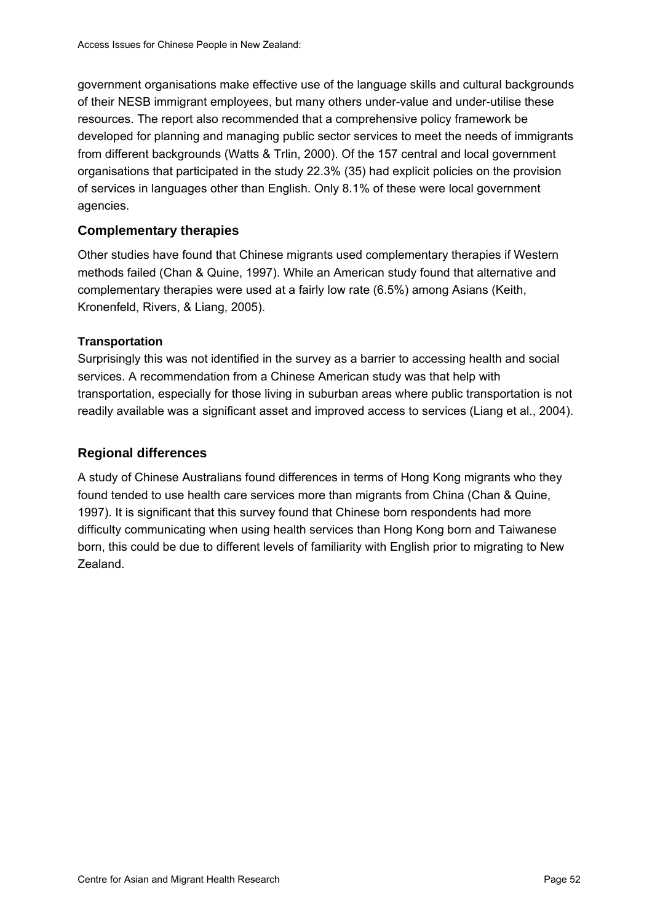government organisations make effective use of the language skills and cultural backgrounds of their NESB immigrant employees, but many others under-value and under-utilise these resources. The report also recommended that a comprehensive policy framework be developed for planning and managing public sector services to meet the needs of immigrants from different backgrounds (Watts & Trlin, 2000). Of the 157 central and local government organisations that participated in the study 22.3% (35) had explicit policies on the provision of services in languages other than English. Only 8.1% of these were local government agencies.

### **Complementary therapies**

Other studies have found that Chinese migrants used complementary therapies if Western methods failed (Chan & Quine, 1997). While an American study found that alternative and complementary therapies were used at a fairly low rate (6.5%) among Asians (Keith, Kronenfeld, Rivers, & Liang, 2005).

### **Transportation**

Surprisingly this was not identified in the survey as a barrier to accessing health and social services. A recommendation from a Chinese American study was that help with transportation, especially for those living in suburban areas where public transportation is not readily available was a significant asset and improved access to services (Liang et al., 2004).

### **Regional differences**

A study of Chinese Australians found differences in terms of Hong Kong migrants who they found tended to use health care services more than migrants from China (Chan & Quine, 1997). It is significant that this survey found that Chinese born respondents had more difficulty communicating when using health services than Hong Kong born and Taiwanese born, this could be due to different levels of familiarity with English prior to migrating to New Zealand.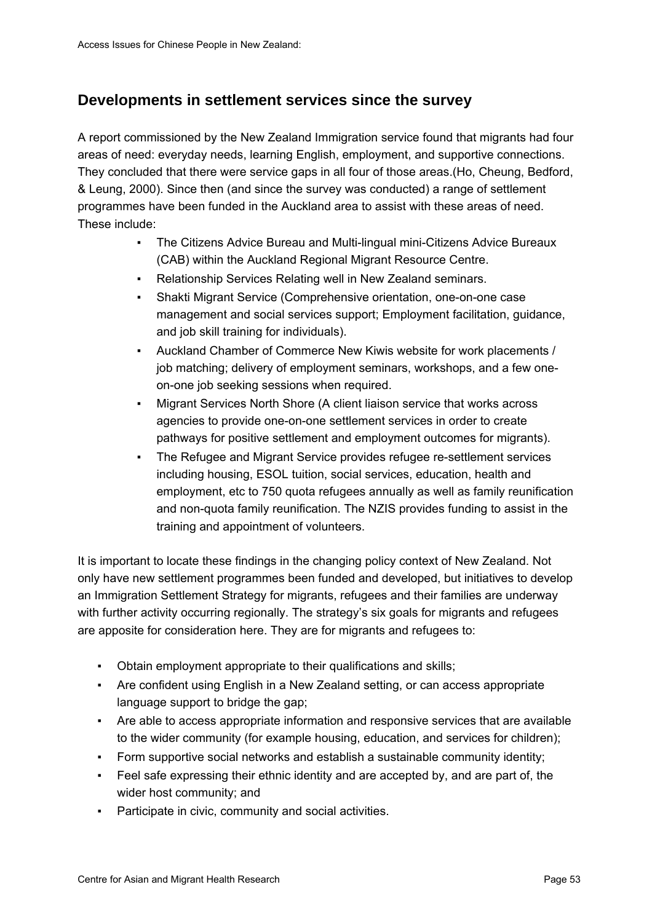# **Developments in settlement services since the survey**

A report commissioned by the New Zealand Immigration service found that migrants had four areas of need: everyday needs, learning English, employment, and supportive connections. They concluded that there were service gaps in all four of those areas.(Ho, Cheung, Bedford, & Leung, 2000). Since then (and since the survey was conducted) a range of settlement programmes have been funded in the Auckland area to assist with these areas of need. These include:

- The Citizens Advice Bureau and Multi-lingual mini-Citizens Advice Bureaux (CAB) within the Auckland Regional Migrant Resource Centre.
- Relationship Services Relating well in New Zealand seminars.
- Shakti Migrant Service (Comprehensive orientation, one-on-one case management and social services support; Employment facilitation, guidance, and job skill training for individuals).
- Auckland Chamber of Commerce New Kiwis website for work placements / job matching; delivery of employment seminars, workshops, and a few oneon-one job seeking sessions when required.
- Migrant Services North Shore (A client liaison service that works across agencies to provide one-on-one settlement services in order to create pathways for positive settlement and employment outcomes for migrants).
- The Refugee and Migrant Service provides refugee re-settlement services including housing, ESOL tuition, social services, education, health and employment, etc to 750 quota refugees annually as well as family reunification and non-quota family reunification. The NZIS provides funding to assist in the training and appointment of volunteers.

It is important to locate these findings in the changing policy context of New Zealand. Not only have new settlement programmes been funded and developed, but initiatives to develop an Immigration Settlement Strategy for migrants, refugees and their families are underway with further activity occurring regionally. The strategy's six goals for migrants and refugees are apposite for consideration here. They are for migrants and refugees to:

- Obtain employment appropriate to their qualifications and skills;
- Are confident using English in a New Zealand setting, or can access appropriate language support to bridge the gap:
- Are able to access appropriate information and responsive services that are available to the wider community (for example housing, education, and services for children);
- Form supportive social networks and establish a sustainable community identity;
- Feel safe expressing their ethnic identity and are accepted by, and are part of, the wider host community; and
- Participate in civic, community and social activities.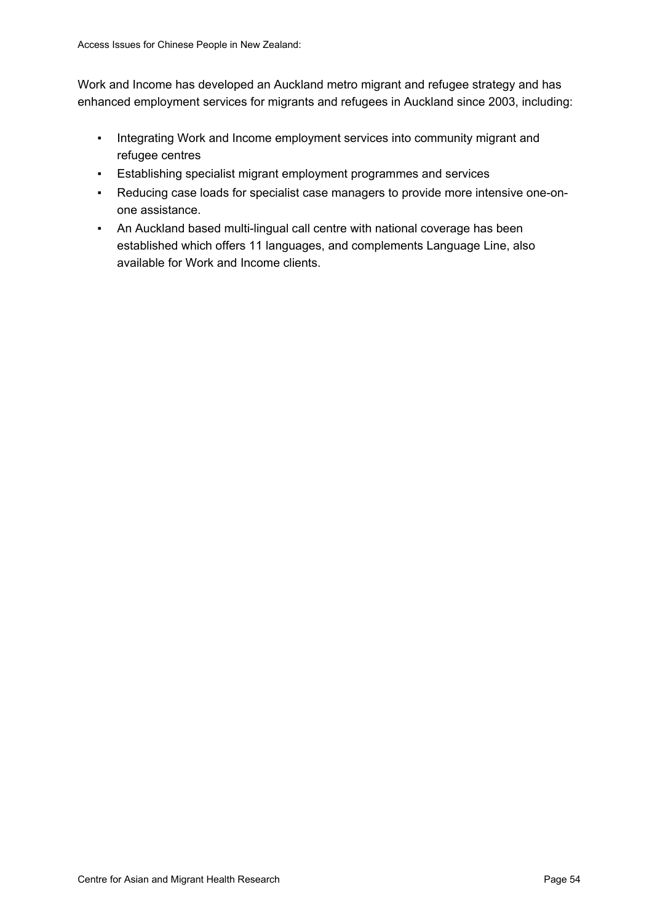Work and Income has developed an Auckland metro migrant and refugee strategy and has enhanced employment services for migrants and refugees in Auckland since 2003, including:

- Integrating Work and Income employment services into community migrant and refugee centres
- Establishing specialist migrant employment programmes and services
- Reducing case loads for specialist case managers to provide more intensive one-onone assistance.
- An Auckland based multi-lingual call centre with national coverage has been established which offers 11 languages, and complements Language Line, also available for Work and Income clients.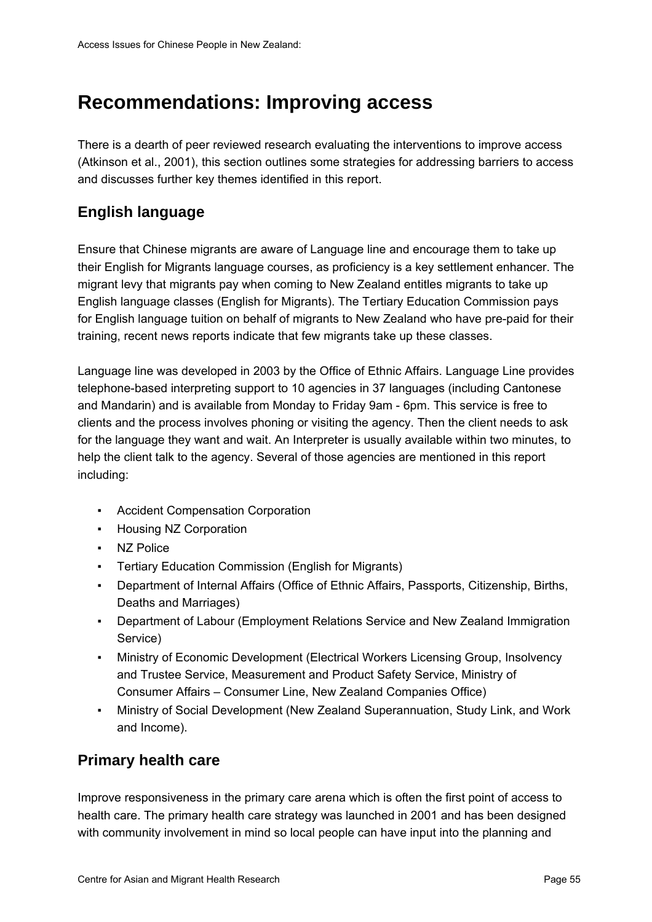# **Recommendations: Improving access**

There is a dearth of peer reviewed research evaluating the interventions to improve access (Atkinson et al., 2001), this section outlines some strategies for addressing barriers to access and discusses further key themes identified in this report.

# **English language**

Ensure that Chinese migrants are aware of Language line and encourage them to take up their English for Migrants language courses, as proficiency is a key settlement enhancer. The migrant levy that migrants pay when coming to New Zealand entitles migrants to take up English language classes (English for Migrants). The Tertiary Education Commission pays for English language tuition on behalf of migrants to New Zealand who have pre-paid for their training, recent news reports indicate that few migrants take up these classes.

Language line was developed in 2003 by the Office of Ethnic Affairs. Language Line provides telephone-based interpreting support to 10 agencies in 37 languages (including Cantonese and Mandarin) and is available from Monday to Friday 9am - 6pm. This service is free to clients and the process involves phoning or visiting the agency. Then the client needs to ask for the language they want and wait. An Interpreter is usually available within two minutes, to help the client talk to the agency. Several of those agencies are mentioned in this report including:

- Accident Compensation Corporation
- Housing NZ Corporation
- NZ Police
- Tertiary Education Commission (English for Migrants)
- Department of Internal Affairs (Office of Ethnic Affairs, Passports, Citizenship, Births, Deaths and Marriages)
- Department of Labour (Employment Relations Service and New Zealand Immigration Service)
- Ministry of Economic Development (Electrical Workers Licensing Group, Insolvency and Trustee Service, Measurement and Product Safety Service, Ministry of Consumer Affairs – Consumer Line, New Zealand Companies Office)
- Ministry of Social Development (New Zealand Superannuation, Study Link, and Work and Income).

# **Primary health care**

Improve responsiveness in the primary care arena which is often the first point of access to health care. The primary health care strategy was launched in 2001 and has been designed with community involvement in mind so local people can have input into the planning and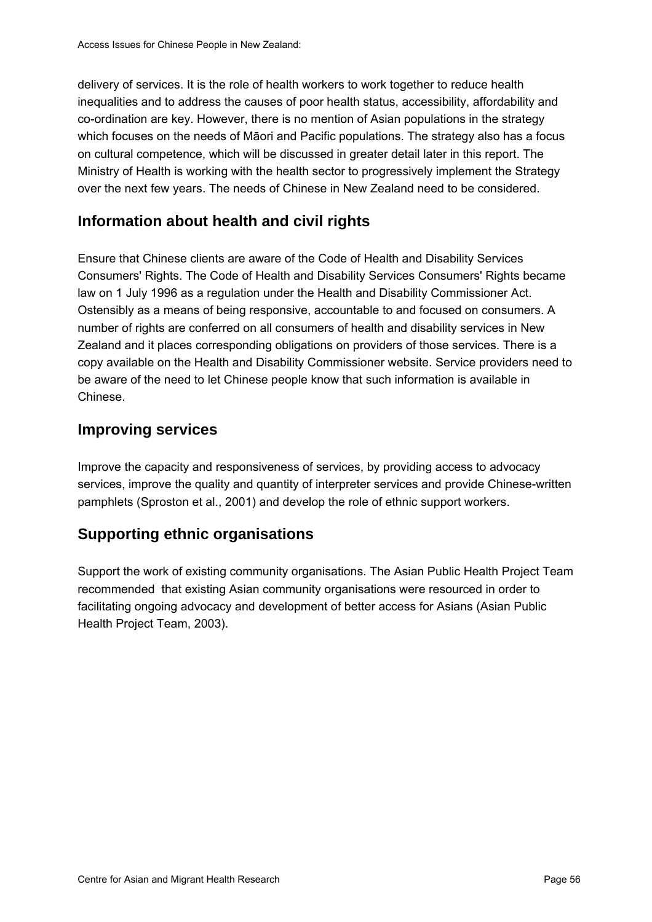delivery of services. It is the role of health workers to work together to reduce health inequalities and to address the causes of poor health status, accessibility, affordability and co-ordination are key. However, there is no mention of Asian populations in the strategy which focuses on the needs of Māori and Pacific populations. The strategy also has a focus on cultural competence, which will be discussed in greater detail later in this report. The Ministry of Health is working with the health sector to progressively implement the Strategy over the next few years. The needs of Chinese in New Zealand need to be considered.

# **Information about health and civil rights**

Ensure that Chinese clients are aware of the Code of Health and Disability Services Consumers' Rights. The Code of Health and Disability Services Consumers' Rights became law on 1 July 1996 as a regulation under the Health and Disability Commissioner Act. Ostensibly as a means of being responsive, accountable to and focused on consumers. A number of rights are conferred on all consumers of health and disability services in New Zealand and it places corresponding obligations on providers of those services. There is a copy available on the Health and Disability Commissioner website. Service providers need to be aware of the need to let Chinese people know that such information is available in Chinese.

# **Improving services**

Improve the capacity and responsiveness of services, by providing access to advocacy services, improve the quality and quantity of interpreter services and provide Chinese-written pamphlets (Sproston et al., 2001) and develop the role of ethnic support workers.

# **Supporting ethnic organisations**

Support the work of existing community organisations. The Asian Public Health Project Team recommended that existing Asian community organisations were resourced in order to facilitating ongoing advocacy and development of better access for Asians (Asian Public Health Project Team, 2003).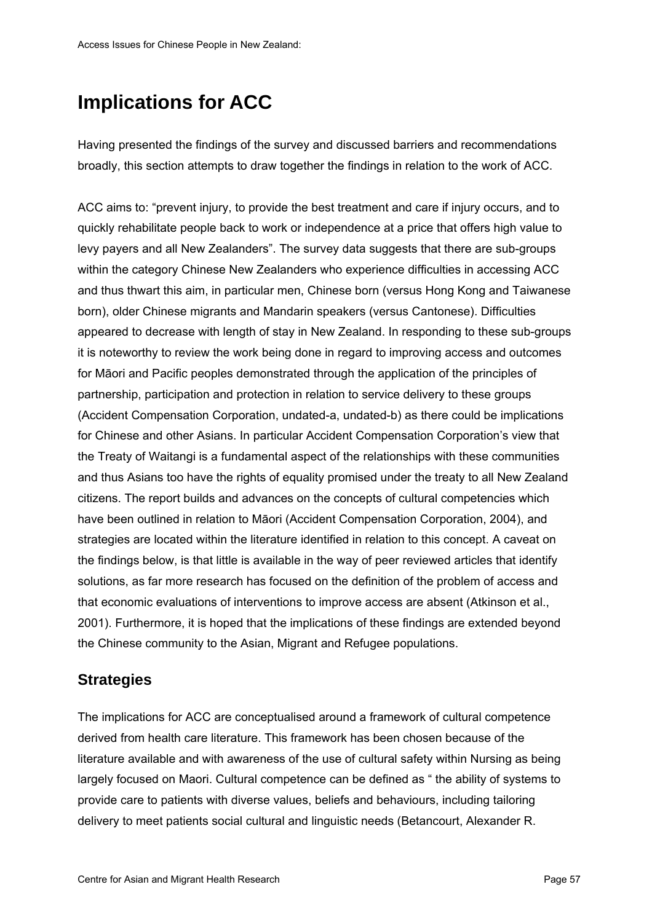# **Implications for ACC**

Having presented the findings of the survey and discussed barriers and recommendations broadly, this section attempts to draw together the findings in relation to the work of ACC.

ACC aims to: "prevent injury, to provide the best treatment and care if injury occurs, and to quickly rehabilitate people back to work or independence at a price that offers high value to levy payers and all New Zealanders". The survey data suggests that there are sub-groups within the category Chinese New Zealanders who experience difficulties in accessing ACC and thus thwart this aim, in particular men, Chinese born (versus Hong Kong and Taiwanese born), older Chinese migrants and Mandarin speakers (versus Cantonese). Difficulties appeared to decrease with length of stay in New Zealand. In responding to these sub-groups it is noteworthy to review the work being done in regard to improving access and outcomes for Māori and Pacific peoples demonstrated through the application of the principles of partnership, participation and protection in relation to service delivery to these groups (Accident Compensation Corporation, undated-a, undated-b) as there could be implications for Chinese and other Asians. In particular Accident Compensation Corporation's view that the Treaty of Waitangi is a fundamental aspect of the relationships with these communities and thus Asians too have the rights of equality promised under the treaty to all New Zealand citizens. The report builds and advances on the concepts of cultural competencies which have been outlined in relation to Māori (Accident Compensation Corporation, 2004), and strategies are located within the literature identified in relation to this concept. A caveat on the findings below, is that little is available in the way of peer reviewed articles that identify solutions, as far more research has focused on the definition of the problem of access and that economic evaluations of interventions to improve access are absent (Atkinson et al., 2001). Furthermore, it is hoped that the implications of these findings are extended beyond the Chinese community to the Asian, Migrant and Refugee populations.

# **Strategies**

The implications for ACC are conceptualised around a framework of cultural competence derived from health care literature. This framework has been chosen because of the literature available and with awareness of the use of cultural safety within Nursing as being largely focused on Maori. Cultural competence can be defined as " the ability of systems to provide care to patients with diverse values, beliefs and behaviours, including tailoring delivery to meet patients social cultural and linguistic needs (Betancourt, Alexander R.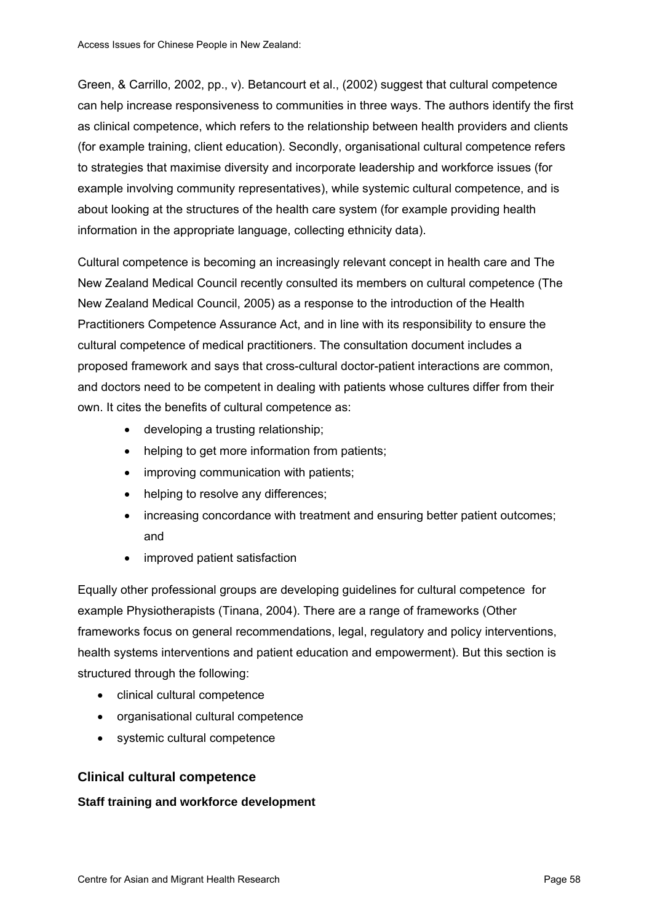Green, & Carrillo, 2002, pp., v). Betancourt et al., (2002) suggest that cultural competence can help increase responsiveness to communities in three ways. The authors identify the first as clinical competence, which refers to the relationship between health providers and clients (for example training, client education). Secondly, organisational cultural competence refers to strategies that maximise diversity and incorporate leadership and workforce issues (for example involving community representatives), while systemic cultural competence, and is about looking at the structures of the health care system (for example providing health information in the appropriate language, collecting ethnicity data).

Cultural competence is becoming an increasingly relevant concept in health care and The New Zealand Medical Council recently consulted its members on cultural competence (The New Zealand Medical Council, 2005) as a response to the introduction of the Health Practitioners Competence Assurance Act, and in line with its responsibility to ensure the cultural competence of medical practitioners. The consultation document includes a proposed framework and says that cross-cultural doctor-patient interactions are common, and doctors need to be competent in dealing with patients whose cultures differ from their own. It cites the benefits of cultural competence as:

- developing a trusting relationship;
- helping to get more information from patients;
- improving communication with patients;
- helping to resolve any differences;
- increasing concordance with treatment and ensuring better patient outcomes; and
- improved patient satisfaction

Equally other professional groups are developing guidelines for cultural competence for example Physiotherapists (Tinana, 2004). There are a range of frameworks (Other frameworks focus on general recommendations, legal, regulatory and policy interventions, health systems interventions and patient education and empowerment). But this section is structured through the following:

- clinical cultural competence
- organisational cultural competence
- systemic cultural competence

### **Clinical cultural competence**

### **Staff training and workforce development**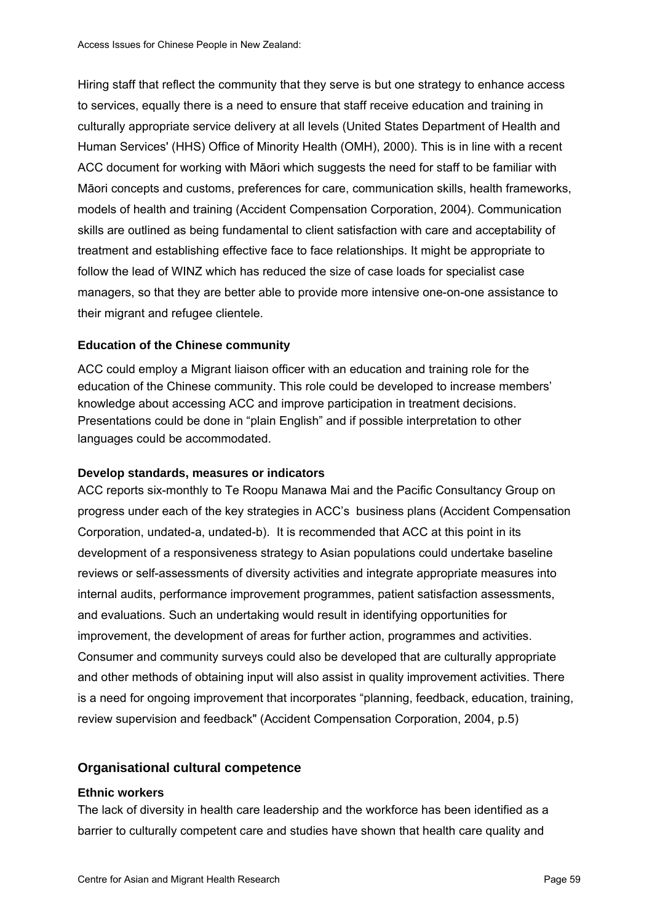Hiring staff that reflect the community that they serve is but one strategy to enhance access to services, equally there is a need to ensure that staff receive education and training in culturally appropriate service delivery at all levels (United States Department of Health and Human Services' (HHS) Office of Minority Health (OMH), 2000). This is in line with a recent ACC document for working with Māori which suggests the need for staff to be familiar with Māori concepts and customs, preferences for care, communication skills, health frameworks, models of health and training (Accident Compensation Corporation, 2004). Communication skills are outlined as being fundamental to client satisfaction with care and acceptability of treatment and establishing effective face to face relationships. It might be appropriate to follow the lead of WINZ which has reduced the size of case loads for specialist case managers, so that they are better able to provide more intensive one-on-one assistance to their migrant and refugee clientele.

### **Education of the Chinese community**

ACC could employ a Migrant liaison officer with an education and training role for the education of the Chinese community. This role could be developed to increase members' knowledge about accessing ACC and improve participation in treatment decisions. Presentations could be done in "plain English" and if possible interpretation to other languages could be accommodated.

### **Develop standards, measures or indicators**

ACC reports six-monthly to Te Roopu Manawa Mai and the Pacific Consultancy Group on progress under each of the key strategies in ACC's business plans (Accident Compensation Corporation, undated-a, undated-b). It is recommended that ACC at this point in its development of a responsiveness strategy to Asian populations could undertake baseline reviews or self-assessments of diversity activities and integrate appropriate measures into internal audits, performance improvement programmes, patient satisfaction assessments, and evaluations. Such an undertaking would result in identifying opportunities for improvement, the development of areas for further action, programmes and activities. Consumer and community surveys could also be developed that are culturally appropriate and other methods of obtaining input will also assist in quality improvement activities. There is a need for ongoing improvement that incorporates "planning, feedback, education, training, review supervision and feedback" (Accident Compensation Corporation, 2004, p.5)

### **Organisational cultural competence**

#### **Ethnic workers**

The lack of diversity in health care leadership and the workforce has been identified as a barrier to culturally competent care and studies have shown that health care quality and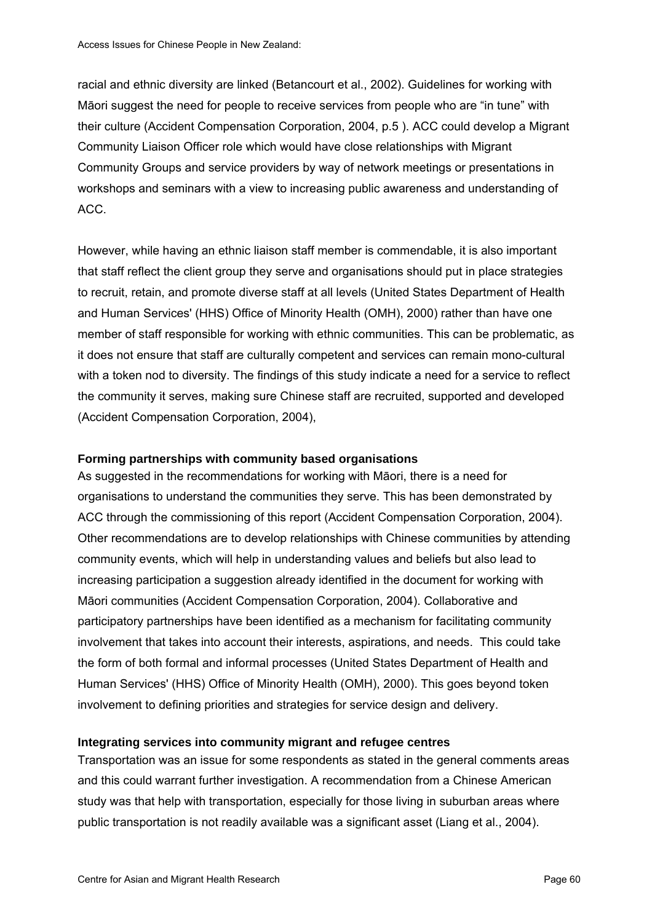racial and ethnic diversity are linked (Betancourt et al., 2002). Guidelines for working with Māori suggest the need for people to receive services from people who are "in tune" with their culture (Accident Compensation Corporation, 2004, p.5 ). ACC could develop a Migrant Community Liaison Officer role which would have close relationships with Migrant Community Groups and service providers by way of network meetings or presentations in workshops and seminars with a view to increasing public awareness and understanding of ACC.

However, while having an ethnic liaison staff member is commendable, it is also important that staff reflect the client group they serve and organisations should put in place strategies to recruit, retain, and promote diverse staff at all levels (United States Department of Health and Human Services' (HHS) Office of Minority Health (OMH), 2000) rather than have one member of staff responsible for working with ethnic communities. This can be problematic, as it does not ensure that staff are culturally competent and services can remain mono-cultural with a token nod to diversity. The findings of this study indicate a need for a service to reflect the community it serves, making sure Chinese staff are recruited, supported and developed (Accident Compensation Corporation, 2004),

#### **Forming partnerships with community based organisations**

As suggested in the recommendations for working with Māori, there is a need for organisations to understand the communities they serve. This has been demonstrated by ACC through the commissioning of this report (Accident Compensation Corporation, 2004). Other recommendations are to develop relationships with Chinese communities by attending community events, which will help in understanding values and beliefs but also lead to increasing participation a suggestion already identified in the document for working with Māori communities (Accident Compensation Corporation, 2004). Collaborative and participatory partnerships have been identified as a mechanism for facilitating community involvement that takes into account their interests, aspirations, and needs. This could take the form of both formal and informal processes (United States Department of Health and Human Services' (HHS) Office of Minority Health (OMH), 2000). This goes beyond token involvement to defining priorities and strategies for service design and delivery.

#### **Integrating services into community migrant and refugee centres**

Transportation was an issue for some respondents as stated in the general comments areas and this could warrant further investigation. A recommendation from a Chinese American study was that help with transportation, especially for those living in suburban areas where public transportation is not readily available was a significant asset (Liang et al., 2004).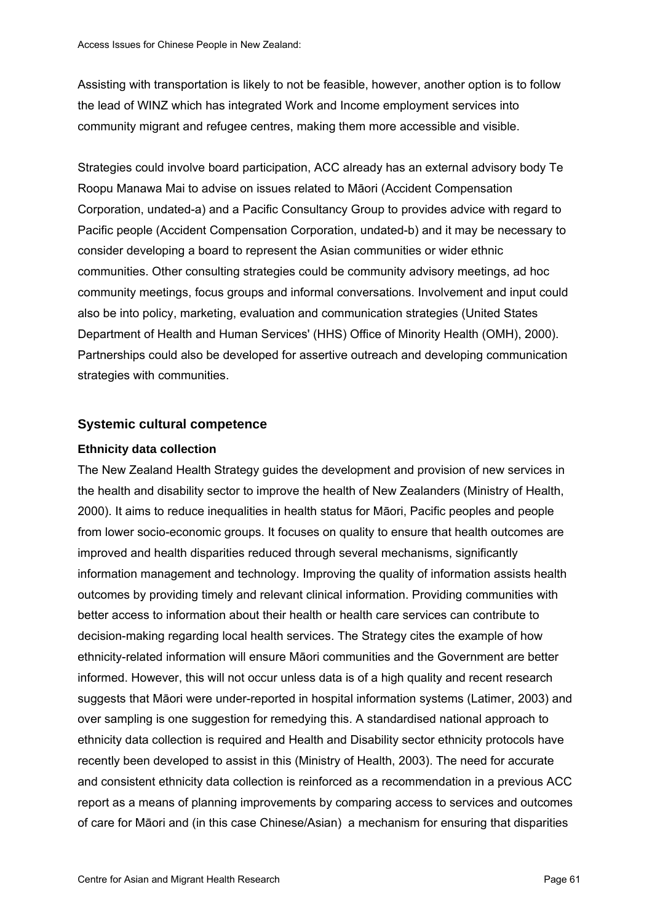Assisting with transportation is likely to not be feasible, however, another option is to follow the lead of WINZ which has integrated Work and Income employment services into community migrant and refugee centres, making them more accessible and visible.

Strategies could involve board participation, ACC already has an external advisory body Te Roopu Manawa Mai to advise on issues related to Māori (Accident Compensation Corporation, undated-a) and a Pacific Consultancy Group to provides advice with regard to Pacific people (Accident Compensation Corporation, undated-b) and it may be necessary to consider developing a board to represent the Asian communities or wider ethnic communities. Other consulting strategies could be community advisory meetings, ad hoc community meetings, focus groups and informal conversations. Involvement and input could also be into policy, marketing, evaluation and communication strategies (United States Department of Health and Human Services' (HHS) Office of Minority Health (OMH), 2000). Partnerships could also be developed for assertive outreach and developing communication strategies with communities.

### **Systemic cultural competence**

### **Ethnicity data collection**

The New Zealand Health Strategy guides the development and provision of new services in the health and disability sector to improve the health of New Zealanders (Ministry of Health, 2000). It aims to reduce inequalities in health status for Māori, Pacific peoples and people from lower socio-economic groups. It focuses on quality to ensure that health outcomes are improved and health disparities reduced through several mechanisms, significantly information management and technology. Improving the quality of information assists health outcomes by providing timely and relevant clinical information. Providing communities with better access to information about their health or health care services can contribute to decision-making regarding local health services. The Strategy cites the example of how ethnicity-related information will ensure Māori communities and the Government are better informed. However, this will not occur unless data is of a high quality and recent research suggests that Māori were under-reported in hospital information systems (Latimer, 2003) and over sampling is one suggestion for remedying this. A standardised national approach to ethnicity data collection is required and Health and Disability sector ethnicity protocols have recently been developed to assist in this (Ministry of Health, 2003). The need for accurate and consistent ethnicity data collection is reinforced as a recommendation in a previous ACC report as a means of planning improvements by comparing access to services and outcomes of care for Māori and (in this case Chinese/Asian) a mechanism for ensuring that disparities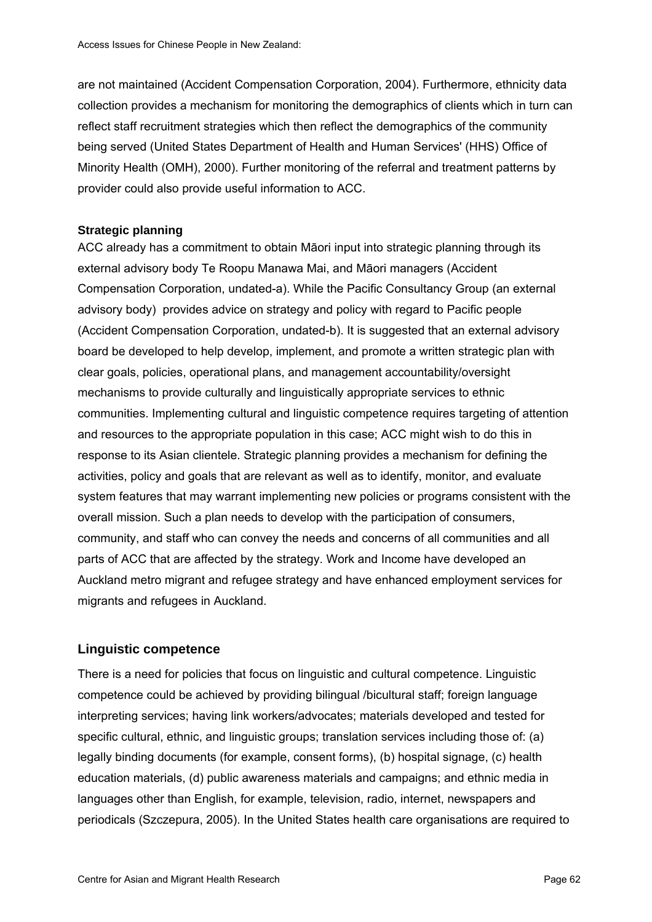are not maintained (Accident Compensation Corporation, 2004). Furthermore, ethnicity data collection provides a mechanism for monitoring the demographics of clients which in turn can reflect staff recruitment strategies which then reflect the demographics of the community being served (United States Department of Health and Human Services' (HHS) Office of Minority Health (OMH), 2000). Further monitoring of the referral and treatment patterns by provider could also provide useful information to ACC.

#### **Strategic planning**

ACC already has a commitment to obtain Māori input into strategic planning through its external advisory body Te Roopu Manawa Mai, and Māori managers (Accident Compensation Corporation, undated-a). While the Pacific Consultancy Group (an external advisory body) provides advice on strategy and policy with regard to Pacific people (Accident Compensation Corporation, undated-b). It is suggested that an external advisory board be developed to help develop, implement, and promote a written strategic plan with clear goals, policies, operational plans, and management accountability/oversight mechanisms to provide culturally and linguistically appropriate services to ethnic communities. Implementing cultural and linguistic competence requires targeting of attention and resources to the appropriate population in this case; ACC might wish to do this in response to its Asian clientele. Strategic planning provides a mechanism for defining the activities, policy and goals that are relevant as well as to identify, monitor, and evaluate system features that may warrant implementing new policies or programs consistent with the overall mission. Such a plan needs to develop with the participation of consumers, community, and staff who can convey the needs and concerns of all communities and all parts of ACC that are affected by the strategy. Work and Income have developed an Auckland metro migrant and refugee strategy and have enhanced employment services for migrants and refugees in Auckland.

### **Linguistic competence**

There is a need for policies that focus on linguistic and cultural competence. Linguistic competence could be achieved by providing bilingual /bicultural staff; foreign language interpreting services; having link workers/advocates; materials developed and tested for specific cultural, ethnic, and linguistic groups; translation services including those of: (a) legally binding documents (for example, consent forms), (b) hospital signage, (c) health education materials, (d) public awareness materials and campaigns; and ethnic media in languages other than English, for example, television, radio, internet, newspapers and periodicals (Szczepura, 2005). In the United States health care organisations are required to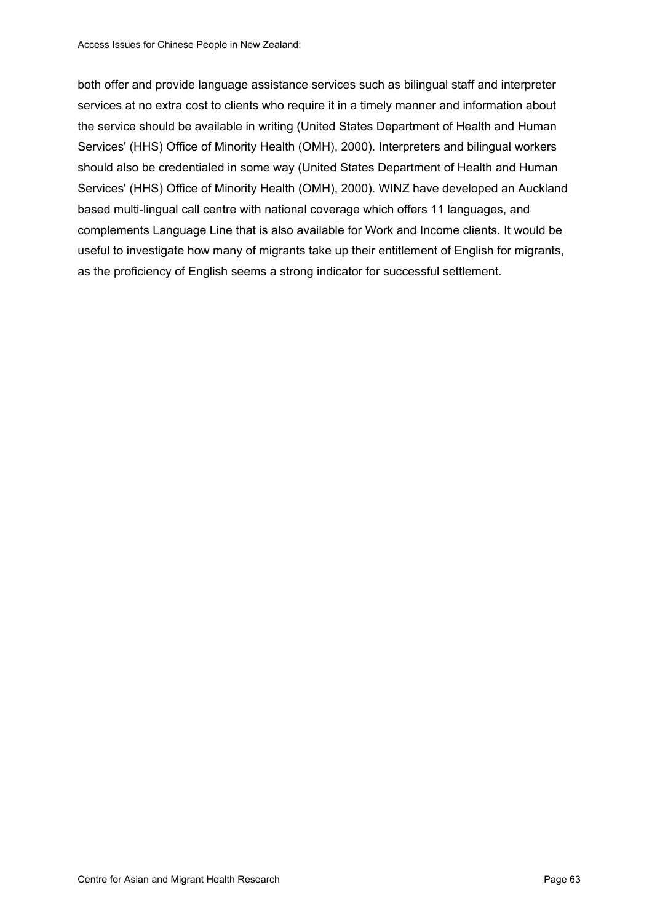both offer and provide language assistance services such as bilingual staff and interpreter services at no extra cost to clients who require it in a timely manner and information about the service should be available in writing (United States Department of Health and Human Services' (HHS) Office of Minority Health (OMH), 2000). Interpreters and bilingual workers should also be credentialed in some way (United States Department of Health and Human Services' (HHS) Office of Minority Health (OMH), 2000). WINZ have developed an Auckland based multi-lingual call centre with national coverage which offers 11 languages, and complements Language Line that is also available for Work and Income clients. It would be useful to investigate how many of migrants take up their entitlement of English for migrants, as the proficiency of English seems a strong indicator for successful settlement.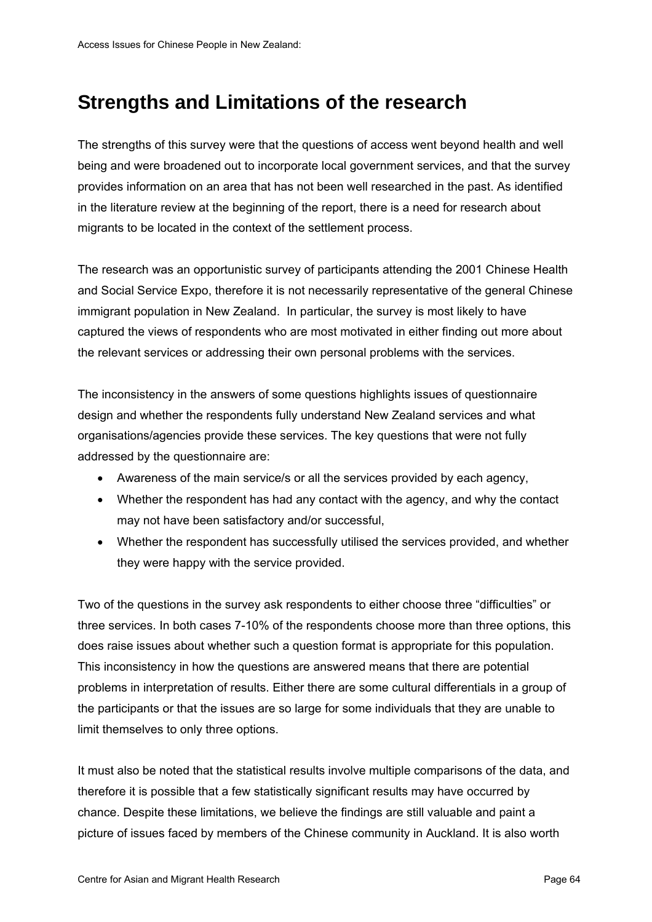# **Strengths and Limitations of the research**

The strengths of this survey were that the questions of access went beyond health and well being and were broadened out to incorporate local government services, and that the survey provides information on an area that has not been well researched in the past. As identified in the literature review at the beginning of the report, there is a need for research about migrants to be located in the context of the settlement process.

The research was an opportunistic survey of participants attending the 2001 Chinese Health and Social Service Expo, therefore it is not necessarily representative of the general Chinese immigrant population in New Zealand. In particular, the survey is most likely to have captured the views of respondents who are most motivated in either finding out more about the relevant services or addressing their own personal problems with the services.

The inconsistency in the answers of some questions highlights issues of questionnaire design and whether the respondents fully understand New Zealand services and what organisations/agencies provide these services. The key questions that were not fully addressed by the questionnaire are:

- Awareness of the main service/s or all the services provided by each agency,
- Whether the respondent has had any contact with the agency, and why the contact may not have been satisfactory and/or successful,
- Whether the respondent has successfully utilised the services provided, and whether they were happy with the service provided.

Two of the questions in the survey ask respondents to either choose three "difficulties" or three services. In both cases 7-10% of the respondents choose more than three options, this does raise issues about whether such a question format is appropriate for this population. This inconsistency in how the questions are answered means that there are potential problems in interpretation of results. Either there are some cultural differentials in a group of the participants or that the issues are so large for some individuals that they are unable to limit themselves to only three options.

It must also be noted that the statistical results involve multiple comparisons of the data, and therefore it is possible that a few statistically significant results may have occurred by chance. Despite these limitations, we believe the findings are still valuable and paint a picture of issues faced by members of the Chinese community in Auckland. It is also worth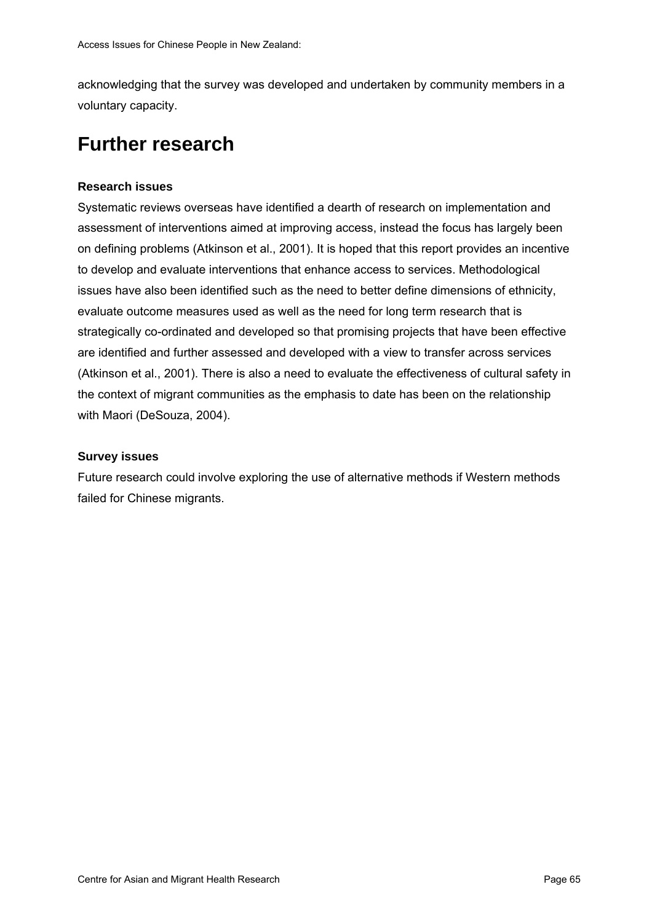acknowledging that the survey was developed and undertaken by community members in a voluntary capacity.

## **Further research**

#### **Research issues**

Systematic reviews overseas have identified a dearth of research on implementation and assessment of interventions aimed at improving access, instead the focus has largely been on defining problems (Atkinson et al., 2001). It is hoped that this report provides an incentive to develop and evaluate interventions that enhance access to services. Methodological issues have also been identified such as the need to better define dimensions of ethnicity, evaluate outcome measures used as well as the need for long term research that is strategically co-ordinated and developed so that promising projects that have been effective are identified and further assessed and developed with a view to transfer across services (Atkinson et al., 2001). There is also a need to evaluate the effectiveness of cultural safety in the context of migrant communities as the emphasis to date has been on the relationship with Maori (DeSouza, 2004).

#### **Survey issues**

Future research could involve exploring the use of alternative methods if Western methods failed for Chinese migrants.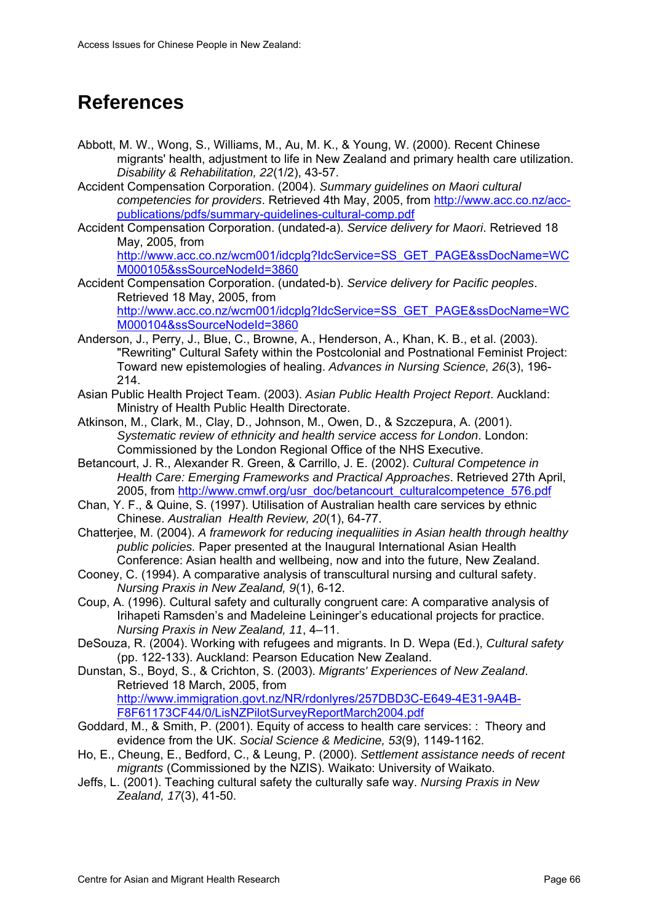## **References**

- Abbott, M. W., Wong, S., Williams, M., Au, M. K., & Young, W. (2000). Recent Chinese migrants' health, adjustment to life in New Zealand and primary health care utilization. *Disability & Rehabilitation, 22*(1/2), 43-57.
- Accident Compensation Corporation. (2004). *Summary guidelines on Maori cultural competencies for providers*. Retrieved 4th May, 2005, from [http://www.acc.co.nz/acc](http://www.acc.co.nz/acc-publications/pdfs/summary-guidelines-cultural-comp.pdf)[publications/pdfs/summary-guidelines-cultural-comp.pdf](http://www.acc.co.nz/acc-publications/pdfs/summary-guidelines-cultural-comp.pdf)
- Accident Compensation Corporation. (undated-a). *Service delivery for Maori*. Retrieved 18 May, 2005, from

[http://www.acc.co.nz/wcm001/idcplg?IdcService=SS\\_GET\\_PAGE&ssDocName=WC](http://www.acc.co.nz/wcm001/idcplg?IdcService=SS_GET_PAGE&ssDocName=WCM000105&ssSourceNodeId=3860) [M000105&ssSourceNodeId=3860](http://www.acc.co.nz/wcm001/idcplg?IdcService=SS_GET_PAGE&ssDocName=WCM000105&ssSourceNodeId=3860)

- Accident Compensation Corporation. (undated-b). *Service delivery for Pacific peoples*. Retrieved 18 May, 2005, from [http://www.acc.co.nz/wcm001/idcplg?IdcService=SS\\_GET\\_PAGE&ssDocName=WC](http://www.acc.co.nz/wcm001/idcplg?IdcService=SS_GET_PAGE&ssDocName=WCM000104&ssSourceNodeId=3860) [M000104&ssSourceNodeId=3860](http://www.acc.co.nz/wcm001/idcplg?IdcService=SS_GET_PAGE&ssDocName=WCM000104&ssSourceNodeId=3860)
- Anderson, J., Perry, J., Blue, C., Browne, A., Henderson, A., Khan, K. B., et al. (2003). "Rewriting" Cultural Safety within the Postcolonial and Postnational Feminist Project: Toward new epistemologies of healing. *Advances in Nursing Science, 26*(3), 196- 214.
- Asian Public Health Project Team. (2003). *Asian Public Health Project Report*. Auckland: Ministry of Health Public Health Directorate.
- Atkinson, M., Clark, M., Clay, D., Johnson, M., Owen, D., & Szczepura, A. (2001). *Systematic review of ethnicity and health service access for London*. London: Commissioned by the London Regional Office of the NHS Executive.
- Betancourt, J. R., Alexander R. Green, & Carrillo, J. E. (2002). *Cultural Competence in Health Care: Emerging Frameworks and Practical Approaches*. Retrieved 27th April, 2005, from [http://www.cmwf.org/usr\\_doc/betancourt\\_culturalcompetence\\_576.pdf](http://www.cmwf.org/usr_doc/betancourt_culturalcompetence_576.pdf)
- Chan, Y. F., & Quine, S. (1997). Utilisation of Australian health care services by ethnic Chinese. *Australian Health Review, 20*(1), 64-77.
- Chatterjee, M. (2004). *A framework for reducing inequaliities in Asian health through healthy public policies.* Paper presented at the Inaugural International Asian Health Conference: Asian health and wellbeing, now and into the future, New Zealand.
- Cooney, C. (1994). A comparative analysis of transcultural nursing and cultural safety. *Nursing Praxis in New Zealand, 9*(1), 6-12.
- Coup, A. (1996). Cultural safety and culturally congruent care: A comparative analysis of Irihapeti Ramsden's and Madeleine Leininger's educational projects for practice. *Nursing Praxis in New Zealand, 11*, 4–11.
- DeSouza, R. (2004). Working with refugees and migrants. In D. Wepa (Ed.), *Cultural safety* (pp. 122-133). Auckland: Pearson Education New Zealand.

Dunstan, S., Boyd, S., & Crichton, S. (2003). *Migrants' Experiences of New Zealand*. Retrieved 18 March, 2005, from [http://www.immigration.govt.nz/NR/rdonlyres/257DBD3C-E649-4E31-9A4B-](http://www.immigration.govt.nz/NR/rdonlyres/257DBD3C-E649-4E31-9A4B-F8F61173CF44/0/LisNZPilotSurveyReportMarch2004.pdf)

- [F8F61173CF44/0/LisNZPilotSurveyReportMarch2004.pdf](http://www.immigration.govt.nz/NR/rdonlyres/257DBD3C-E649-4E31-9A4B-F8F61173CF44/0/LisNZPilotSurveyReportMarch2004.pdf) Goddard, M., & Smith, P. (2001). Equity of access to health care services: : Theory and evidence from the UK. *Social Science & Medicine, 53*(9), 1149-1162.
- Ho, E., Cheung, E., Bedford, C., & Leung, P. (2000). *Settlement assistance needs of recent migrants* (Commissioned by the NZIS). Waikato: University of Waikato.
- Jeffs, L. (2001). Teaching cultural safety the culturally safe way. *Nursing Praxis in New Zealand, 17*(3), 41-50.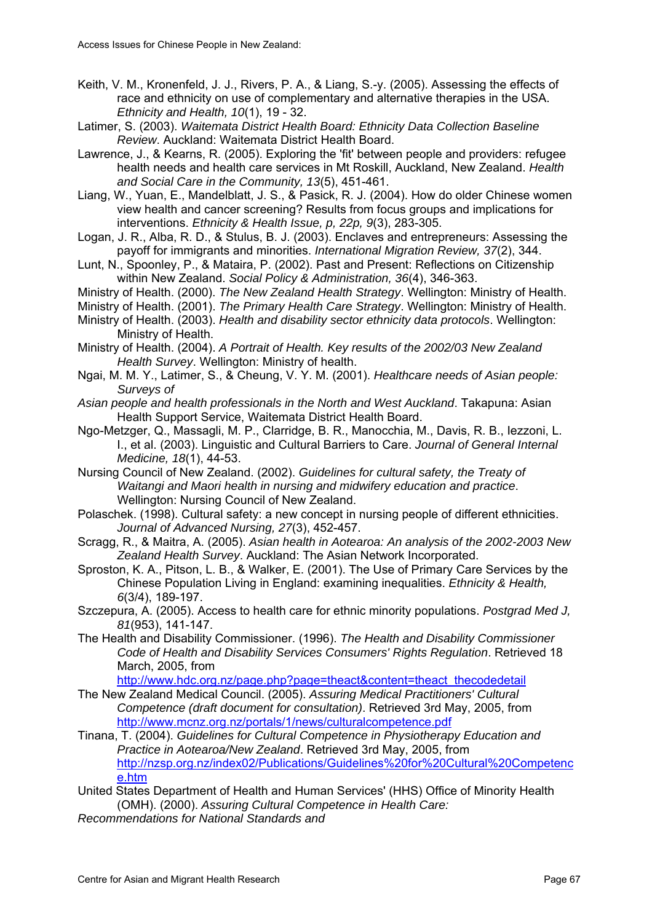- Keith, V. M., Kronenfeld, J. J., Rivers, P. A., & Liang, S.-y. (2005). Assessing the effects of race and ethnicity on use of complementary and alternative therapies in the USA. *Ethnicity and Health, 10*(1), 19 - 32.
- Latimer, S. (2003). *Waitemata District Health Board: Ethnicity Data Collection Baseline Review*. Auckland: Waitemata District Health Board.
- Lawrence, J., & Kearns, R. (2005). Exploring the 'fit' between people and providers: refugee health needs and health care services in Mt Roskill, Auckland, New Zealand. *Health and Social Care in the Community, 13*(5), 451-461.
- Liang, W., Yuan, E., Mandelblatt, J. S., & Pasick, R. J. (2004). How do older Chinese women view health and cancer screening? Results from focus groups and implications for interventions. *Ethnicity & Health Issue, p, 22p, 9*(3), 283-305.
- Logan, J. R., Alba, R. D., & Stulus, B. J. (2003). Enclaves and entrepreneurs: Assessing the payoff for immigrants and minorities. *International Migration Review, 37*(2), 344.
- Lunt, N., Spoonley, P., & Mataira, P. (2002). Past and Present: Reflections on Citizenship within New Zealand. *Social Policy & Administration, 36*(4), 346-363.
- Ministry of Health. (2000). *The New Zealand Health Strategy*. Wellington: Ministry of Health.
- Ministry of Health. (2001). *The Primary Health Care Strategy*. Wellington: Ministry of Health.
- Ministry of Health. (2003). *Health and disability sector ethnicity data protocols*. Wellington: Ministry of Health.
- Ministry of Health. (2004). *A Portrait of Health. Key results of the 2002/03 New Zealand Health Survey*. Wellington: Ministry of health.
- Ngai, M. M. Y., Latimer, S., & Cheung, V. Y. M. (2001). *Healthcare needs of Asian people: Surveys of*
- *Asian people and health professionals in the North and West Auckland*. Takapuna: Asian Health Support Service, Waitemata District Health Board.
- Ngo-Metzger, Q., Massagli, M. P., Clarridge, B. R., Manocchia, M., Davis, R. B., Iezzoni, L. I., et al. (2003). Linguistic and Cultural Barriers to Care. *Journal of General Internal Medicine, 18*(1), 44-53.
- Nursing Council of New Zealand. (2002). *Guidelines for cultural safety, the Treaty of Waitangi and Maori health in nursing and midwifery education and practice*. Wellington: Nursing Council of New Zealand.
- Polaschek. (1998). Cultural safety: a new concept in nursing people of different ethnicities. *Journal of Advanced Nursing, 27*(3), 452-457.
- Scragg, R., & Maitra, A. (2005). *Asian health in Aotearoa: An analysis of the 2002-2003 New Zealand Health Survey*. Auckland: The Asian Network Incorporated.
- Sproston, K. A., Pitson, L. B., & Walker, E. (2001). The Use of Primary Care Services by the Chinese Population Living in England: examining inequalities. *Ethnicity & Health, 6*(3/4), 189-197.
- Szczepura, A. (2005). Access to health care for ethnic minority populations. *Postgrad Med J, 81*(953), 141-147.
- The Health and Disability Commissioner. (1996). *The Health and Disability Commissioner Code of Health and Disability Services Consumers' Rights Regulation*. Retrieved 18 March, 2005, from

[http://www.hdc.org.nz/page.php?page=theact&content=theact\\_thecodedetail](http://www.hdc.org.nz/page.php?page=theact&content=theact_thecodedetail)

- The New Zealand Medical Council. (2005). *Assuring Medical Practitioners' Cultural Competence (draft document for consultation)*. Retrieved 3rd May, 2005, from <http://www.mcnz.org.nz/portals/1/news/culturalcompetence.pdf>
- Tinana, T. (2004). *Guidelines for Cultural Competence in Physiotherapy Education and Practice in Aotearoa/New Zealand*. Retrieved 3rd May, 2005, from [http://nzsp.org.nz/index02/Publications/Guidelines%20for%20Cultural%20Competenc](http://nzsp.org.nz/index02/Publications/Guidelines for Cultural Competence.htm) [e.htm](http://nzsp.org.nz/index02/Publications/Guidelines for Cultural Competence.htm)
- United States Department of Health and Human Services' (HHS) Office of Minority Health (OMH). (2000). *Assuring Cultural Competence in Health Care:*
- *Recommendations for National Standards and*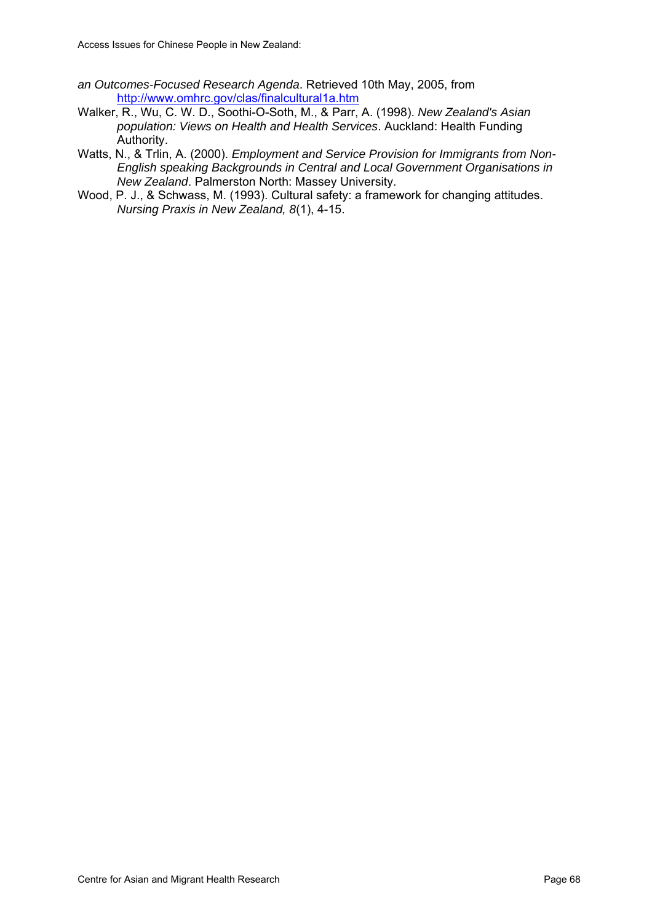- *an Outcomes-Focused Research Agenda*. Retrieved 10th May, 2005, from <http://www.omhrc.gov/clas/finalcultural1a.htm>
- Walker, R., Wu, C. W. D., Soothi-O-Soth, M., & Parr, A. (1998). *New Zealand's Asian population: Views on Health and Health Services*. Auckland: Health Funding Authority.
- Watts, N., & Trlin, A. (2000). *Employment and Service Provision for Immigrants from Non-English speaking Backgrounds in Central and Local Government Organisations in New Zealand*. Palmerston North: Massey University.
- Wood, P. J., & Schwass, M. (1993). Cultural safety: a framework for changing attitudes. *Nursing Praxis in New Zealand, 8*(1), 4-15.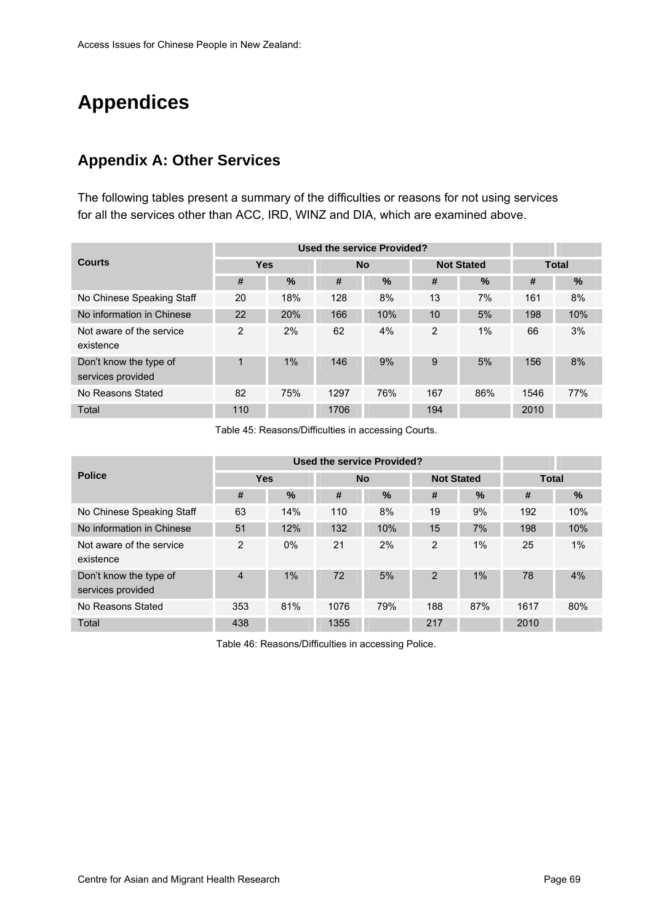# **Appendices**

#### **Appendix A: Other Services**

The following tables present a summary of the difficulties or reasons for not using services for all the services other than ACC, IRD, WINZ and DIA, which are examined above.

|                                             |                | Used the service Provided? |      |           |                |                   |              |               |
|---------------------------------------------|----------------|----------------------------|------|-----------|----------------|-------------------|--------------|---------------|
| <b>Courts</b>                               | <b>Yes</b>     |                            |      | <b>No</b> |                | <b>Not Stated</b> | <b>Total</b> |               |
|                                             | #              | $\%$                       | #    | $\%$      | #              | $\%$              | #            | $\frac{0}{0}$ |
| No Chinese Speaking Staff                   | 20             | 18%                        | 128  | 8%        | 13             | 7%                | 161          | 8%            |
| No information in Chinese                   | 22             | 20%                        | 166  | 10%       | 10             | 5%                | 198          | 10%           |
| Not aware of the service<br>existence       | $\overline{2}$ | 2%                         | 62   | 4%        | $\overline{2}$ | 1%                | 66           | 3%            |
| Don't know the type of<br>services provided | 1              | 1%                         | 146  | 9%        | 9              | 5%                | 156          | 8%            |
| No Reasons Stated                           | 82             | 75%                        | 1297 | 76%       | 167            | 86%               | 1546         | 77%           |
| Total                                       | 110            |                            | 1706 |           | 194            |                   | 2010         |               |

Table 45: Reasons/Difficulties in accessing Courts.

|                                             |                |       | <b>Used the service Provided?</b> |           |                   |      |              |      |  |  |
|---------------------------------------------|----------------|-------|-----------------------------------|-----------|-------------------|------|--------------|------|--|--|
| <b>Police</b>                               | <b>Yes</b>     |       |                                   | <b>No</b> | <b>Not Stated</b> |      | <b>Total</b> |      |  |  |
|                                             | #              | $\%$  | #                                 | $\%$      | #                 | $\%$ | #            | $\%$ |  |  |
| No Chinese Speaking Staff                   | 63             | 14%   | 110                               | 8%        | 19                | 9%   | 192          | 10%  |  |  |
| No information in Chinese                   | 51             | 12%   | 132                               | 10%       | 15                | 7%   | 198          | 10%  |  |  |
| Not aware of the service<br>existence       | $\overline{2}$ | $0\%$ | 21                                | 2%        | 2                 | 1%   | 25           | 1%   |  |  |
| Don't know the type of<br>services provided | 4              | 1%    | 72                                | 5%        | $\overline{2}$    | 1%   | 78           | 4%   |  |  |
| No Reasons Stated                           | 353            | 81%   | 1076                              | 79%       | 188               | 87%  | 1617         | 80%  |  |  |
| Total                                       | 438            |       | 1355                              |           | 217               |      | 2010         |      |  |  |

Table 46: Reasons/Difficulties in accessing Police.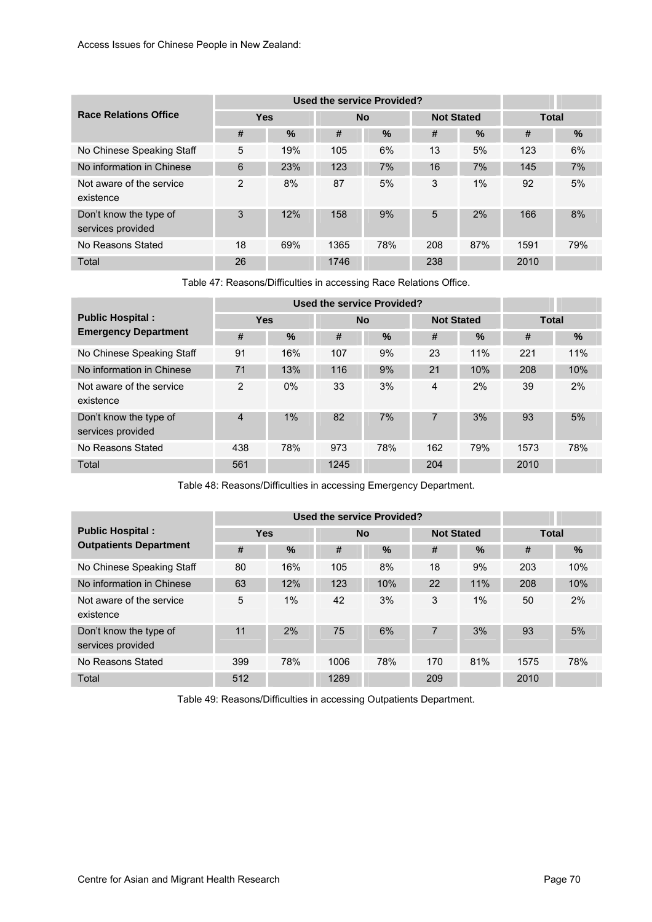|                                             |                |      |      | <b>Used the service Provided?</b> |     |                   |              |      |
|---------------------------------------------|----------------|------|------|-----------------------------------|-----|-------------------|--------------|------|
| <b>Race Relations Office</b>                | <b>Yes</b>     |      |      | <b>No</b>                         |     | <b>Not Stated</b> | <b>Total</b> |      |
|                                             | #              | $\%$ | #    | $\%$                              | #   | $\%$              | #            | $\%$ |
| No Chinese Speaking Staff                   | 5              | 19%  | 105  | 6%                                | 13  | 5%                | 123          | 6%   |
| No information in Chinese                   | 6              | 23%  | 123  | 7%                                | 16  | 7%                | 145          | 7%   |
| Not aware of the service<br>existence       | $\overline{2}$ | 8%   | 87   | 5%                                | 3   | 1%                | 92           | 5%   |
| Don't know the type of<br>services provided | 3              | 12%  | 158  | 9%                                | 5   | 2%                | 166          | 8%   |
| No Reasons Stated                           | 18             | 69%  | 1365 | 78%                               | 208 | 87%               | 1591         | 79%  |
| Total                                       | 26             |      | 1746 |                                   | 238 |                   | 2010         |      |

Table 47: Reasons/Difficulties in accessing Race Relations Office.

|                                             |                |       |      | <b>Used the service Provided?</b> |                   |      |              |      |  |  |
|---------------------------------------------|----------------|-------|------|-----------------------------------|-------------------|------|--------------|------|--|--|
| <b>Public Hospital:</b>                     | <b>Yes</b>     |       |      | <b>No</b>                         | <b>Not Stated</b> |      | <b>Total</b> |      |  |  |
| <b>Emergency Department</b>                 | #              | %     | #    | $\%$                              | #                 | $\%$ | #            | $\%$ |  |  |
| No Chinese Speaking Staff                   | 91             | 16%   | 107  | 9%                                | 23                | 11%  | 221          | 11%  |  |  |
| No information in Chinese                   | 71             | 13%   | 116  | 9%                                | 21                | 10%  | 208          | 10%  |  |  |
| Not aware of the service<br>existence       | $\overline{2}$ | $0\%$ | 33   | 3%                                | 4                 | 2%   | 39           | 2%   |  |  |
| Don't know the type of<br>services provided | $\overline{4}$ | 1%    | 82   | 7%                                | 7                 | 3%   | 93           | 5%   |  |  |
| No Reasons Stated                           | 438            | 78%   | 973  | 78%                               | 162               | 79%  | 1573         | 78%  |  |  |
| Total                                       | 561            |       | 1245 |                                   | 204               |      | 2010         |      |  |  |

Table 48: Reasons/Difficulties in accessing Emergency Department.

|                                             |            |       |      | <b>Used the service Provided?</b> |                   |       |              |      |  |  |
|---------------------------------------------|------------|-------|------|-----------------------------------|-------------------|-------|--------------|------|--|--|
| <b>Public Hospital:</b>                     | <b>Yes</b> |       |      | <b>No</b>                         | <b>Not Stated</b> |       | <b>Total</b> |      |  |  |
| <b>Outpatients Department</b>               | #          | $\%$  | #    | $\%$                              | #                 | $\%$  | #            | $\%$ |  |  |
| No Chinese Speaking Staff                   | 80         | 16%   | 105  | 8%                                | 18                | 9%    | 203          | 10%  |  |  |
| No information in Chinese                   | 63         | 12%   | 123  | 10%                               | 22                | 11%   | 208          | 10%  |  |  |
| Not aware of the service<br>existence       | 5          | $1\%$ | 42   | 3%                                | 3                 | $1\%$ | 50           | 2%   |  |  |
| Don't know the type of<br>services provided | 11         | 2%    | 75   | 6%                                | 7                 | 3%    | 93           | 5%   |  |  |
| No Reasons Stated                           | 399        | 78%   | 1006 | 78%                               | 170               | 81%   | 1575         | 78%  |  |  |
| Total                                       | 512        |       | 1289 |                                   | 209               |       | 2010         |      |  |  |

Table 49: Reasons/Difficulties in accessing Outpatients Department.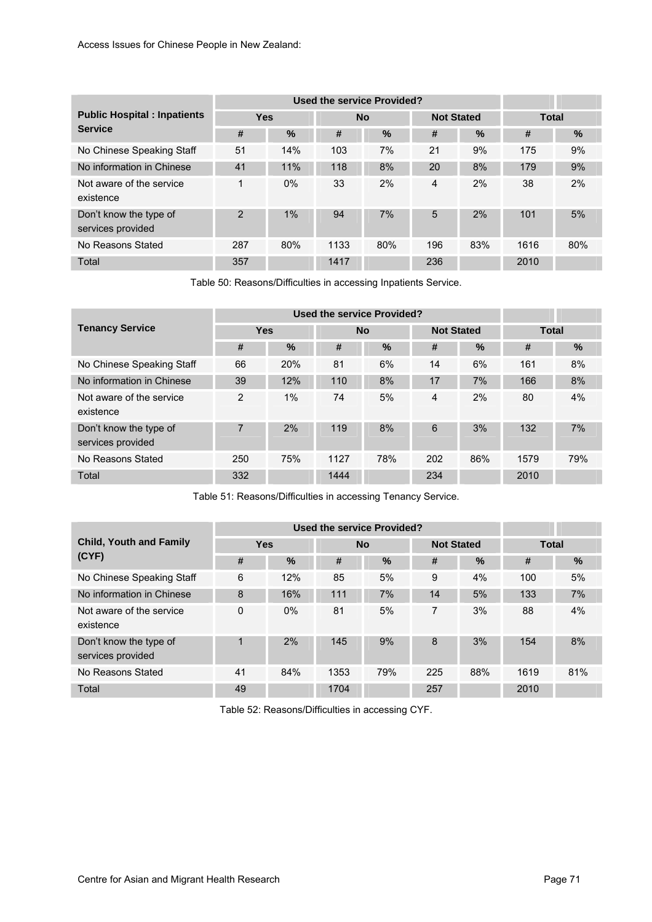|                                             |                |       | <b>Used the service Provided?</b> |           |                   |      |              |      |  |  |
|---------------------------------------------|----------------|-------|-----------------------------------|-----------|-------------------|------|--------------|------|--|--|
| <b>Public Hospital : Inpatients</b>         | <b>Yes</b>     |       |                                   | <b>No</b> | <b>Not Stated</b> |      | <b>Total</b> |      |  |  |
| <b>Service</b>                              | #              | %     | #                                 | $\%$      | #                 | $\%$ | #            | $\%$ |  |  |
| No Chinese Speaking Staff                   | 51             | 14%   | 103                               | 7%        | 21                | 9%   | 175          | 9%   |  |  |
| No information in Chinese                   | 41             | 11%   | 118                               | 8%        | 20                | 8%   | 179          | 9%   |  |  |
| Not aware of the service<br>existence       | 1              | $0\%$ | 33                                | 2%        | 4                 | 2%   | 38           | 2%   |  |  |
| Don't know the type of<br>services provided | $\overline{2}$ | 1%    | 94                                | 7%        | 5                 | 2%   | 101          | 5%   |  |  |
| No Reasons Stated                           | 287            | 80%   | 1133                              | 80%       | 196               | 83%  | 1616         | 80%  |  |  |
| Total                                       | 357            |       | 1417                              |           | 236               |      | 2010         |      |  |  |

Table 50: Reasons/Difficulties in accessing Inpatients Service.

|                                             |                |            |      | <b>Used the service Provided?</b> |     |                   |              |     |  |  |
|---------------------------------------------|----------------|------------|------|-----------------------------------|-----|-------------------|--------------|-----|--|--|
| <b>Tenancy Service</b>                      | <b>Yes</b>     |            |      | <b>No</b>                         |     | <b>Not Stated</b> | <b>Total</b> |     |  |  |
|                                             | #              | $\%$       | #    | $\frac{9}{6}$                     | #   | $\%$              | #            | %   |  |  |
| No Chinese Speaking Staff                   | 66             | <b>20%</b> | 81   | 6%                                | 14  | 6%                | 161          | 8%  |  |  |
| No information in Chinese                   | 39             | 12%        | 110  | 8%                                | 17  | 7%                | 166          | 8%  |  |  |
| Not aware of the service<br>existence       | 2              | 1%         | 74   | 5%                                | 4   | 2%                | 80           | 4%  |  |  |
| Don't know the type of<br>services provided | $\overline{7}$ | 2%         | 119  | 8%                                | 6   | 3%                | 132          | 7%  |  |  |
| No Reasons Stated                           | 250            | 75%        | 1127 | 78%                               | 202 | 86%               | 1579         | 79% |  |  |
| Total                                       | 332            |            | 1444 |                                   | 234 |                   | 2010         |     |  |  |

Table 51: Reasons/Difficulties in accessing Tenancy Service.

|                                             |            |       |      | Used the service Provided? |                   |      |              |     |  |  |
|---------------------------------------------|------------|-------|------|----------------------------|-------------------|------|--------------|-----|--|--|
| <b>Child, Youth and Family</b>              | <b>Yes</b> |       |      | <b>No</b>                  | <b>Not Stated</b> |      | <b>Total</b> |     |  |  |
| (CYP)                                       | #          | %     | #    | $\%$                       | #                 | $\%$ | #            | %   |  |  |
| No Chinese Speaking Staff                   | 6          | 12%   | 85   | 5%                         | 9                 | 4%   | 100          | 5%  |  |  |
| No information in Chinese                   | 8          | 16%   | 111  | 7%                         | 14                | 5%   | 133          | 7%  |  |  |
| Not aware of the service<br>existence       | 0          | $0\%$ | 81   | 5%                         | 7                 | 3%   | 88           | 4%  |  |  |
| Don't know the type of<br>services provided | 4          | 2%    | 145  | 9%                         | 8                 | 3%   | 154          | 8%  |  |  |
| No Reasons Stated                           | 41         | 84%   | 1353 | 79%                        | 225               | 88%  | 1619         | 81% |  |  |
| Total                                       | 49         |       | 1704 |                            | 257               |      | 2010         |     |  |  |

Table 52: Reasons/Difficulties in accessing CYF.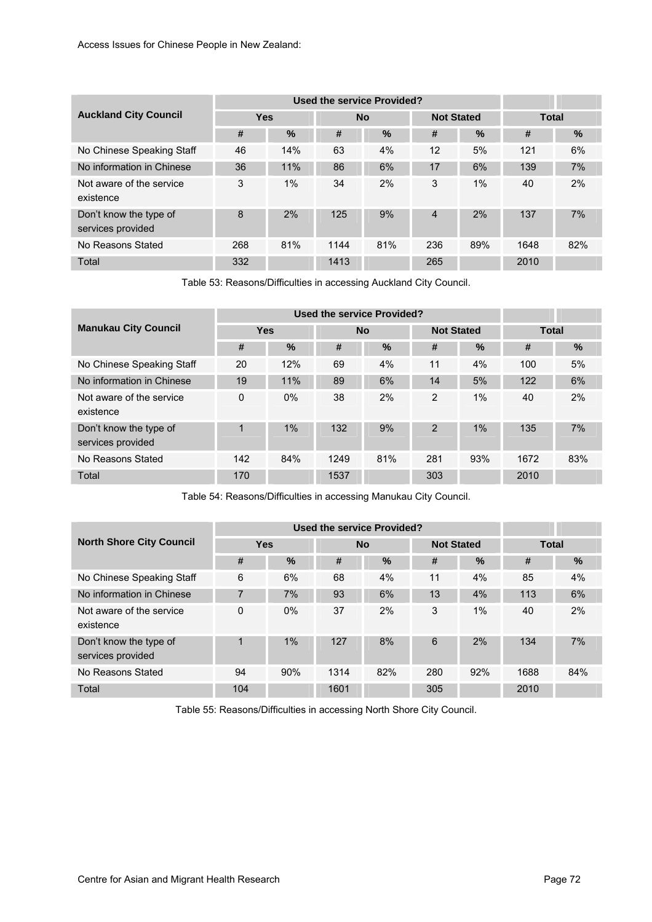|                                             |            |      |      | Used the service Provided? |     |                   |              |      |
|---------------------------------------------|------------|------|------|----------------------------|-----|-------------------|--------------|------|
| <b>Auckland City Council</b>                | <b>Yes</b> |      |      | <b>No</b>                  |     | <b>Not Stated</b> | <b>Total</b> |      |
|                                             | #          | $\%$ | #    | %                          | #   | $\%$              | #            | $\%$ |
| No Chinese Speaking Staff                   | 46         | 14%  | 63   | 4%                         | 12  | 5%                | 121          | 6%   |
| No information in Chinese                   | 36         | 11%  | 86   | 6%                         | 17  | 6%                | 139          | 7%   |
| Not aware of the service<br>existence       | 3          | 1%   | 34   | 2%                         | 3   | 1%                | 40           | 2%   |
| Don't know the type of<br>services provided | 8          | 2%   | 125  | 9%                         | 4   | 2%                | 137          | 7%   |
| No Reasons Stated                           | 268        | 81%  | 1144 | 81%                        | 236 | 89%               | 1648         | 82%  |
| Total                                       | 332        |      | 1413 |                            | 265 |                   | 2010         |      |

Table 53: Reasons/Difficulties in accessing Auckland City Council.

|                                             |          |                         | <b>Used the service Provided?</b> |                   |                |       |              |     |  |  |
|---------------------------------------------|----------|-------------------------|-----------------------------------|-------------------|----------------|-------|--------------|-----|--|--|
| <b>Manukau City Council</b>                 |          | <b>Yes</b><br><b>No</b> |                                   | <b>Not Stated</b> |                |       | <b>Total</b> |     |  |  |
|                                             | #        | $\%$                    | #                                 | %                 | #              | $\%$  | #            | %   |  |  |
| No Chinese Speaking Staff                   | 20       | 12%                     | 69                                | 4%                | 11             | 4%    | 100          | 5%  |  |  |
| No information in Chinese                   | 19       | 11%                     | 89                                | 6%                | 14             | 5%    | 122          | 6%  |  |  |
| Not aware of the service<br>existence       | $\Omega$ | $0\%$                   | 38                                | 2%                | 2              | $1\%$ | 40           | 2%  |  |  |
| Don't know the type of<br>services provided | 1        | 1%                      | 132                               | 9%                | $\overline{2}$ | 1%    | 135          | 7%  |  |  |
| No Reasons Stated                           | 142      | 84%                     | 1249                              | 81%               | 281            | 93%   | 1672         | 83% |  |  |
| Total                                       | 170      |                         | 1537                              |                   | 303            |       | 2010         |     |  |  |

Table 54: Reasons/Difficulties in accessing Manukau City Council.

|                                             |            |       |      | Used the service Provided? |     |                   |              |      |
|---------------------------------------------|------------|-------|------|----------------------------|-----|-------------------|--------------|------|
| <b>North Shore City Council</b>             | <b>Yes</b> |       |      | <b>No</b>                  |     | <b>Not Stated</b> | <b>Total</b> |      |
|                                             | #          | %     | #    | $\%$                       | #   | $\frac{9}{6}$     | #            | $\%$ |
| No Chinese Speaking Staff                   | 6          | 6%    | 68   | 4%                         | 11  | 4%                | 85           | 4%   |
| No information in Chinese                   | 7          | 7%    | 93   | 6%                         | 13  | 4%                | 113          | 6%   |
| Not aware of the service<br>existence       | 0          | $0\%$ | 37   | 2%                         | 3   | $1\%$             | 40           | 2%   |
| Don't know the type of<br>services provided | 1          | 1%    | 127  | 8%                         | 6   | 2%                | 134          | 7%   |
| No Reasons Stated                           | 94         | 90%   | 1314 | 82%                        | 280 | 92%               | 1688         | 84%  |
| Total                                       | 104        |       | 1601 |                            | 305 |                   | 2010         |      |

Table 55: Reasons/Difficulties in accessing North Shore City Council.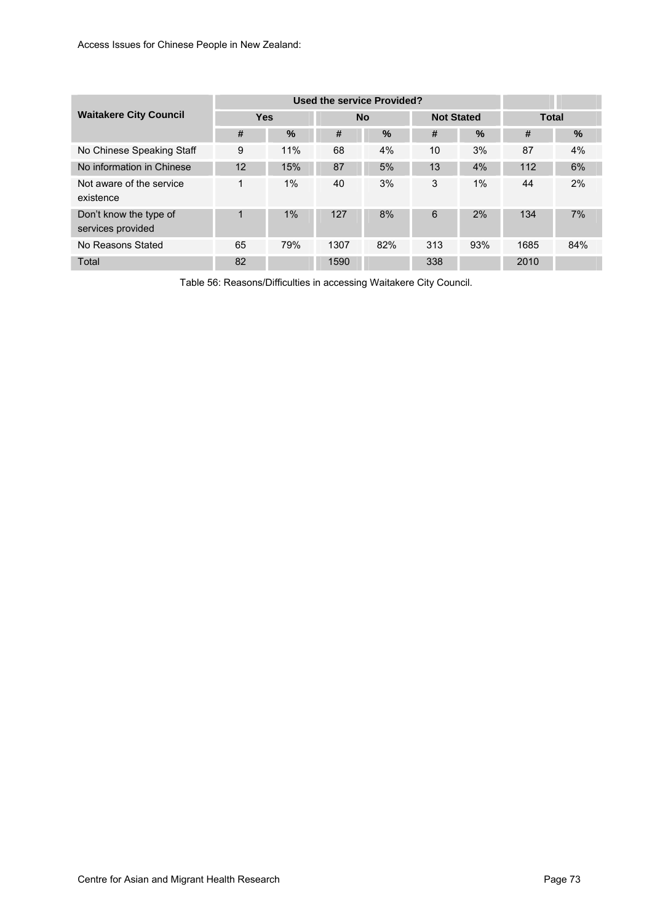|                                             |            |       |                                | <b>Used the service Provided?</b> |              |       |      |      |
|---------------------------------------------|------------|-------|--------------------------------|-----------------------------------|--------------|-------|------|------|
| <b>Waitakere City Council</b>               | <b>Yes</b> |       | <b>Not Stated</b><br><b>No</b> |                                   | <b>Total</b> |       |      |      |
|                                             | #          | $\%$  | #                              | $\%$                              | #            | $\%$  | #    | $\%$ |
| No Chinese Speaking Staff                   | 9          | 11%   | 68                             | 4%                                | 10           | 3%    | 87   | 4%   |
| No information in Chinese                   | 12         | 15%   | 87                             | 5%                                | 13           | 4%    | 112  | 6%   |
| Not aware of the service<br>existence       | 1          | $1\%$ | 40                             | 3%                                | 3            | $1\%$ | 44   | 2%   |
| Don't know the type of<br>services provided | 1          | 1%    | 127                            | 8%                                | 6            | 2%    | 134  | 7%   |
| No Reasons Stated                           | 65         | 79%   | 1307                           | 82%                               | 313          | 93%   | 1685 | 84%  |
| Total                                       | 82         |       | 1590                           |                                   | 338          |       | 2010 |      |

Table 56: Reasons/Difficulties in accessing Waitakere City Council.